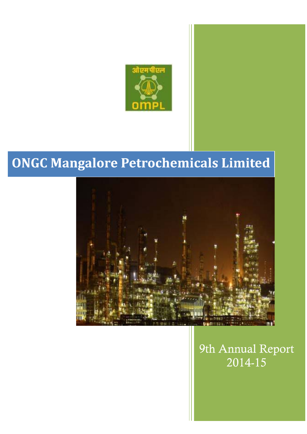



9th Annual Report 2014-15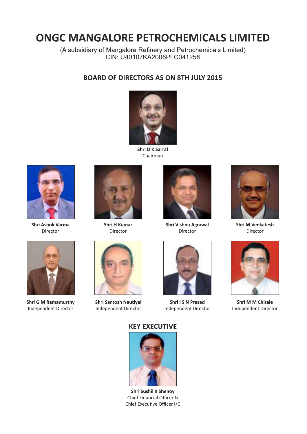# **ONGC MANGALORE PETROCHEMICALS LIMITED**

(A subsidiary of Mangalore Refinery and Petrochemicals Limited)<br>CIN: U40107KA2006PLC041258

# **BOARD OF DIRECTORS AS ON 8TH JULY 2015**



**Shri D K Sarraf** Chairman



Shri Ashok Varma Director

**Shri G M Ramamurthy** Independent Director



**Shri H Kumar** Director



Shri Vishnu Agrawal Director



Director



**Shri M M Chitale** Independent Director





**Shri Santosh Nautival** Independent Director



**Shri ISN Prasad Independent Director** 

# **KEY EXECUTIVE**



**Shri Sushil K Shenoy** Chief Financial Officer & Chief Executive Officer I/C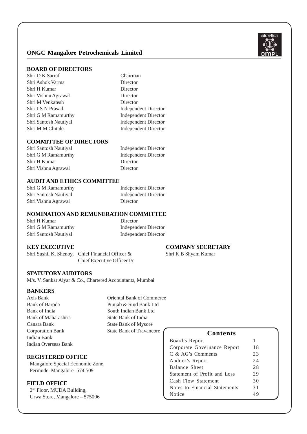# **BOARD OF DIRECTORS**

- Shri D K Sarraf Chairman Shri Ashok Varma Director Shri H Kumar Director Shri Vishnu Agrawal Director Shri M Venkatesh Director Shri I S N Prasad Independent Director Shri G M Ramamurthy Independent Director Shri Santosh Nautiyal Independent Director Shri M M Chitale Independent Director
	-

# **COMMITTEE OF DIRECTORS**

Shri Santosh Nautiyal Independent Director Shri G M Ramamurthy Independent Director Shri H Kumar Director Shri Vishnu Agrawal Director

# **AUDIT AND ETHICS COMMITTEE**

Shri G M Ramamurthy Independent Director Shri Santosh Nautiyal Independent Director Shri Vishnu Agrawal Director

### **NOMINATION AND REMUNERATION COMMITTEE**

Shri H Kumar Director Shri G M Ramamurthy **Independent Director** Shri Santosh Nautiyal Independent Director

Shri Sushil K. Shenoy, Chief Financial Officer & Shri K B Shyam Kumar Chief Executive Officer I/c

### **KEY EXECUTIVE COMPANY SECRETARY**

# **STATUTORY AUDITORS**

M/s. V. Sankar Aiyar & Co., Chartered Accountants, Mumbai

# **BANKERS**

Bank of Maharashtra State Bank of India Indian Bank Indian Overseas Bank

Axis Bank Oriental Bank of Commerce Bank of Baroda Punjab & Sind Bank Ltd Bank of India South Indian Bank Ltd Canara Bank State Bank of Mysore **Corporation Bank** State Bank of Travancore

### **REGISTERED OFFICE**

Mangalore Special Economic Zone, Permude, Mangalore- 574 509

# **FIELD OFFICE**

2 nd Floor, MUDA Building, Urwa Store, Mangalore – 575006

# **Contents**

| Board's Report                |    |
|-------------------------------|----|
| Corporate Governance Report   | 18 |
| C & AG's Comments             | 23 |
| Auditor's Report              | 24 |
| Balance Sheet                 | 28 |
| Statement of Profit and Loss  | 29 |
| Cash Flow Statement           | 30 |
| Notes to Financial Statements | 31 |
| Notice                        | 49 |

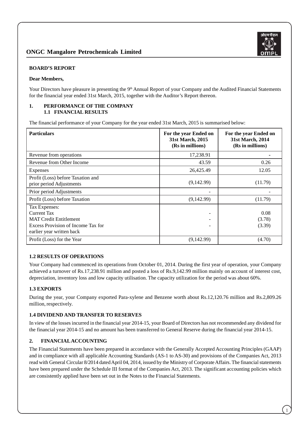

# **BOARD'S REPORT**

# **Dear Members,**

Your Directors have pleasure in presenting the  $9<sup>th</sup>$  Annual Report of your Company and the Audited Financial Statements for the financial year ended 31st March, 2015, together with the Auditor's Report thereon.

# **1. PERFORMANCE OF THE COMPANY 1.1 FINANCIAL RESULTS**

The financial performance of your Company for the year ended 31st March, 2015 is summarised below:

| <b>Particulars</b>                                                                                                               | For the year Ended on<br>31st March, 2015<br>(Rs in millions) | For the year Ended on<br>31st March, 2014<br>(Rs in millions) |
|----------------------------------------------------------------------------------------------------------------------------------|---------------------------------------------------------------|---------------------------------------------------------------|
| Revenue from operations                                                                                                          | 17,238.91                                                     |                                                               |
| Revenue from Other Income                                                                                                        | 43.59                                                         | 0.26                                                          |
| Expenses                                                                                                                         | 26,425.49                                                     | 12.05                                                         |
| Profit (Loss) before Taxation and<br>prior period Adjustments                                                                    | (9,142.99)                                                    | (11.79)                                                       |
| Prior period Adjustments                                                                                                         |                                                               |                                                               |
| Profit (Loss) before Taxation                                                                                                    | (9,142.99)                                                    | (11.79)                                                       |
| Tax Expenses:<br>Current Tax<br><b>MAT Credit Entitlement</b><br>Excess Provision of Income Tax for<br>earlier year written back |                                                               | 0.08<br>(3.78)<br>(3.39)                                      |
| Profit (Loss) for the Year                                                                                                       | (9,142.99)                                                    | (4.70)                                                        |

# **1.2 RESULTS OF OPERATIONS**

Your Company had commenced its operations from October 01, 2014. During the first year of operation, your Company achieved a turnover of Rs.17,238.91 million and posted a loss of Rs.9,142.99 million mainly on account of interest cost, depreciation, inventory loss and low capacity utilisation. The capacity utilization for the period was about 60%.

# **1.3 EXPORTS**

During the year, your Company exported Para-xylene and Benzene worth about Rs.12,120.76 million and Rs.2,809.26 million, respectively.

# **1.4 DIVIDEND AND TRANSFER TO RESERVES**

In view of the losses incurred in the financial year 2014-15, your Board of Directors has not recommended any dividend for the financial year 2014-15 and no amount has been transferred to General Reserve during the financial year 2014-15.

# **2. FINANCIAL ACCOUNTING**

The Financial Statements have been prepared in accordance with the Generally Accepted Accounting Principles (GAAP) and in compliance with all applicable Accounting Standards (AS-1 to AS-30) and provisions of the Companies Act, 2013 read with General Circular 8/2014 dated April 04, 2014, issued by the Ministry of Corporate Affairs. The financial statements have been prepared under the Schedule III format of the Companies Act, 2013. The significant accounting policies which are consistently applied have been set out in the Notes to the Financial Statements.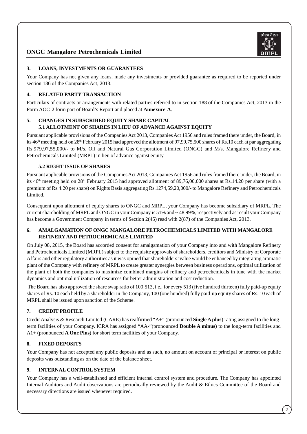

# **3. LOANS, INVESTMENTS OR GUARANTEES**

Your Company has not given any loans, made any investments or provided guarantee as required to be reported under section 186 of the Companies Act, 2013.

# **4. RELATED PARTY TRANSACTION**

Particulars of contracts or arrangements with related parties referred to in section 188 of the Companies Act, 2013 in the Form AOC-2 form part of Board's Report and placed at **Annexure-A**.

# **5. CHANGES IN SUBSCRIBED EQUITY SHARE CAPITAL 5.1 ALLOTMENT OF SHARES IN LIEU OF ADVANCE AGAINST EQUITY**

Pursuant applicable provisions of the Companies Act 2013, Companies Act 1956 and rules framed there under, the Board, in its  $46<sup>th</sup>$  meeting held on  $28<sup>th</sup>$  February 2015 had approved the allotment of 97,99,75,500 shares of Rs.10 each at par aggregating Rs.979,97,55,000/- to M/s. Oil and Natural Gas Corporation Limited (ONGC) and M/s. Mangalore Refinery and Petrochemicals Limited (MRPL) in lieu of advance against equity.

# **5.2 RIGHT ISSUE OF SHARES**

Pursuant applicable provisions of the Companies Act 2013, Companies Act 1956 and rules framed there under, the Board, in its  $46<sup>th</sup>$  meeting held on  $28<sup>th</sup>$  February 2015 had approved allotment of 89,76,00,000 shares at Rs.14.20 per share (with a premium of Rs.4.20 per share) on Rights Basis aggregating Rs.1274,59,20,000/- to Mangalore Refinery and Petrochemicals Limited.

Consequent upon allotment of equity shares to ONGC and MRPL, your Company has become subsidiary of MRPL. The current shareholding of MRPL and ONGC in your Company is 51% and ~ 48.99%, respectively and as result your Company has become a Government Company in terms of Section 2(45) read with 2(87) of the Companies Act, 2013.

# **6. AMALGAMATION OF ONGC MANGALORE PETROCHEMICALS LIMITED WITH MANGALORE REFINERY AND PETROCHEMICALS LIMITED**

On July 08, 2015, the Board has accorded consent for amalgamation of your Company into and with Mangalore Refinery and Petrochemicals Limited (MRPL) subject to the requisite approvals of shareholders, creditors and Ministry of Corporate Affairs and other regulatory authorities as it was opined that shareholders' value would be enhanced by integrating aromatic plant of the Company with refinery of MRPL to create greater synergies between business operations, optimal utilization of the plant of both the companies to maximize combined margins of refinery and petrochemicals in tune with the market dynamics and optimal utilization of resources for better administration and cost reduction.

 The Board has also approved the share swap ratio of 100:513, i.e., for every 513 (five hundred thirteen) fully paid-up equity shares of Rs. 10 each held by a shareholder in the Company, 100 (one hundred) fully paid-up equity shares of Rs. 10 each of MRPL shall be issued upon sanction of the Scheme.

# **7. CREDIT PROFILE**

Credit Analysis & Research Limited (CARE) has reaffirmed "A+" (pronounced **Single A plus**) rating assigned to the longterm facilities of your Company. ICRA has assigned "AA-"(pronounced **Double A minus**) to the long-term facilities and A1+ (pronounced **A One Plus**) for short term facilities of your Company.

# **8. FIXED DEPOSITS**

Your Company has not accepted any public deposits and as such, no amount on account of principal or interest on public deposits was outstanding as on the date of the balance sheet.

# **9. INTERNAL CONTROL SYSTEM**

Your Company has a well-established and efficient internal control system and procedure. The Company has appointed Internal Auditors and Audit observations are periodically reviewed by the Audit & Ethics Committee of the Board and necessary directions are issued whenever required.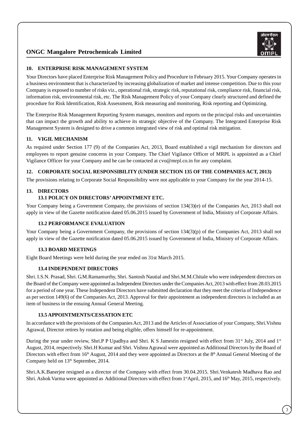

# **10. ENTERPRISE RISK MANAGEMENT SYSTEM**

Your Directors have placed Enterprise Risk Management Policy and Procedure in February 2015. Your Company operates in a business environment that is characterized by increasing globalization of market and intense competition. Due to this your Company is exposed to number of risks viz., operational risk, strategic risk, reputational risk, compliance risk, financial risk, information risk, environmental risk, etc. The Risk Management Policy of your Company clearly structured and defined the procedure for Risk Identification, Risk Assessment, Risk measuring and monitoring, Risk reporting and Optimizing.

The Enterprise Risk Management Reporting System manages, monitors and reports on the principal risks and uncertainties that can impact the growth and ability to achieve its strategic objective of the Company. The Integrated Enterprise Risk Management System is designed to drive a common integrated view of risk and optimal risk mitigation.

# **11. VIGIL MECHANISM**

As required under Section 177 (9) of the Companies Act, 2013, Board established a vigil mechanism for directors and employees to report genuine concerns in your Company. The Chief Vigilance Officer of MRPL is appointed as a Chief Vigilance Officer for your Company and he can be contacted at [cvo@mrpl.co.in](mailto:cvo@mrpl.co.in) for any complaint.

# **12. CORPORATE SOCIAL RESPONSIBILITY (UNDER SECTION 135 OF THE COMPANIES ACT, 2013)**

The provisions relating to Corporate Social Responsibility were not applicable to your Company for the year 2014-15.

# **13. DIRECTORS**

# **13.1 POLICY ON DIRECTORS' APPOINTMENT ETC.**

Your Company being a Government Company, the provisions of section 134(3)(e) of the Companies Act, 2013 shall not apply in view of the Gazette notification dated 05.06.2015 issued by Government of India, Ministry of Corporate Affairs.

# **13.2 PERFORMANCE EVALUATION**

Your Company being a Government Company, the provisions of section 134(3)(p) of the Companies Act, 2013 shall not apply in view of the Gazette notification dated 05.06.2015 issued by Government of India, Ministry of Corporate Affairs.

# **13.3 BOARD MEETINGS**

Eight Board Meetings were held during the year ended on 31st March 2015.

# **13.4 INDEPENDENT DIRECTORS**

Shri. I.S.N. Prasad, Shri. G.M.Ramamurthy, Shri. Santosh Nautial and Shri.M.M.Chitale who were independent directors on the Board of the Company were appointed as Independent Directors under the Companies Act, 2013 with effect from 28.03.2015 for a period of one year. These Independent Directors have submitted declaration that they meet the criteria of Independence as per section 149(6) of the Companies Act, 2013. Approval for their appointment as independent directors is included as an item of business in the ensuing Annual General Meeting.

# **13.5 APPOINTMENTS/CESSATION ETC**

In accordance with the provisions of the Companies Act, 2013 and the Articles of Association of your Company, Shri.Vishnu Agrawal, Director retires by rotation and being eligible, offers himself for re-appointment.

During the year under review, Shri.P P Upadhya and Shri. K S Jamestin resigned with effect from  $31<sup>st</sup>$  July, 2014 and  $1<sup>st</sup>$ August, 2014, respectively. Shri.H Kumar and Shri. Vishnu Agrawal were appointed as Additional Directors by the Board of Directors with effect from  $16<sup>th</sup>$  August, 2014 and they were appointed as Directors at the  $8<sup>th</sup>$  Annual General Meeting of the Company held on 13<sup>th</sup> September, 2014.

Shri.A.K.Banerjee resigned as a director of the Company with effect from 30.04.2015. Shri.Venkatesh Madhava Rao and Shri. Ashok Varma were appointed as Additional Directors with effect from  $1<sup>st</sup>$ April, 2015, and  $16<sup>th</sup>$ May, 2015, respectively.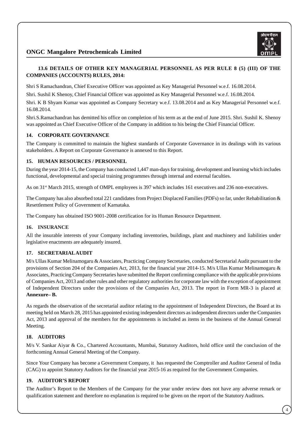

# **13.6 DETAILS OF OTHER KEY MANAGERIAL PERSONNEL AS PER RULE 8 (5) (III) OF THE COMPANIES (ACCOUNTS) RULES, 2014:**

Shri S Ramachandran, Chief Executive Officer was appointed as Key Managerial Personnel w.e.f. 16.08.2014.

Shri. Sushil K Shenoy, Chief Financial Officer was appointed as Key Managerial Personnel w.e.f. 16.08.2014.

Shri. K B Shyam Kumar was appointed as Company Secretary w.e.f. 13.08.2014 and as Key Managerial Personnel w.e.f. 16.08.2014.

Shri.S.Ramachandran has demitted his office on completion of his term as at the end of June 2015. Shri. Sushil K. Shenoy was appointed as Chief Executive Officer of the Company in addition to his being the Chief Financial Officer.

# **14. CORPORATE GOVERNANCE**

The Company is committed to maintain the highest standards of Corporate Governance in its dealings with its various stakeholders. A Report on Corporate Governance is annexed to this Report.

# **15. HUMAN RESOURCES / PERSONNEL**

During the year 2014-15, the Company has conducted 1,447 man-days for training, development and learning which includes functional, developmental and special training programmes through internal and external faculties.

As on 31st March 2015, strength of OMPL employees is 397 which includes 161 executives and 236 non-executives.

The Company has also absorbed total 221 candidates from Project Displaced Families (PDFs) so far, under Rehabilitation & Resettlement Policy of Government of Karnataka.

The Company has obtained ISO 9001-2008 certification for its Human Resource Department.

# **16. INSURANCE**

All the insurable interests of your Company including inventories, buildings, plant and machinery and liabilities under legislative enactments are adequately insured.

# **17. SECRETARIAL AUDIT**

M/s Ullas Kumar Melinamogaru & Associates, Practicing Company Secretaries, conducted Secretarial Audit pursuant to the provisions of Section 204 of the Companies Act, 2013, for the financial year 2014-15. M/s Ullas Kumar Melinamogaru & Associates, Practicing Company Secretaries have submitted the Report confirming compliance with the applicable provisions of Companies Act, 2013 and other rules and other regulatory authorities for corporate law with the exception of appointment of Independent Directors under the provisions of the Companies Act, 2013. The report in Form MR-3 is placed at **Annexure– B.**

As regards the observation of the secretarial auditor relating to the appointment of Independent Directors, the Board at its meeting held on March 28, 2015 has appointed existing independent directors as independent directors under the Companies Act, 2013 and approval of the members for the appointments is included as items in the business of the Annual General Meeting.

# **18. AUDITORS**

M/s V. Sankar Aiyar & Co., Chartered Accountants, Mumbai, Statutory Auditors, hold office until the conclusion of the forthcoming Annual General Meeting of the Company.

Since Your Company has become a Government Company, it has requested the Comptroller and Auditor General of India (CAG) to appoint Statutory Auditors for the financial year 2015-16 as required for the Government Companies.

# **19. AUDITOR'S REPORT**

The Auditor's Report to the Members of the Company for the year under review does not have any adverse remark or qualification statement and therefore no explanation is required to be given on the report of the Statutory Auditors.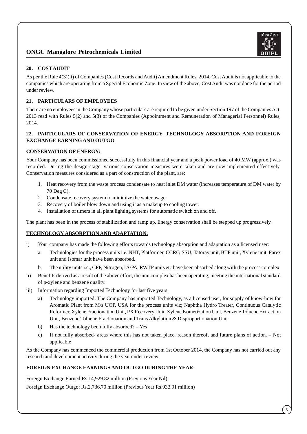

# **20. COST AUDIT**

As per the Rule 4(3)(ii) of Companies (Cost Records and Audit) Amendment Rules, 2014, Cost Audit is not applicable to the companies which are operating from a Special Economic Zone. In view of the above, Cost Audit was not done for the period under review.

# **21. PARTICULARS OF EMPLOYEES**

There are no employees in the Company whose particulars are required to be given under Section 197 of the Companies Act, 2013 read with Rules 5(2) and 5(3) of the Companies (Appointment and Remuneration of Managerial Personnel) Rules, 2014.

# **22. PARTICULARS OF CONSERVATION OF ENERGY, TECHNOLOGY ABSORPTION AND FOREIGN EXCHANGE EARNING AND OUTGO**

# **CONSERVATION OF ENERGY:**

Your Company has been commissioned successfully in this financial year and a peak power load of 40 MW (approx.) was recorded. During the design stage, various conservation measures were taken and are now implemented effectively. Conservation measures considered as a part of construction of the plant, are:

- 1. Heat recovery from the waste process condensate to heat inlet DM water (increases temperature of DM water by 70 Deg C).
- 2. Condensate recovery system to minimize the water usage
- 3. Recovery of boiler blow down and using it as a makeup to cooling tower.
- 4. Installation of timers in all plant lighting systems for automatic switch on and off.

The plant has been in the process of stabilization and ramp up. Energy conservation shall be stepped up progressively.

# **TECHNOLOGY ABSORPTION AND ADAPTATION:**

- i) Your company has made the following efforts towards technology absorption and adaptation as a licensed user:
	- a. Technologies for the process units i.e. NHT, Platformer, CCRG, SSU, Tatoray unit, BTF unit, Xylene unit, Parex unit and Isomar unit have been absorbed.
	- b. The utility units i.e., CPP, Nitrogen, IA/PA, RWTP units etc have been absorbed along with the process complex.
- ii) Benefits derived as a result of the above effort, the unit complex has been operating, meeting the international standard of p-xylene and benzene quality.
- iii) Information regarding Imported Technology for last five years:
	- a) Technology imported: The Company has imported Technology, as a licensed user, for supply of know-how for Aromatic Plant from M/s UOP, USA for the process units viz; Naphtha Hydro Treater, Continuous Catalytic Reformer, Xylene Fractionation Unit, PX Recovery Unit, Xylene Isomerization Unit, Benzene Toluene Extraction Unit, Benzene Toluene Fractionation and Trans Alkylation & Disproportionation Unit.
	- b) Has the technology been fully absorbed? Yes
	- c) If not fully absorbed- areas where this has not taken place, reason thereof, and future plans of action. Not applicable

As the Company has commenced the commercial production from 1st October 2014, the Company has not carried out any research and development activity during the year under review.

# **FOREIGN EXCHANGE EARNINGS AND OUTGO DURING THE YEAR:**

Foreign Exchange Earned:Rs.14,929.82 million (Previous Year Nil)

Foreign Exchange Outgo: Rs.2,736.70 million (Previous Year Rs.933.91 million)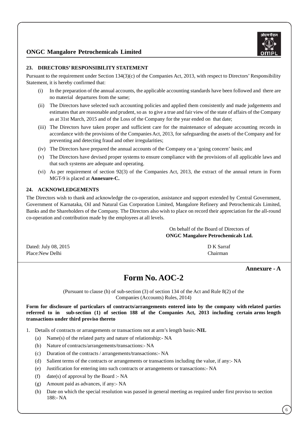

# **23. DIRECTORS' RESPONSIBILITY STATEMENT**

Pursuant to the requirement under Section 134(3)(c) of the Companies Act, 2013, with respect to Directors' Responsibility Statement, it is hereby confirmed that:

- (i) In the preparation of the annual accounts, the applicable accounting standards have been followed and there are no material departures from the same;
- (ii) The Directors have selected such accounting policies and applied them consistently and made judgements and estimates that are reasonable and prudent, so as to give a true and fair view of the state of affairs of the Company as at 31st March, 2015 and of the Loss of the Company for the year ended on that date;
- (iii) The Directors have taken proper and sufficient care for the maintenance of adequate accounting records in accordance with the provisions of the Companies Act, 2013, for safeguarding the assets of the Company and for preventing and detecting fraud and other irregularities;
- (iv) The Directors have prepared the annual accounts of the Company on a 'going concern' basis; and
- (v) The Directors have devised proper systems to ensure compliance with the provisions of all applicable laws and that such systems are adequate and operating.
- (vi) As per requirement of section 92(3) of the Companies Act, 2013, the extract of the annual return in Form MGT-9 is placed at **Annexure-C.**

# **24. ACKNOWLEDGEMENTS**

The Directors wish to thank and acknowledge the co-operation, assistance and support extended by Central Government, Government of Karnataka, Oil and Natural Gas Corporation Limited, Mangalore Refinery and Petrochemicals Limited, Banks and the Shareholders of the Company. The Directors also wish to place on record their appreciation for the all-round co-operation and contribution made by the employees at all levels.

> On behalf of the Board of Directors of **ONGC Mangalore Petrochemicals Ltd.**

Dated: July 08, 2015 D K Sarraf Place:New Delhi Chairman Chairman Chairman Chairman Chairman Chairman Chairman Chairman Chairman Chairman Chairman

**Annexure - A**

# **Form No. AOC-2**

(Pursuant to clause (h) of sub-section (3) of section 134 of the Act and Rule 8(2) of the Companies (Accounts) Rules, 2014)

**Form for disclosure of particulars of contracts/arrangements entered into by the company with related parties referred to in sub-section (1) of section 188 of the Companies Act, 2013 including certain arms length transactions under third proviso thereto**

1. Details of contracts or arrangements or transactions not at arm's length basis:-**NIL**

- (a) Name(s) of the related party and nature of relationship:- NA
- (b) Nature of contracts/arrangements/transactions:- NA
- (c) Duration of the contracts / arrangements/transactions:- NA
- (d) Salient terms of the contracts or arrangements or transactions including the value, if any:- NA
- (e) Justification for entering into such contracts or arrangements or transactions:- NA
- (f) date(s) of approval by the Board :- NA
- (g) Amount paid as advances, if any:- NA
- (h) Date on which the special resolution was passed in general meeting as required under first proviso to section 188:- NA

6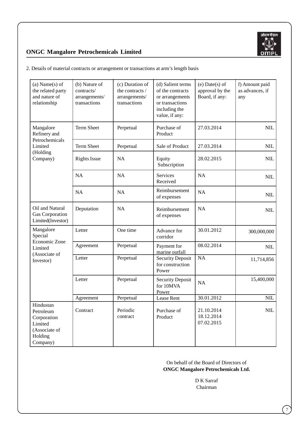

# 2. Details of material contracts or arrangement or transactions at arm's length basis

| $(a)$ Name $(s)$ of<br>the related party<br>and nature of<br>relationship                | (b) Nature of<br>contracts/<br>arrangements/<br>transactions | (c) Duration of<br>the contracts /<br>arrangements/<br>transactions | (d) Salient terms<br>of the contracts<br>or arrangements<br>or transactions<br>including the<br>value, if any: | $(e)$ Date $(s)$ of<br>approval by the<br>Board, if any: | f) Amount paid<br>as advances, if<br>any |
|------------------------------------------------------------------------------------------|--------------------------------------------------------------|---------------------------------------------------------------------|----------------------------------------------------------------------------------------------------------------|----------------------------------------------------------|------------------------------------------|
| Mangalore<br>Refinery and                                                                | <b>Term Sheet</b>                                            | Perpetual                                                           | Purchase of<br>Product                                                                                         | 27.03.2014                                               | NIL                                      |
| Petrochemicals<br>Limited                                                                | <b>Term Sheet</b>                                            | Perpetual                                                           | Sale of Product                                                                                                | 27.03.2014                                               | <b>NIL</b>                               |
| (Holding<br>Company)                                                                     | <b>Rights Issue</b>                                          | <b>NA</b>                                                           | Equity<br>Subscription                                                                                         | 28.02.2015                                               | <b>NIL</b>                               |
|                                                                                          | NA                                                           | <b>NA</b>                                                           | <b>Services</b><br>Received                                                                                    | NA                                                       | NIL                                      |
|                                                                                          | <b>NA</b>                                                    | NA                                                                  | Reimbursement<br>of expenses                                                                                   | <b>NA</b>                                                | <b>NIL</b>                               |
| Oil and Natural<br><b>Gas Corporation</b><br>Limited(Investor)                           | Deputation                                                   | <b>NA</b>                                                           | Reimbursement<br>of expenses                                                                                   | <b>NA</b>                                                | <b>NIL</b>                               |
| Mangalore<br>Special                                                                     | Letter                                                       | One time                                                            | Advance for<br>corridor                                                                                        | 30.01.2012                                               | 300,000,000                              |
| Economic Zone<br>Limited                                                                 | Agreement                                                    | Perpetual                                                           | Payment for<br>marine outfall                                                                                  | 08.02.2014                                               | <b>NIL</b>                               |
| (Associate of<br>Investor)                                                               | Letter                                                       | Perpetual                                                           | <b>Security Deposit</b><br>for construction<br>Power                                                           | <b>NA</b>                                                | 11,714,856                               |
|                                                                                          | Letter                                                       | Perpetual                                                           | <b>Security Deposit</b><br>for 10MVA<br>Power                                                                  | <b>NA</b>                                                | 15,400,000                               |
|                                                                                          | Agreement                                                    | Perpetual                                                           | Lease Rent                                                                                                     | 30.01.2012                                               | <b>NIL</b>                               |
| Hindustan<br>Petroleum<br>Corporation<br>Limited<br>(Associate of<br>Holding<br>Company) | Contract                                                     | Periodic<br>contract                                                | Purchase of<br>Product                                                                                         | 21.10.2014<br>18.12.2014<br>07.02.2015                   | NIL                                      |

On behalf of the Board of Directors of **ONGC Mangalore Petrochemicals Ltd.**

> D K Sarraf Chairman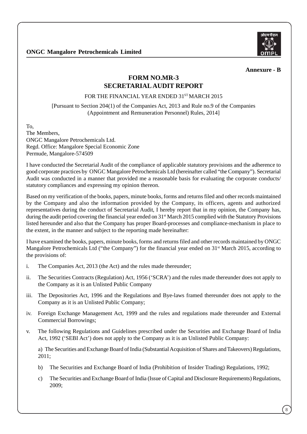

# **Annexure - B**

# **FORM NO.MR-3 SECRETARIAL AUDIT REPORT**

# FOR THE FINANCIAL YEAR ENDED 31<sup>ST</sup> MARCH 2015

[Pursuant to Section 204(1) of the Companies Act, 2013 and Rule no.9 of the Companies (Appointment and Remuneration Personnel) Rules, 2014]

To,

The Members, ONGC Mangalore Petrochemicals Ltd. Regd. Office: Mangalore Special Economic Zone Permude, Mangalore-574509

I have conducted the Secretarial Audit of the compliance of applicable statutory provisions and the adherence to good corporate practices by ONGC Mangalore Petrochemicals Ltd (hereinafter called "the Company"). Secretarial Audit was conducted in a manner that provided me a reasonable basis for evaluating the corporate conducts/ statutory compliances and expressing my opinion thereon.

Based on my verification of the books, papers, minute books, forms and returns filed and other records maintained by the Company and also the information provided by the Company, its officers, agents and authorized representatives during the conduct of Secretarial Audit, I hereby report that in my opinion, the Company has, during the audit period covering the financial year ended on 31<sup>st</sup> March 2015 complied with the Statutory Provisions listed hereunder and also that the Company has proper Board-processes and compliance-mechanism in place to the extent, in the manner and subject to the reporting made hereinafter:

I have examined the books, papers, minute books, forms and returns filed and other records maintained by ONGC Mangalore Petrochemicals Ltd ("the Company") for the financial year ended on 31<sup>st</sup> March 2015, according to the provisions of:

- i. The Companies Act, 2013 (the Act) and the rules made thereunder;
- ii. The Securities Contracts (Regulation) Act, 1956 ('SCRA') and the rules made thereunder does not apply to the Company as it is an Unlisted Public Company
- iii. The Depositories Act, 1996 and the Regulations and Bye-laws framed thereunder does not apply to the Company as it is an Unlisted Public Company;
- iv. Foreign Exchange Management Act, 1999 and the rules and regulations made thereunder and External Commercial Borrowings;
- v. The following Regulations and Guidelines prescribed under the Securities and Exchange Board of India Act, 1992 ('SEBI Act') does not apply to the Company as it is an Unlisted Public Company:

a) The Securities and Exchange Board of India (Substantial Acquisition of Shares and Takeovers) Regulations, 2011;

- b) The Securities and Exchange Board of India (Prohibition of Insider Trading) Regulations, 1992;
- c) The Securities and Exchange Board of India (Issue of Capital and Disclosure Requirements) Regulations, 2009;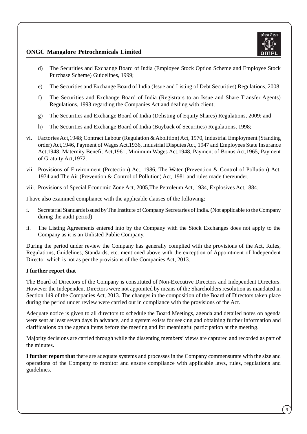

- d) The Securities and Exchange Board of India (Employee Stock Option Scheme and Employee Stock Purchase Scheme) Guidelines, 1999;
- e) The Securities and Exchange Board of India (Issue and Listing of Debt Securities) Regulations, 2008;
- f) The Securities and Exchange Board of India (Registrars to an Issue and Share Transfer Agents) Regulations, 1993 regarding the Companies Act and dealing with client;
- g) The Securities and Exchange Board of India (Delisting of Equity Shares) Regulations, 2009; and
- h) The Securities and Exchange Board of India (Buyback of Securities) Regulations, 1998;
- vi. Factories Act,1948; Contract Labour (Regulation & Abolition) Act, 1970, Industrial Employment (Standing order) Act,1946, Payment of Wages Act,1936, Industrial Disputes Act, 1947 and Employees State Insurance Act,1948, Maternity Benefit Act,1961, Minimum Wages Act,1948, Payment of Bonus Act,1965, Payment of Gratuity Act,1972.
- vii. Provisions of Environment (Protection) Act, 1986, The Water (Prevention & Control of Pollution) Act, 1974 and The Air (Prevention & Control of Pollution) Act, 1981 and rules made thereunder.
- viii. Provisions of Special Economic Zone Act, 2005,The Petroleum Act, 1934, Explosives Act,1884.

I have also examined compliance with the applicable clauses of the following:

- i. Secretarial Standards issued by The Institute of Company Secretaries of India. (Not applicable to the Company during the audit period)
- ii. The Listing Agreements entered into by the Company with the Stock Exchanges does not apply to the Company as it is an Unlisted Public Company.

During the period under review the Company has generally complied with the provisions of the Act, Rules, Regulations, Guidelines, Standards, etc. mentioned above with the exception of Appointment of Independent Director which is not as per the provisions of the Companies Act, 2013.

# **I further report that**

The Board of Directors of the Company is constituted of Non-Executive Directors and Independent Directors. However the Independent Directors were not appointed by means of the Shareholders resolution as mandated in Section 149 of the Companies Act, 2013. The changes in the composition of the Board of Directors taken place during the period under review were carried out in compliance with the provisions of the Act.

Adequate notice is given to all directors to schedule the Board Meetings, agenda and detailed notes on agenda were sent at least seven days in advance, and a system exists for seeking and obtaining further information and clarifications on the agenda items before the meeting and for meaningful participation at the meeting.

Majority decisions are carried through while the dissenting members' views are captured and recorded as part of the minutes.

**I further report that** there are adequate systems and processes in the Company commensurate with the size and operations of the Company to monitor and ensure compliance with applicable laws, rules, regulations and guidelines.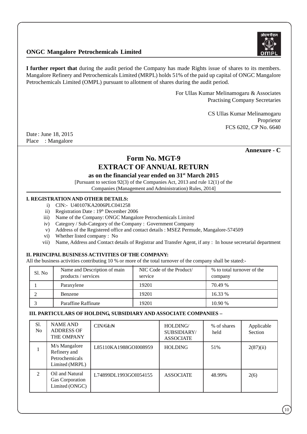

**I further report that** during the audit period the Company has made Rights issue of shares to its members. Mangalore Refinery and Petrochemicals Limited (MRPL) holds 51% of the paid up capital of ONGC Mangalore Petrochemicals Limited (OMPL) pursuant to allotment of shares during the audit period.

> For Ullas Kumar Melinamogaru & Associates Practising Company Secretaries

> > CS Ullas Kumar Melinamogaru Proprietor FCS 6202, CP No. 6640

Date : June 18, 2015 Place : Mangalore

# **Form No. MGT-9**

**Annexure - C**

# **EXTRACT OF ANNUAL RETURN**

# **as on the financial year ended on 31st March 2015**

[Pursuant to section 92(3) of the Companies Act, 2013 and rule 12(1) of the Companies (Management and Administration) Rules, 2014]

# **I. REGISTRATION AND OTHER DETAILS:**

- i) CIN:- U40107KA2006PLC041258
- ii) Registration Date :  $19<sup>th</sup>$  December 2006
- iii) Name of the Company: ONGC Mangalore Petrochemicals Limited
- iv) Category / Sub-Category of the Company : Government Company
- v) Address of the Registered office and contact details : MSEZ Permude, Mangalore-574509
- vi) Whether listed company : No
- vii) Name, Address and Contact details of Registrar and Transfer Agent, if any : In house secretarial department

# **II. PRINCIPAL BUSINESS ACTIVITIES OF THE COMPANY:**

All the business activities contributing 10 % or more of the total turnover of the company shall be stated:-

| Sl. No | Name and Description of main<br>products / services | NIC Code of the Product/<br>service | % to total turnover of the<br>company |
|--------|-----------------------------------------------------|-------------------------------------|---------------------------------------|
|        | Paraxylene                                          | 19201                               | 70.49 %                               |
|        | Benzene                                             | 19201                               | 16.33 %                               |
|        | Paraffine Raffinate                                 | 19201                               | 10.90 %                               |

# **III. PARTICULARS OF HOLDING, SUBSIDIARY AND ASSOCIATE COMPANIES –**

| Sl.<br>No.                  | <b>NAME AND</b><br><b>ADDRESS OF</b><br>THE OMPANY                | CIN/ <del>GLN</del>   | HOLDING/<br>SUBSIDIARY/<br><b>ASSOCIATE</b> | % of shares<br>held | Applicable<br>Section |
|-----------------------------|-------------------------------------------------------------------|-----------------------|---------------------------------------------|---------------------|-----------------------|
|                             | M/s Mangalore<br>Refinery and<br>Petrochemicals<br>Limited (MRPL) | L85110KA1988GOI008959 | <b>HOLDING</b>                              | 51%                 | 2(87)(ii)             |
| $\mathcal{D}_{\mathcal{L}}$ | Oil and Natural<br>Gas Corporation<br>Limited (ONGC)              | L74899DL1993GOI054155 | <b>ASSOCIATE</b>                            | 48.99%              | 2(6)                  |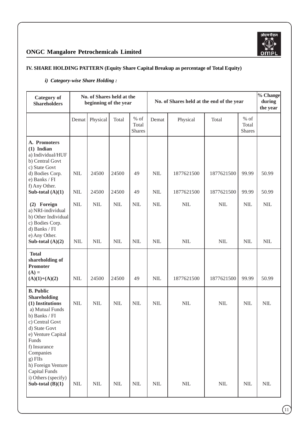

# **IV. SHARE HOLDING PATTERN (Equity Share Capital Breakup as percentage of Total Equity)**

# *i) Category-wise Share Holding :*

| <b>Category</b> of<br><b>Shareholders</b>                                                                                                                                                                                                                                                      |                                            | No. of Shares held at the<br>beginning of the year |                                       |                                    |                                            | No. of Shares held at the end of the year  |                                            |                                     |                                       |  |
|------------------------------------------------------------------------------------------------------------------------------------------------------------------------------------------------------------------------------------------------------------------------------------------------|--------------------------------------------|----------------------------------------------------|---------------------------------------|------------------------------------|--------------------------------------------|--------------------------------------------|--------------------------------------------|-------------------------------------|---------------------------------------|--|
|                                                                                                                                                                                                                                                                                                | Demat                                      | Physical                                           | Total                                 | $%$ of<br>Total<br><b>Shares</b>   | Demat                                      | Physical                                   | Total                                      | $%$ of<br>Total<br><b>Shares</b>    |                                       |  |
| A. Promoters<br>$(1)$ Indian<br>a) Individual/HUF<br>b) Central Govt<br>c) State Govt<br>d) Bodies Corp.<br>e) Banks / FI<br>f) Any Other.                                                                                                                                                     | $\text{NIL}$                               | 24500                                              | 24500                                 | 49                                 | $\text{NIL}$                               | 1877621500                                 | 1877621500                                 | 99.99                               | 50.99                                 |  |
| Sub-total $(A)(1)$<br>(2) Foreign<br>a) NRI-individual<br>b) Other Individual<br>c) Bodies Corp.<br>d) Banks / FI<br>e) Any Other.<br>Sub-total $(A)(2)$                                                                                                                                       | $\text{NIL}$<br>$\text{NIL}$<br><b>NIL</b> | 24500<br>$\text{NIL}$<br>$\text{NIL}$              | 24500<br>$\text{NIL}$<br>$\text{NIL}$ | 49<br>$\text{NIL}$<br>$\text{NIL}$ | <b>NIL</b><br>$\text{NIL}$<br>$\text{NIL}$ | 1877621500<br>$\text{NIL}$<br>$\text{NIL}$ | 1877621500<br>$\text{NIL}$<br>$\text{NIL}$ | 99.99<br><b>NIL</b><br>$\text{NIL}$ | 50.99<br>$\text{NIL}$<br>$\text{NIL}$ |  |
| <b>Total</b><br>shareholding of<br><b>Promoter</b><br>$(A) =$<br>$(A)(1)+(A)(2)$                                                                                                                                                                                                               | $\text{NIL}$                               | 24500                                              | 24500                                 | 49                                 | NIL                                        | 1877621500                                 | 1877621500                                 | 99.99                               | 50.99                                 |  |
| <b>B.</b> Public<br><b>Shareholding</b><br>(1) Institutions<br>a) Mutual Funds<br>b) Banks / FI<br>c) Central Govt<br>d) State Govt<br>e) Venture Capital<br>Funds<br>f) Insurance<br>Companies<br>g) FIIs<br>h) Foreign Venture<br>Capital Funds<br>i) Others (specify)<br>Sub-total $(B)(1)$ | $\text{NIL}$<br>$\text{NIL}$               | $\text{NIL}$<br>$\text{NIL}$                       | $\text{NIL}$<br>$\text{NIL}$          | $\text{NIL}$<br>NIL                | $NIL$<br>$NIL$                             | $\text{NIL}$<br>$\mbox{NIL}$               | $\text{NIL}$<br>$\mbox{NIL}$               | $\text{NIL}$<br><b>NIL</b>          | $\text{NIL}$<br>$\text{NIL}$          |  |

 $\binom{1}{1}$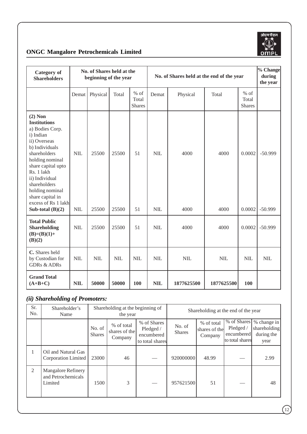

| <b>Category</b> of<br><b>Shareholders</b>                                                                                                                                                                                                                                 |            | No. of Shares held at the<br>beginning of the year |            | No. of Shares held at the end of the year |            | % Change<br>during<br>the year |            |                                  |            |
|---------------------------------------------------------------------------------------------------------------------------------------------------------------------------------------------------------------------------------------------------------------------------|------------|----------------------------------------------------|------------|-------------------------------------------|------------|--------------------------------|------------|----------------------------------|------------|
|                                                                                                                                                                                                                                                                           | Demat      | Physical                                           | Total      | $%$ of<br>Total<br><b>Shares</b>          | Demat      | Physical                       | Total      | $%$ of<br>Total<br><b>Shares</b> |            |
| $(2)$ Non<br><b>Institutions</b><br>a) Bodies Corp.<br>i) Indian<br>ii) Overseas<br>b) Individuals<br>shareholders<br>holding nominal<br>share capital upto<br>Rs. 1 lakh<br>ii) Individual<br>shareholders<br>holding nominal<br>share capital in<br>excess of Rs 1 lakh | <b>NIL</b> | 25500                                              | 25500      | 51                                        | <b>NIL</b> | 4000                           | 4000       | 0.0002                           | $-50.999$  |
| Sub-total $(B)(2)$                                                                                                                                                                                                                                                        | <b>NIL</b> | 25500                                              | 25500      | 51                                        | <b>NIL</b> | 4000                           | 4000       | 0.0002                           | $-50.999$  |
| <b>Total Public</b><br><b>Shareholding</b><br>$(B)=(B)(1)+$<br>(B)(2)                                                                                                                                                                                                     | <b>NIL</b> | 25500                                              | 25500      | 51                                        | <b>NIL</b> | 4000                           | 4000       | 0.0002                           | $-50.999$  |
| C. Shares held<br>by Custodian for<br><b>GDRs &amp; ADRs</b>                                                                                                                                                                                                              | <b>NIL</b> | <b>NIL</b>                                         | <b>NIL</b> | <b>NIL</b>                                | <b>NIL</b> | <b>NIL</b>                     | <b>NIL</b> | <b>NIL</b>                       | <b>NIL</b> |
| <b>Grand Total</b><br>$(A+B+C)$                                                                                                                                                                                                                                           | <b>NIL</b> | 50000                                              | 50000      | <b>100</b>                                | <b>NIL</b> | 1877625500                     | 1877625500 | <b>100</b>                       |            |

# *(ii) Shareholding of Promoters:*

| Sr.<br>No. | Shareholder's<br>Name                                      | Shareholding at the beginning of<br>the year |                                        | Shareholding at the end of the year                       |                         |                                        |                                             |                                                                 |
|------------|------------------------------------------------------------|----------------------------------------------|----------------------------------------|-----------------------------------------------------------|-------------------------|----------------------------------------|---------------------------------------------|-----------------------------------------------------------------|
|            |                                                            | No. of<br><b>Shares</b>                      | % of total<br>shares of the<br>Company | % of Shares<br>Pledged /<br>encumbered<br>to total shares | No. of<br><b>Shares</b> | % of total<br>shares of the<br>Company | Pledged /<br>encumbered<br>lto total shares | % of Shares   % change in<br>shareholding<br>during the<br>year |
| 1          | Oil and Natural Gas<br>Corporation Limited                 | 23000                                        | 46                                     |                                                           | 920000000               | 48.99                                  |                                             | 2.99                                                            |
| 2          | <b>Mangalore Refinery</b><br>and Petrochemicals<br>Limited | 1500                                         | 3                                      |                                                           | 957621500               | 51                                     |                                             | 48                                                              |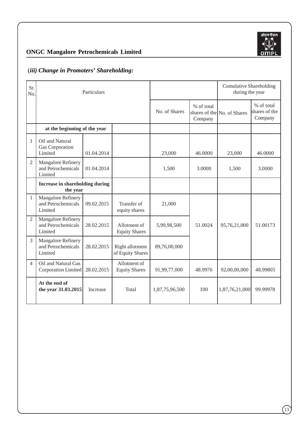

# (*iii) Change in Promoters' Shareholding:*

| Sr.<br>No.     |                                                            | Particulars     |                                      |                |                       | <b>Cumulative Shareholding</b><br>during the year |                                        |
|----------------|------------------------------------------------------------|-----------------|--------------------------------------|----------------|-----------------------|---------------------------------------------------|----------------------------------------|
|                |                                                            |                 |                                      | No. of Shares  | % of total<br>Company | shares of the No. of Shares                       | % of total<br>shares of the<br>Company |
|                | at the beginning of the year                               |                 |                                      |                |                       |                                                   |                                        |
| 1              | Oil and Natural<br><b>Gas Corporation</b><br>Limited       | 01.04.2014      |                                      | 23,000         | 46.0000               | 23,000                                            | 46.0000                                |
| 2              | <b>Mangalore Refinery</b><br>and Petrochemicals<br>Limited | 01.04.2014      |                                      | 1,500          | 3.0000                | 1,500                                             | 3.0000                                 |
|                | Increase in shareholding during<br>the year                |                 |                                      |                |                       |                                                   |                                        |
| 1              | <b>Mangalore Refinery</b><br>and Petrochemicals<br>Limited | 09.02.2015      | Transfer of<br>equity shares         | 21,000         |                       |                                                   |                                        |
| 2              | <b>Mangalore Refinery</b><br>and Petrochemicals<br>Limited | 28.02.2015      | Allotment of<br><b>Equity Shares</b> | 5,99,98,500    | 51.0024               | 95,76,21,000                                      | 51.00173                               |
| 3              | <b>Mangalore Refinery</b><br>and Petrochemicals<br>Limited | 28.02.2015      | Right allotment<br>of Equity Shares  | 89,76,00,000   |                       |                                                   |                                        |
| $\overline{4}$ | Oil and Natural Gas<br>Corporation Limited                 | 28.02.2015      | Allotment of<br><b>Equity Shares</b> | 91,99,77,000   | 48.9976               | 92,00,00,000                                      | 48.99805                               |
|                | At the end of<br>the year 31.03.2015                       | <b>Increase</b> | Total                                | 1,87,75,96,500 | 100                   | 1,87,76,21,000                                    | 99.99978                               |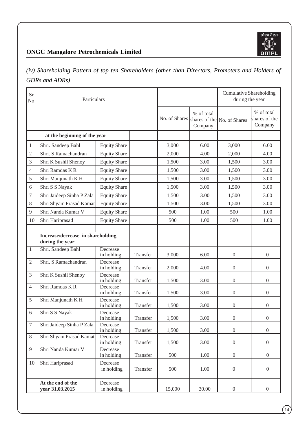

*(iv) Shareholding Pattern of top ten Shareholders (other than Directors, Promoters and Holders of GDRs and ADRs)*

| Sr.<br>No.     | Particulars                                          |                        |          | <b>Cumulative Shareholding</b><br>during the year |                       |                                           |                                        |  |
|----------------|------------------------------------------------------|------------------------|----------|---------------------------------------------------|-----------------------|-------------------------------------------|----------------------------------------|--|
|                |                                                      |                        |          |                                                   | % of total<br>Company | No. of Shares Shares of the No. of Shares | % of total<br>shares of the<br>Company |  |
|                | at the beginning of the year                         |                        |          |                                                   |                       |                                           |                                        |  |
| 1              | Shri. Sandeep Bahl                                   | <b>Equity Share</b>    |          | 3,000                                             | 6.00                  | 3,000                                     | 6.00                                   |  |
| $\overline{2}$ | Shri. S Ramachandran                                 | <b>Equity Share</b>    |          | 2,000                                             | 4.00                  | 2,000                                     | 4.00                                   |  |
| 3              | Shri K Sushil Shenoy                                 | <b>Equity Share</b>    |          | 1,500                                             | 3.00                  | 1,500                                     | 3.00                                   |  |
| $\overline{4}$ | Shri Ramdas KR                                       | <b>Equity Share</b>    |          | 1,500                                             | 3.00                  | 1,500                                     | 3.00                                   |  |
| 5              | Shri Manjunath K H                                   | <b>Equity Share</b>    |          | 1,500                                             | 3.00                  | 1,500                                     | 3.00                                   |  |
| 6              | Shri S S Nayak                                       | <b>Equity Share</b>    |          | 1,500                                             | 3.00                  | 1,500                                     | 3.00                                   |  |
| $\overline{7}$ | Shri Jaideep Sinha P Zala                            | <b>Equity Share</b>    |          | 1,500                                             | 3.00                  | 1,500                                     | 3.00                                   |  |
| 8              | Shri Shyam Prasad Kamat                              | <b>Equity Share</b>    |          | 1,500                                             | 3.00                  | 1,500                                     | 3.00                                   |  |
| 9              | Shri Nanda Kumar V                                   | <b>Equity Share</b>    |          | 500                                               | 1.00                  | 500                                       | 1.00                                   |  |
| 10             | Shri Hariprasad                                      | <b>Equity Share</b>    |          | 500                                               | 1.00                  | 500                                       | 1.00                                   |  |
|                |                                                      |                        |          |                                                   |                       |                                           |                                        |  |
|                | Increase/decrease in shareholding<br>during the year |                        |          |                                                   |                       |                                           |                                        |  |
| 1              | Shri. Sandeep Bahl                                   | Decrease<br>in holding | Transfer | 3,000                                             | 6.00                  | $\boldsymbol{0}$                          | $\boldsymbol{0}$                       |  |
| $\overline{2}$ | Shri. S Ramachandran                                 | Decrease<br>in holding | Transfer | 2,000                                             | 4.00                  | $\overline{0}$                            | $\overline{0}$                         |  |
| 3              | Shri K Sushil Shenoy                                 | Decrease<br>in holding | Transfer | 1,500                                             | 3.00                  | $\overline{0}$                            | $\overline{0}$                         |  |
| $\overline{4}$ | Shri Ramdas K R                                      | Decrease<br>in holding | Transfer | 1,500                                             | 3.00                  | $\theta$                                  | $\boldsymbol{0}$                       |  |
| 5              | Shri Manjunath K H                                   | Decrease<br>in holding | Transfer | 1,500                                             | 3.00                  | $\overline{0}$                            | $\overline{0}$                         |  |
| 6              | Shri S S Nayak                                       | Decrease<br>in holding | Transfer | 1,500                                             | 3.00                  | $\boldsymbol{0}$                          | $\overline{0}$                         |  |
| $\overline{7}$ | Shri Jaideep Sinha P Zala                            | Decrease<br>in holding | Transfer | 1,500                                             | 3.00                  | $\overline{0}$                            | $\boldsymbol{0}$                       |  |
| 8              | Shri Shyam Prasad Kamat                              | Decrease<br>in holding | Transfer | 1,500                                             | 3.00                  | $\overline{0}$                            | $\overline{0}$                         |  |
| 9              | Shri Nanda Kumar V                                   | Decrease<br>in holding | Transfer | 500                                               | 1.00                  | $\overline{0}$                            | $\overline{0}$                         |  |
| 10             | Shri Hariprasad                                      | Decrease<br>in holding | Transfer | 500                                               | 1.00                  | $\overline{0}$                            | $\overline{0}$                         |  |
|                | At the end of the<br>year 31.03.2015                 | Decrease<br>in holding |          | 15,000                                            | 30.00                 | $\boldsymbol{0}$                          | $\overline{0}$                         |  |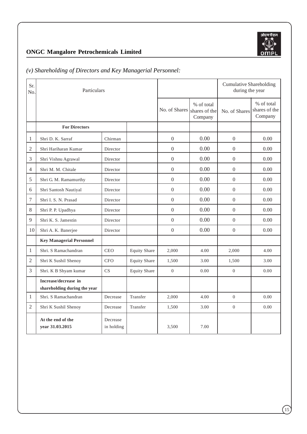

# *(v) Shareholding of Directors and Key Managerial Personnel:*

| Sr.<br>No.     | Particulars                                          |                        |                     | <b>Cumulative Shareholding</b><br>during the year |                                        |                  |                                        |
|----------------|------------------------------------------------------|------------------------|---------------------|---------------------------------------------------|----------------------------------------|------------------|----------------------------------------|
|                |                                                      |                        |                     | No. of Shares                                     | % of total<br>shares of the<br>Company | No. of Shares    | % of total<br>shares of the<br>Company |
|                | <b>For Directors</b>                                 |                        |                     |                                                   |                                        |                  |                                        |
| 1              | Shri D. K. Sarraf                                    | Chirman                |                     | $\mathbf{0}$                                      | 0.00                                   | $\overline{0}$   | 0.00                                   |
| $\overline{2}$ | Shri Hariharan Kumar                                 | Director               |                     | $\boldsymbol{0}$                                  | 0.00                                   | $\overline{0}$   | 0.00                                   |
| 3              | Shri Vishnu Agrawal                                  | Director               |                     | $\overline{0}$                                    | 0.00                                   | $\overline{0}$   | 0.00                                   |
| $\overline{4}$ | Shri M. M. Chitale                                   | Director               |                     | $\overline{0}$                                    | 0.00                                   | $\overline{0}$   | 0.00                                   |
| 5              | Shri G. M. Ramamurthy                                | Director               |                     | $\mathbf{0}$                                      | 0.00                                   | $\Omega$         | 0.00                                   |
| 6              | Shri Santosh Nautiyal                                | Director               |                     | $\mathbf{0}$                                      | 0.00                                   | $\mathbf{0}$     | 0.00                                   |
| 7              | Shri I. S. N. Prasad                                 | Director               |                     | $\Omega$                                          | 0.00                                   | $\overline{0}$   | 0.00                                   |
| 8              | Shri P. P. Upadhya                                   | Director               |                     | $\overline{0}$                                    | 0.00                                   | $\overline{0}$   | 0.00                                   |
| 9              | Shri K. S. Jamestin                                  | Director               |                     | $\mathbf{0}$                                      | 0.00                                   | $\overline{0}$   | 0.00                                   |
| 10             | Shri A. K. Banerjee                                  | Director               |                     | $\mathbf{0}$                                      | 0.00                                   | $\overline{0}$   | 0.00                                   |
|                | <b>Key Managerial Personnel</b>                      |                        |                     |                                                   |                                        |                  |                                        |
| 1              | Shri. S Ramachandran                                 | <b>CEO</b>             | <b>Equity Share</b> | 2.000                                             | 4.00                                   | 2.000            | 4.00                                   |
| $\overline{2}$ | Shri K Sushil Shenoy                                 | <b>CFO</b>             | <b>Equity Share</b> | 1,500                                             | 3.00                                   | 1,500            | 3.00                                   |
| 3              | Shri. K B Shyam kumar                                | CS                     | <b>Equity Share</b> | $\boldsymbol{0}$                                  | 0.00                                   | $\boldsymbol{0}$ | 0.00                                   |
|                | Increase/decrease in<br>shareholding during the year |                        |                     |                                                   |                                        |                  |                                        |
| 1              | Shri. S Ramachandran                                 | Decrease               | Transfer            | 2,000                                             | 4.00                                   | $\overline{0}$   | 0.00                                   |
| $\overline{2}$ | Shri K Sushil Shenoy                                 | Decrease               | Transfer            | 1,500                                             | 3.00                                   | $\overline{0}$   | 0.00                                   |
|                | At the end of the<br>vear 31.03.2015                 | Decrease<br>in holding |                     | 3,500                                             | 7.00                                   |                  |                                        |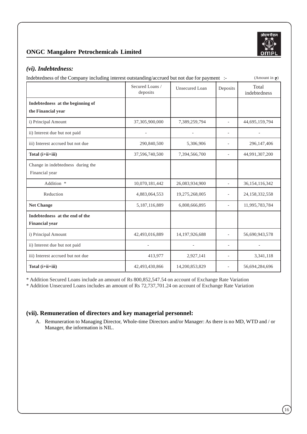

# *(vi). Indebtedness:*

Indebtedness of the Company including interest outstanding/accrued but not due for payment :-(Amount in  $\geq$ )

|                                                         | Secured Loans /<br>deposits | <b>Unsecured Loan</b>    | Deposits                 | Total<br>indebtedness |
|---------------------------------------------------------|-----------------------------|--------------------------|--------------------------|-----------------------|
| Indebtedness at the beginning of<br>the Financial year  |                             |                          |                          |                       |
| i) Principal Amount                                     | 37,305,900,000              | 7,389,259,794            | $\overline{\phantom{a}}$ | 44,695,159,794        |
| ii) Interest due but not paid                           |                             | $\overline{\phantom{a}}$ | $\overline{a}$           |                       |
| iii) Interest accrued but not due                       | 290,840,500                 | 5,306,906                | $\overline{a}$           | 296,147,406           |
| Total $(i+ii+iii)$                                      | 37,596,740,500              | 7,394,566,700            | $\overline{\phantom{a}}$ | 44,991,307,200        |
| Change in indebtedness during the<br>Financial year     |                             |                          |                          |                       |
| Addition *                                              | 10,070,181,442              | 26,083,934,900           | $\overline{\phantom{a}}$ | 36, 154, 116, 342     |
| Reduction                                               | 4,883,064,553               | 19,275,268,005           | ÷                        | 24,158,332,558        |
| <b>Net Change</b>                                       | 5,187,116,889               | 6,808,666,895            | $\overline{\phantom{a}}$ | 11,995,783,784        |
| Indebtedness at the end of the<br><b>Financial year</b> |                             |                          |                          |                       |
| i) Principal Amount                                     | 42,493,016,889              | 14,197,926,688           | L.                       | 56,690,943,578        |
| ii) Interest due but not paid                           | ÷                           | $\overline{\phantom{a}}$ | $\overline{\phantom{0}}$ |                       |
| iii) Interest accrued but not due                       | 413,977                     | 2,927,141                | $\overline{a}$           | 3,341,118             |
| Total $(i+ii+iii)$                                      | 42,493,430,866              | 14,200,853,829           |                          | 56,694,284,696        |

\* Addition Secured Loans include an amount of Rs 800,852,547.54 on account of Exchange Rate Variation

\* Addition Unsecured Loans includes an amount of Rs 72,737,701.24 on account of Exchange Rate Variation

# **(vii). Remuneration of directors and key managerial personnel:**

A. Remuneration to Managing Director, Whole-time Directors and/or Manager: As there is no MD, WTD and / or Manager, the information is NIL.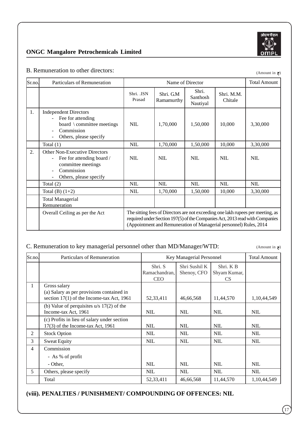(Amount in  $\overline{\xi}$ )

# B. Remuneration to other directors:

| Sr.no. | Particulars of Remuneration                                                                                                     | Name of Director                                                                                                                                                                                                                      |                         |                               | <b>Total Amount</b>   |            |
|--------|---------------------------------------------------------------------------------------------------------------------------------|---------------------------------------------------------------------------------------------------------------------------------------------------------------------------------------------------------------------------------------|-------------------------|-------------------------------|-----------------------|------------|
|        |                                                                                                                                 | Shri. JSN<br>Prasad                                                                                                                                                                                                                   | Shri. G.M<br>Ramamurthy | Shri.<br>Santhosh<br>Nautiyal | Shri. M.M.<br>Chitale |            |
| 1.     | <b>Independent Directors</b><br>Fee for attending<br>board \ committee meetings<br>Commission<br>Others, please specify         | <b>NIL</b>                                                                                                                                                                                                                            | 1,70,000                | 1,50,000                      | 10,000                | 3,30,000   |
|        | Total $(1)$                                                                                                                     | <b>NIL</b>                                                                                                                                                                                                                            | 1,70,000                | 1,50,000                      | 10,000                | 3,30,000   |
| 2.     | <b>Other Non-Executive Directors</b><br>Fee for attending board /<br>committee meetings<br>Commission<br>Others, please specify | <b>NIL</b>                                                                                                                                                                                                                            | <b>NIL</b>              | <b>NIL</b>                    | <b>NIL</b>            | <b>NIL</b> |
|        | Total $(2)$                                                                                                                     | NIL                                                                                                                                                                                                                                   | <b>NIL</b>              | <b>NIL</b>                    | <b>NIL</b>            | <b>NIL</b> |
|        | Total $(B)$ $(1+2)$                                                                                                             | <b>NIL</b>                                                                                                                                                                                                                            | 1,70,000                | 1,50,000                      | 10,000                | 3,30,000   |
|        | <b>Total Managerial</b><br>Remuneration                                                                                         |                                                                                                                                                                                                                                       |                         |                               |                       |            |
|        | Overall Ceiling as per the Act                                                                                                  | The sitting fees of Directors are not exceeding one lakh rupees per meeting, as<br>required under Section 197(5) of the Companies Act, 2013 read with Companies<br>(Appointment and Remuneration of Managerial personnel) Rules, 2014 |                         |                               |                       |            |

# C. Remuneration to key managerial personnel other than MD/Manager/WTD:

(Amount in  $\bar{\tau}$ )

| Sr.no. | <b>Particulars of Remuneration</b>                                                                       |                                        | Key Managerial Personnel     |                                 |             |
|--------|----------------------------------------------------------------------------------------------------------|----------------------------------------|------------------------------|---------------------------------|-------------|
|        |                                                                                                          | Shri. S<br>Ramachandran.<br><b>CEO</b> | Shri Sushil K<br>Shenoy, CFO | Shri, K B<br>Shyam Kumar,<br>CS |             |
| 1      | Gross salary<br>(a) Salary as per provisions contained in<br>section $17(1)$ of the Income-tax Act, 1961 | 52, 33, 411                            | 46,66,568                    | 11,44,570                       | 1,10,44,549 |
|        | (b) Value of perquisites $u/s$ 17(2) of the<br>Income-tax Act, 1961                                      | <b>NIL</b>                             | <b>NIL</b>                   | <b>NIL</b>                      | <b>NIL</b>  |
|        | (c) Profits in lieu of salary under section<br>$17(3)$ of the Income-tax Act, 1961                       | <b>NIL</b>                             | <b>NIL</b>                   | <b>NIL</b>                      | <b>NIL</b>  |
| 2      | <b>Stock Option</b>                                                                                      | <b>NIL</b>                             | <b>NIL</b>                   | <b>NIL</b>                      | <b>NIL</b>  |
| 3      | <b>Sweat Equity</b>                                                                                      | <b>NIL</b>                             | <b>NIL</b>                   | <b>NIL</b>                      | <b>NIL</b>  |
| 4      | Commission<br>- As % of profit                                                                           |                                        |                              |                                 |             |
|        | - Other,                                                                                                 | <b>NIL</b>                             | <b>NIL</b>                   | <b>NIL</b>                      | <b>NIL</b>  |
| 5      | Others, please specify                                                                                   | <b>NIL</b>                             | <b>NIL</b>                   | <b>NIL</b>                      | <b>NIL</b>  |
|        | Total                                                                                                    | 52,33,411                              | 46,66,568                    | 11,44,570                       | 1,10,44,549 |

# **(viii). PENALTIES / PUNISHMENT/ COMPOUNDING OF OFFENCES: NIL**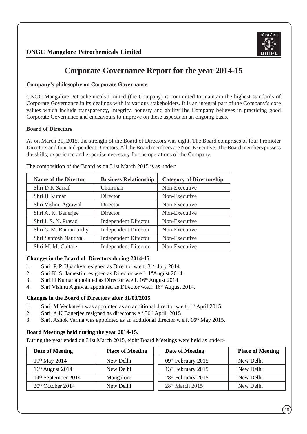

# **Corporate Governance Report for the year 2014-15**

# **Company's philosophy on Corporate Governance**

ONGC Mangalore Petrochemicals Limited (the Company) is committed to maintain the highest standards of Corporate Governance in its dealings with its various stakeholders. It is an integral part of the Company's core values which include transparency, integrity, honesty and ability.The Company believes in practicing good Corporate Governance and endeavours to improve on these aspects on an ongoing basis.

# **Board of Directors**

As on March 31, 2015, the strength of the Board of Directors was eight. The Board comprises of four Promoter Directors and four Independent Directors. All the Board members are Non-Executive. The Board members possess the skills, experience and expertise necessary for the operations of the Company.

| <b>Name of the Director</b> | <b>Business Relationship</b> | <b>Category of Directorship</b> |
|-----------------------------|------------------------------|---------------------------------|
| Shri D K Sarraf             | Chairman                     | Non-Executive                   |
| Shri H Kumar                | Director                     | Non-Executive                   |
| Shri Vishnu Agrawal         | Director                     | Non-Executive                   |
| Shri A. K. Banerjee         | Director                     | Non-Executive                   |
| Shri I. S. N. Prasad        | <b>Independent Director</b>  | Non-Executive                   |
| Shri G. M. Ramamurthy       | <b>Independent Director</b>  | Non-Executive                   |
| Shri Santosh Nautiyal       | <b>Independent Director</b>  | Non-Executive                   |
| Shri M. M. Chitale          | <b>Independent Director</b>  | Non-Executive                   |

The composition of the Board as on 31st March 2015 is as under:

# **Changes in the Board of Directors during 2014-15**

- 1. Shri P. P. Upadhya resigned as Director w.e.f. 31<sup>st</sup> July 2014.
- 2. Shri K. S. Jamestin resigned as Director w.e.f.  $1<sup>st</sup>$ August 2014.
- 3. Shri H Kumar appointed as Director w.e.f.  $16<sup>th</sup>$  August 2014.
- 4. Shri Vishnu Agrawal appointed as Director w.e.f. 16<sup>th</sup> August 2014.

# **Changes in the Board of Directors after 31/03/2015**

- 1. Shri. M Venkatesh was appointed as an additional director w.e.f. 1st April 2015.
- 2. Shri. A.K.Baneriee resigned as director w.e.f  $30<sup>th</sup>$  April, 2015.
- 3. Shri. Ashok Varma was appointed as an additional director w.e.f. 16<sup>th</sup> May 2015.

# **Board Meetings held during the year 2014-15.**

During the year ended on 31st March 2015, eight Board Meetings were held as under:-

| Date of Meeting                 | <b>Place of Meeting</b> | Date of Meeting                | <b>Place of Meeting</b> |  |
|---------------------------------|-------------------------|--------------------------------|-------------------------|--|
| 19th May 2014                   | New Delhi               | 09th February 2015             | New Delhi               |  |
| $16th$ August 2014<br>New Delhi |                         | 13 <sup>th</sup> February 2015 | New Delhi               |  |
| 14 <sup>th</sup> September 2014 | Mangalore               | 28 <sup>th</sup> February 2015 | New Delhi               |  |
| $20th$ October 2014             | New Delhi               | $28th$ March $2015$            | New Delhi               |  |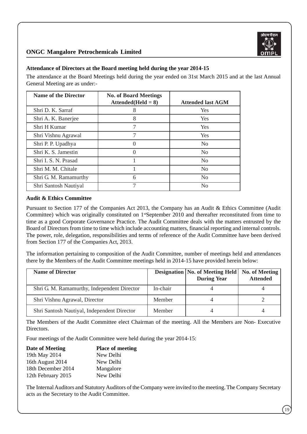

# **Attendance of Directors at the Board meeting held during the year 2014-15**

The attendance at the Board Meetings held during the year ended on 31st March 2015 and at the last Annual General Meeting are as under:-

| <b>Name of the Director</b> | <b>No. of Board Meetings</b><br>$\text{Attended}(\text{Held} = 8)$ | <b>Attended last AGM</b> |
|-----------------------------|--------------------------------------------------------------------|--------------------------|
| Shri D. K. Sarraf           | 8                                                                  | <b>Yes</b>               |
| Shri A. K. Banerjee         | 8                                                                  | Yes                      |
| Shri H Kumar                | 7                                                                  | Yes                      |
| Shri Vishnu Agrawal         | 7                                                                  | Yes                      |
| Shri P. P. Upadhya          |                                                                    | No                       |
| Shri K. S. Jamestin         | $\Omega$                                                           | No                       |
| Shri I. S. N. Prasad        |                                                                    | N <sub>0</sub>           |
| Shri M. M. Chitale          |                                                                    | No                       |
| Shri G. M. Ramamurthy       | 6                                                                  | N <sub>0</sub>           |
| Shri Santosh Nautiyal       | 7                                                                  | N <sub>0</sub>           |

# **Audit & Ethics Committee**

Pursuant to Section 177 of the Companies Act 2013, the Company has an Audit & Ethics Committee (Audit Committee) which was originally constituted on 1<sup>st</sup>September 2010 and thereafter reconstituted from time to time as a good Corporate Governance Practice. The Audit Committee deals with the matters entrusted by the Board of Directors from time to time which include accounting matters, financial reporting and internal controls. The power, role, delegation, responsibilities and terms of reference of the Audit Committee have been derived from Section 177 of the Companies Act, 2013.

The information pertaining to composition of the Audit Committee, number of meetings held and attendances there by the Members of the Audit Committee meetings held in 2014-15 have provided herein below:

| <b>Name of Director</b>                     |          | Designation   No. of Meeting Held<br><b>During Year</b> | No. of Meeting<br><b>Attended</b> |
|---------------------------------------------|----------|---------------------------------------------------------|-----------------------------------|
| Shri G. M. Ramamurthy, Independent Director | In-chair |                                                         |                                   |
| Shri Vishnu Agrawal, Director               | Member   |                                                         |                                   |
| Shri Santosh Nautiyal, Independent Director | Member   |                                                         |                                   |

The Members of the Audit Committee elect Chairman of the meeting. All the Members are Non- Executive Directors.

Four meetings of the Audit Committee were held during the year 2014-15:

| Date of Meeting    | <b>Place of meeting</b> |
|--------------------|-------------------------|
| 19th May 2014      | New Delhi               |
| 16th August 2014   | New Delhi               |
| 18th December 2014 | Mangalore               |
| 12th February 2015 | New Delhi               |

The Internal Auditors and Statutory Auditors of the Company were invited to the meeting. The Company Secretary acts as the Secretary to the Audit Committee.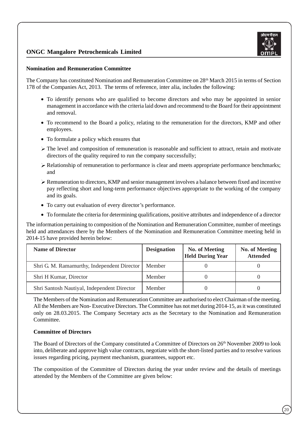

# **Nomination and Remuneration Committee**

The Company has constituted Nomination and Remuneration Committee on 28<sup>th</sup> March 2015 in terms of Section 178 of the Companies Act, 2013. The terms of reference, inter alia, includes the following:

- To identify persons who are qualified to become directors and who may be appointed in senior management in accordance with the criteria laid down and recommend to the Board for their appointment and removal.
- To recommend to the Board a policy, relating to the remuneration for the directors, KMP and other employees.
- To formulate a policy which ensures that
- The level and composition of remuneration is reasonable and sufficient to attract, retain and motivate directors of the quality required to run the company successfully;
- Relationship of remuneration to performance is clear and meets appropriate performance benchmarks; and
- $\triangleright$  Remuneration to directors, KMP and senior management involves a balance between fixed and incentive pay reflecting short and long-term performance objectives appropriate to the working of the company and its goals.
- To carry out evaluation of every director's performance.
- To formulate the criteria for determining qualifications, positive attributes and independence of a director

The information pertaining to composition of the Nomination and Remuneration Committee, number of meetings held and attendances there by the Members of the Nomination and Remuneration Committee meeting held in 2014-15 have provided herein below:

| <b>Name of Director</b>                     | <b>Designation</b> | No. of Meeting<br><b>Held During Year</b> | No. of Meeting<br><b>Attended</b> |
|---------------------------------------------|--------------------|-------------------------------------------|-----------------------------------|
| Shri G. M. Ramamurthy, Independent Director | Member             |                                           |                                   |
| Shri H Kumar, Director                      | Member             |                                           |                                   |
| Shri Santosh Nautiyal, Independent Director | Member             |                                           |                                   |

The Members of the Nomination and Remuneration Committee are authorised to elect Chairman of the meeting. All the Members are Non- Executive Directors. The Committee has not met during 2014-15, as it was constituted only on 28.03.2015. The Company Secretary acts as the Secretary to the Nomination and Remuneration Committee.

# **Committee of Directors**

The Board of Directors of the Company constituted a Committee of Directors on 26th November 2009 to look into, deliberate and approve high value contracts, negotiate with the short-listed parties and to resolve various issues regarding pricing, payment mechanism, guarantees, support etc.

The composition of the Committee of Directors during the year under review and the details of meetings attended by the Members of the Committee are given below: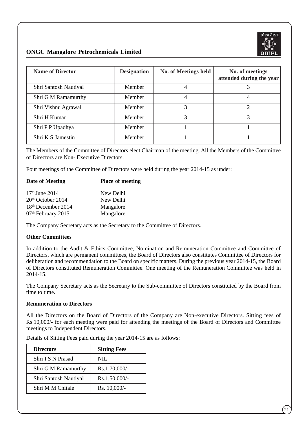

| <b>Name of Director</b> | <b>Designation</b> | No. of Meetings held | No. of meetings<br>attended during the year |
|-------------------------|--------------------|----------------------|---------------------------------------------|
| Shri Santosh Nautiyal   | Member             |                      |                                             |
| Shri G M Ramamurthy     | Member             | 4                    |                                             |
| Shri Vishnu Agrawal     | Member             | 3                    | ◠                                           |
| Shri H Kumar            | Member             | 3                    |                                             |
| Shri P P Upadhya        | Member             |                      |                                             |
| Shri K S Jamestin       | Member             |                      |                                             |

The Members of the Committee of Directors elect Chairman of the meeting. All the Members of the Committee of Directors are Non- Executive Directors.

Four meetings of the Committee of Directors were held during the year 2014-15 as under:

# **Date of Meeting Place of meeting**

| $17th$ June 2014               | New Delhi |
|--------------------------------|-----------|
| $20th$ October 2014            | New Delhi |
| 18 <sup>th</sup> December 2014 | Mangalore |
| 07 <sup>th</sup> February 2015 | Mangalore |

The Company Secretary acts as the Secretary to the Committee of Directors.

# **Other Committees**

In addition to the Audit & Ethics Committee, Nomination and Remuneration Committee and Committee of Directors, which are permanent committees, the Board of Directors also constitutes Committee of Directors for deliberation and recommendation to the Board on specific matters. During the previous year 2014-15, the Board of Directors constituted Remuneration Committee. One meeting of the Remuneration Committee was held in 2014-15.

The Company Secretary acts as the Secretary to the Sub-committee of Directors constituted by the Board from time to time.

# **Remuneration to Directors**

All the Directors on the Board of Directors of the Company are Non-executive Directors. Sitting fees of Rs.10,000/- for each meeting were paid for attending the meetings of the Board of Directors and Committee meetings to Independent Directors.

Details of Sitting Fees paid during the year 2014-15 are as follows:

| <b>Directors</b>      | <b>Sitting Fees</b> |
|-----------------------|---------------------|
| Shri I S N Prasad     | <b>NIL</b>          |
| Shri G M Ramamurthy   | $Rs.1,70,000/-$     |
| Shri Santosh Nautiyal | $Rs.1,50,000/$ -    |
| Shri M M Chitale      | Rs. 10,000/-        |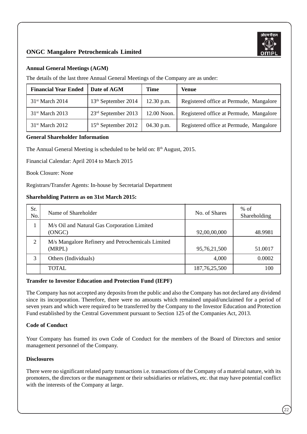

# **Annual General Meetings (AGM)**

The details of the last three Annual General Meetings of the Company are as under:

| <b>Financial Year Ended</b> | Date of AGM                     | <b>Time</b> | <b>Venue</b>                            |
|-----------------------------|---------------------------------|-------------|-----------------------------------------|
| 31 <sup>st</sup> March 2014 | 13 <sup>th</sup> September 2014 | 12.30 p.m.  | Registered office at Permude, Mangalore |
| 31 <sup>st</sup> March 2013 | $23rd$ September 2013           | 12.00 Noon. | Registered office at Permude, Mangalore |
| $31st$ March 2012           | 15 <sup>th</sup> September 2012 | 04.30 p.m.  | Registered office at Permude, Mangalore |

# **General Shareholder Information**

The Annual General Meeting is scheduled to be held on: 8<sup>th</sup> August, 2015.

Financial Calendar: April 2014 to March 2015

Book Closure: None

Registrars/Transfer Agents: In-house by Secretarial Department

# **Shareholding Pattern as on 31st March 2015:**

| Sr.<br>No. | Name of Shareholder                                         | No. of Shares    | $%$ of<br>Shareholding |
|------------|-------------------------------------------------------------|------------------|------------------------|
|            | M/s Oil and Natural Gas Corporation Limited<br>(ONGC)       | 92,00,00,000     | 48.9981                |
| 2          | M/s Mangalore Refinery and Petrochemicals Limited<br>(MRPL) | 95,76,21,500     | 51.0017                |
| 3          | Others (Individuals)                                        | 4,000            | 0.0002                 |
|            | <b>TOTAL</b>                                                | 187, 76, 25, 500 | 100                    |

# **Transfer to Investor Education and Protection Fund (IEPF)**

The Company has not accepted any deposits from the public and also the Company has not declared any dividend since its incorporation. Therefore, there were no amounts which remained unpaid/unclaimed for a period of seven years and which were required to be transferred by the Company to the Investor Education and Protection Fund established by the Central Government pursuant to Section 125 of the Companies Act, 2013.

# **Code of Conduct**

Your Company has framed its own Code of Conduct for the members of the Board of Directors and senior management personnel of the Company.

# **Disclosures**

There were no significant related party transactions i.e. transactions of the Company of a material nature, with its promoters, the directors or the management or their subsidiaries or relatives, etc. that may have potential conflict with the interests of the Company at large.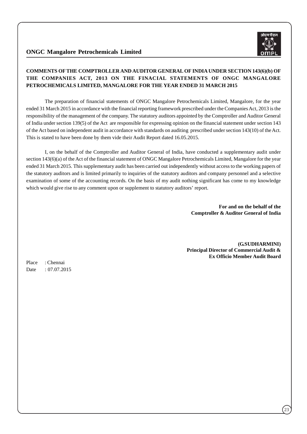

# **COMMENTS OF THE COMPTROLLER AND AUDITOR GENERAL OF INDIA UNDER SECTION 143(6)(b) OF THE COMPANIES ACT, 2013 ON THE FINACIAL STATEMENTS OF ONGC MANGALORE PETROCHEMICALS LIMITED, MANGALORE FOR THE YEAR ENDED 31 MARCH 2015**

The preparation of financial statements of ONGC Mangalore Petrochemicals Limited, Mangalore, for the year ended 31 March 2015 in accordance with the financial reporting framework prescribed under the Companies Act, 2013 is the responsibility of the management of the company. The statutory auditors appointed by the Comptroller and Auditor General of India under section 139(5) of the Act are responsible for expressing opinion on the financial statement under section 143 of the Act based on independent audit in accordance with standards on auditing prescribed under section 143(10) of the Act. This is stated to have been done by them vide their Audit Report dated 16.05.2015.

I, on the behalf of the Comptroller and Auditor General of India, have conducted a supplementary audit under section 143(6)(a) of the Act of the financial statement of ONGC Mangalore Petrochemicals Limited, Mangalore for the year ended 31 March 2015. This supplementary audit has been carried out independently without access to the working papers of the statutory auditors and is limited primarily to inquiries of the statutory auditors and company personnel and a selective examination of some of the accounting records. On the basis of my audit nothing significant has come to my knowledge which would give rise to any comment upon or supplement to statutory auditors' report.

> **For and on the behalf of the Comptroller & Auditor General of India**

**(G.SUDHARMINI) Principal Director of Commercial Audit & Ex Officio Member Audit Board**

Place : Chennai Date : 07.07.2015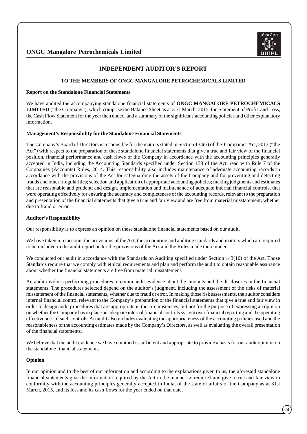# **INDEPENDENT AUDITOR'S REPORT**

# **TO THE MEMBERS OF ONGC MANGALORE PETROCHEMICALS LIMITED**

### **Report on the Standalone Financial Statements**

We have audited the accompanying standalone financial statements of **ONGC MANGALORE PETROCHEMICALS LIMITED** ("the Company"), which comprise the Balance Sheet as at 31st March, 2015, the Statement of Profit and Loss, the Cash Flow Statement for the year then ended, and a summary of the significant accounting policies and other explanatory information.

### **Management's Responsibility for the Standalone Financial Statements**

The Company's Board of Directors is responsible for the matters stated in Section 134(5) of the Companies Act, 2013 ("the Act") with respect to the preparation of these standalone financial statements that give a true and fair view of the financial position, financial performance and cash flows of the Company in accordance with the accounting principles generally accepted in India, including the Accounting Standards specified under Section 133 of the Act, read with Rule 7 of the Companies (Accounts) Rules, 2014. This responsibility also includes maintenance of adequate accounting records in accordance with the provisions of the Act for safeguarding the assets of the Company and for preventing and detecting frauds and other irregularities; selection and application of appropriate accounting policies; making judgments and estimates that are reasonable and prudent; and design, implementation and maintenance of adequate internal financial controls, that were operating effectively for ensuring the accuracy and completeness of the accounting records, relevant to the preparation and presentation of the financial statements that give a true and fair view and are free from material misstatement, whether due to fraud or error.

# **Auditor's Responsibility**

Our responsibility is to express an opinion on these standalone financial statements based on our audit.

We have taken into account the provisions of the Act, the accounting and auditing standards and matters which are required to be included in the audit report under the provisions of the Act and the Rules made there under.

We conducted our audit in accordance with the Standards on Auditing specified under Section 143(10) of the Act. Those Standards require that we comply with ethical requirements and plan and perform the audit to obtain reasonable assurance about whether the financial statements are free from material misstatement.

An audit involves performing procedures to obtain audit evidence about the amounts and the disclosures in the financial statements. The procedures selected depend on the auditor's judgment, including the assessment of the risks of material misstatement of the financial statements, whether due to fraud or error. In making those risk assessments, the auditor considers internal financial control relevant to the Company's preparation of the financial statements that give a true and fair view in order to design audit procedures that are appropriate in the circumstances, but not for the purpose of expressing an opinion on whether the Company has in place an adequate internal financial controls system over financial reporting and the operating effectiveness of such controls. An audit also includes evaluating the appropriateness of the accounting policies used and the reasonableness of the accounting estimates made by the Company's Directors, as well as evaluating the overall presentation of the financial statements.

We believe that the audit evidence we have obtained is sufficient and appropriate to provide a basis for our audit opinion on the standalone financial statements.

### **Opinion**

In our opinion and to the best of our information and according to the explanations given to us, the aforesaid standalone financial statements give the information required by the Act in the manner so required and give a true and fair view in conformity with the accounting principles generally accepted in India, of the state of affairs of the Company as at 31st March, 2015, and its loss and its cash flows for the year ended on that date.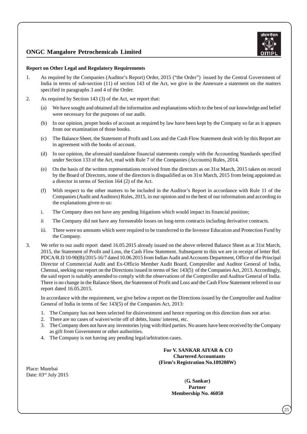

25

# **Report on Other Legal and Regulatory Requirements**

- 1. As required by the Companies (Auditor's Report) Order, 2015 ("the Order") issued by the Central Government of India in terms of sub-section (11) of section 143 of the Act, we give in the Annexure a statement on the matters specified in paragraphs 3 and 4 of the Order.
- 2. As required by Section 143 (3) of the Act, we report that:
	- (a) We have sought and obtained all the information and explanations which to the best of our knowledge and belief were necessary for the purposes of our audit.
	- (b) In our opinion, proper books of account as required by law have been kept by the Company so far as it appears from our examination of those books.
	- (c) The Balance Sheet, the Statement of Profit and Loss and the Cash Flow Statement dealt with by this Report are in agreement with the books of account.
	- (d) In our opinion, the aforesaid standalone financial statements comply with the Accounting Standards specified under Section 133 of the Act, read with Rule 7 of the Companies (Accounts) Rules, 2014.
	- (e) On the basis of the written representations received from the directors as on 31st March, 2015 taken on record by the Board of Directors, none of the directors is disqualified as on 31st March, 2015 from being appointed as a director in terms of Section 164 (2) of the Act.
	- (f) With respect to the other matters to be included in the Auditor's Report in accordance with Rule 11 of the Companies (Audit and Auditors) Rules, 2015, in our opinion and to the best of our information and according to the explanations given to us:
	- i. The Company does not have any pending litigations which would impact its financial position;
	- ii The Company did not have any foreseeable losses on long-term contracts including derivative contracts.
	- iii. There were no amounts which were required to be transferred to the Investor Education and Protection Fund by the Company.
- 3. We refer to our audit report dated 16.05.2015 already issued on the above referred Balance Sheet as at 31st March, 2015, the Statement of Profit and Loss, the Cash Flow Statement. Subsequent to this we are in receipt of letter Ref. PDCA/R.II/10-90(B)/2015-16/7 dated 10.06.2015 from Indian Audit and Accounts Department, Office of the Principal Director of Commercial Audit and Ex-Officio Member Audit Board, Comptroller and Auditor General of India, Chennai, seeking our report on the Directions issued in terms of Sec 143(5) of the Companies Act, 2013. Accordingly, the said report is suitably amended to comply with the observations of the Comptroller and Auditor General of India. There is no change in the Balance Sheet, the Statement of Profit and Loss and the Cash Flow Statement referred in our report dated 16.05.2015.

In accordance with the requirement, we give below a report on the Directions issued by the Comptroller and Auditor General of India in terms of Sec 143(5) of the Companies Act, 2013:

- 1. The Company has not been selected for disinvestment and hence reporting on this direction does not arise.
- 2. There are no cases of waiver/write off of debts, loans/ interest, etc.
- 3. The Company does not have any inventories lying with third parties. No assets have been received by the Company as gift from Government or other authorities.
- 4. The Company is not having any pending legal/arbitration cases.

 **For V. SANKAR AIYAR & CO Chartered Accountants (Firm's Registration No.109208W)**

Place: Mumbai Date: 03rd July 2015

> (**G. Sankar) Partner Membership No. 46050**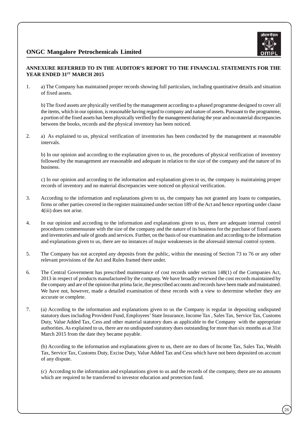

# **ANNEXURE REFERRED TO IN THE AUDITOR'S REPORT TO THE FINANCIAL STATEMENTS FOR THE YEAR ENDED 31ST MARCH 2015**

1. a) The Company has maintained proper records showing full particulars, including quantitative details and situation of fixed assets.

b) The fixed assets are physically verified by the management according to a phased programme designed to cover all the items, which in our opinion, is reasonable having regard to company and nature of assets. Pursuant to the programme, a portion of the fixed assets has been physically verified by the management during the year and no material discrepancies between the books, records and the physical inventory has been noticed.

2. a) As explained to us, physical verification of inventories has been conducted by the management at reasonable intervals.

b) In our opinion and according to the explanation given to us, the procedures of physical verification of inventory followed by the management are reasonable and adequate in relation to the size of the company and the nature of its business.

c) In our opinion and according to the information and explanation given to us, the company is maintaining proper records of inventory and no material discrepancies were noticed on physical verification.

- 3. According to the information and explanations given to us, the company has not granted any loans to companies, firms or other parties covered in the register maintained under section 189 of the Act and hence reporting under clause 4(iii) does not arise.
- 4. In our opinion and according to the information and explanations given to us, there are adequate internal control procedures commensurate with the size of the company and the nature of its business for the purchase of fixed assets and inventories and sale of goods and services. Further, on the basis of our examination and according to the information and explanations given to us, there are no instances of major weaknesses in the aforesaid internal control system.
- 5. The Company has not accepted any deposits from the public, within the meaning of Section 73 to 76 or any other relevant provisions of the Act and Rules framed there under.
- 6. The Central Government has prescribed maintenance of cost records under section 148(1) of the Companies Act, 2013 in respect of products manufactured by the company. We have broadly reviewed the cost records maintained by the company and are of the opinion that prima facie, the prescribed accounts and records have been made and maintained. We have not, however, made a detailed examination of these records with a view to determine whether they are accurate or complete.
- 7. (a) According to the information and explanations given to us the Company is regular in depositing undisputed statutory dues including Provident Fund, Employees' State Insurance, Income Tax , Sales Tax, Service Tax, Customs Duty, Value Added Tax, Cess and other material statutory dues as applicable to the Company with the appropriate authorities. As explained to us, there are no undisputed statutory dues outstanding for more than six months as at 31st March 2015 from the date they became payable.

(b) According to the information and explanations given to us, there are no dues of Income Tax, Sales Tax, Wealth Tax, Service Tax, Customs Duty, Excise Duty, Value Added Tax and Cess which have not been deposited on account of any dispute.

(c) According to the information and explanations given to us and the records of the company, there are no amounts which are required to be transferred to investor education and protection fund.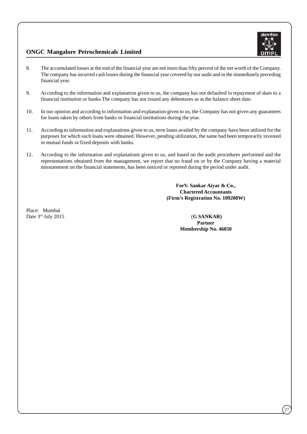

- 8. The accumulated losses at the end of the financial year are not more than fifty percent of the net worth of the Company. The company has incurred cash losses during the financial year covered by our audit and in the immediately preceding financial year.
- 9. According to the information and explanation given to us, the company has not defaulted in repayment of dues to a financial institution or banks.The company has not issued any debentures as at the balance sheet date.
- 10. In our opinion and according to information and explanation given to us, the Company has not given any guarantees for loans taken by others from banks or financial institutions during the year.
- 11. According to information and explanations given to us, term loans availed by the company have been utilized for the purposes for which such loans were obtained. However, pending utilization, the same had been temporarily invested in mutual funds or fixed deposits with banks.
- 12. According to the information and explanations given to us, and based on the audit procedures performed and the representations obtained from the management, we report that no fraud on or by the Company having a material misstatement on the financial statements, has been noticed or reported during the period under audit.

**ForV. Sankar Aiyar & Co., Chartered Accountants (Firm's Registration No. 109208W)**

Place: Mumbai

Date 3<sup>rd</sup> July 2015 (**G SANKAR**) **Partner Membership No. 46050**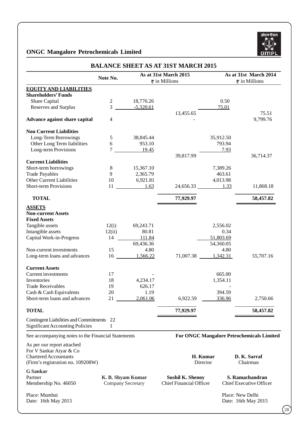

| <b>BALANCE SHEET AS AT 31ST MARCH 2015</b>                                                                                 |                                        |             |                                                           |                      |                                                        |
|----------------------------------------------------------------------------------------------------------------------------|----------------------------------------|-------------|-----------------------------------------------------------|----------------------|--------------------------------------------------------|
|                                                                                                                            | Note No.                               |             | As at 31st March 2015<br>$\overline{\tau}$ in Millions    |                      | As at 31st March 2014<br>$\overline{\tau}$ in Millions |
| <b>EQUITY AND LIABILITIES</b>                                                                                              |                                        |             |                                                           |                      |                                                        |
| <b>Shareholders' Funds</b>                                                                                                 |                                        |             |                                                           |                      |                                                        |
| Share Capital                                                                                                              | $\overline{2}$                         | 18,776.26   |                                                           | 0.50                 |                                                        |
| Reserves and Surplus                                                                                                       | 3                                      | $-5,320.61$ |                                                           | 75.01                |                                                        |
|                                                                                                                            |                                        |             | 13,455.65                                                 |                      | 75.51                                                  |
| Advance against share capital                                                                                              | 4                                      |             |                                                           |                      | 9,799.76                                               |
| <b>Non Current Liabilities</b>                                                                                             |                                        |             |                                                           |                      |                                                        |
| Long-Term Borrowings                                                                                                       | 5                                      | 38,845.44   |                                                           | 35,912.50            |                                                        |
| Other Long Term liabilities                                                                                                | 6                                      | 953.10      |                                                           | 793.94               |                                                        |
| Long-term Provisions                                                                                                       | 7                                      | 19.45       |                                                           | 7.93                 |                                                        |
|                                                                                                                            |                                        |             | 39,817.99                                                 |                      | 36,714.37                                              |
| <b>Current Liabilities</b>                                                                                                 |                                        |             |                                                           |                      |                                                        |
| Short-term borrowings                                                                                                      | 8                                      | 15,367.10   |                                                           | 7,389.26             |                                                        |
| <b>Trade Payables</b>                                                                                                      | 9                                      | 2,365.79    |                                                           | 463.61               |                                                        |
| <b>Other Current Liabilities</b>                                                                                           | 10                                     | 6,921.81    |                                                           | 4,013.98             |                                                        |
| <b>Short-term Provisions</b>                                                                                               | 11                                     | 1.63        | 24,656.33                                                 | 1.33                 | 11,868.18                                              |
| <b>TOTAL</b>                                                                                                               |                                        |             | 77,929.97                                                 |                      | 58,457.82                                              |
| <b>ASSETS</b>                                                                                                              |                                        |             |                                                           |                      |                                                        |
| <b>Non-current Assets</b>                                                                                                  |                                        |             |                                                           |                      |                                                        |
| <b>Fixed Assets</b>                                                                                                        |                                        |             |                                                           |                      |                                                        |
| Tangible assets                                                                                                            | 12(i)                                  | 69,243.71   |                                                           | 2,556.02             |                                                        |
| Intangible assets                                                                                                          | 12(ii)                                 | 80.81       |                                                           | 0.34                 |                                                        |
| Capital Work-in-Progress                                                                                                   | 14                                     | 111.84      |                                                           | 51,803.69            |                                                        |
|                                                                                                                            |                                        | 69,436.36   |                                                           | 54,360.05            |                                                        |
| Non-current investments                                                                                                    | 15                                     | 4.80        |                                                           | 4.80                 |                                                        |
| Long-term loans and advances                                                                                               | 16                                     | 1,566.22    |                                                           | 71,007.38 1,342.31   | 55,707.16                                              |
| <b>Current Assets</b>                                                                                                      |                                        |             |                                                           |                      |                                                        |
| <b>Current investments</b>                                                                                                 | 17                                     |             |                                                           | 665.00               |                                                        |
| Inventories                                                                                                                | 18                                     | 4,234.17    |                                                           | 1,354.11             |                                                        |
| <b>Trade Receivables</b>                                                                                                   | 19                                     | 626.17      |                                                           |                      |                                                        |
| Cash & Cash Equivalents                                                                                                    | 20                                     | 1.19        |                                                           | 394.59               |                                                        |
| Short-term loans and advances                                                                                              | 21                                     | 2,061.06    | 6,922.59                                                  | 336.96               | 2,750.66                                               |
| <b>TOTAL</b>                                                                                                               |                                        |             | 77,929.97                                                 |                      | 58,457.82                                              |
| <b>Contingent Liabilities and Commitments</b>                                                                              | 22                                     |             |                                                           |                      |                                                        |
| <b>Significant Accounting Policies</b>                                                                                     | 1                                      |             |                                                           |                      |                                                        |
| See accompanying notes to the Financial Statements                                                                         |                                        |             |                                                           |                      | <b>For ONGC Mangalore Petrochemicals Limited</b>       |
| As per our report attached<br>For V Sankar Aiyar & Co<br><b>Chartered Accountants</b><br>(Firm's registration no. 109208W) |                                        |             |                                                           | H. Kumar<br>Director | D. K. Sarraf<br>Chairman                               |
| <b>G</b> Sankar                                                                                                            |                                        |             |                                                           |                      |                                                        |
|                                                                                                                            |                                        |             |                                                           |                      |                                                        |
| Partner<br>Membership No. 46050                                                                                            | K. B. Shyam Kumar<br>Company Secretary |             | <b>Sushil K. Shenoy</b><br><b>Chief Financial Officer</b> |                      | S. Ramachandran<br><b>Chief Executive Officer</b>      |
| Place: Mumbai                                                                                                              |                                        |             |                                                           |                      | Place: New Delhi                                       |
| Date: 16th May 2015                                                                                                        |                                        |             |                                                           |                      | Date: 16th May 2015                                    |
|                                                                                                                            |                                        |             |                                                           |                      |                                                        |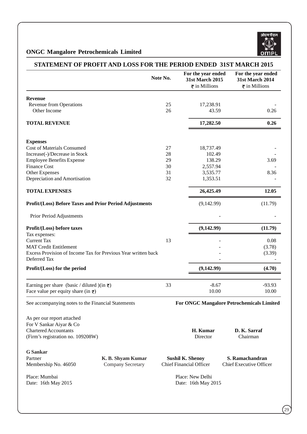

# **STATEMENT OF PROFIT AND LOSS FOR THE PERIOD ENDED 31ST MARCH 2015**

|                                                                               | Note No.          |    | For the year ended<br><b>31st March 2015</b><br>$\bar{\tau}$ in Millions | For the year ended<br><b>31st March 2014</b><br>$\bar{\tau}$ in Millions |
|-------------------------------------------------------------------------------|-------------------|----|--------------------------------------------------------------------------|--------------------------------------------------------------------------|
| <b>Revenue</b>                                                                |                   |    |                                                                          |                                                                          |
| Revenue from Operations                                                       |                   | 25 | 17,238.91                                                                |                                                                          |
| Other Income                                                                  |                   | 26 | 43.59                                                                    | 0.26                                                                     |
| <b>TOTAL REVENUE</b>                                                          |                   |    | 17,282.50                                                                | 0.26                                                                     |
| <b>Expenses</b>                                                               |                   |    |                                                                          |                                                                          |
| <b>Cost of Materials Consumed</b>                                             |                   | 27 | 18,737.49                                                                |                                                                          |
| Increase(-)/Decrease in Stock                                                 |                   | 28 | 102.49                                                                   |                                                                          |
| <b>Employee Benefits Expense</b>                                              |                   | 29 | 138.29                                                                   | 3.69                                                                     |
| <b>Finance Cost</b>                                                           |                   | 30 | 2,557.94                                                                 |                                                                          |
| Other Expenses                                                                |                   | 31 | 3,535.77                                                                 | 8.36                                                                     |
| Depreciation and Amortisation                                                 |                   | 32 | 1,353.51                                                                 |                                                                          |
| <b>TOTAL EXPENSES</b>                                                         |                   |    | 26,425.49                                                                | 12.05                                                                    |
| Profit/(Loss) Before Taxes and Prior Period Adjustments                       |                   |    | (9,142.99)                                                               | (11.79)                                                                  |
| Prior Period Adjustments                                                      |                   |    |                                                                          |                                                                          |
| Profit/(Loss) before taxes                                                    |                   |    | (9,142.99)                                                               | (11.79)                                                                  |
| Tax expenses:                                                                 |                   |    |                                                                          |                                                                          |
| <b>Current Tax</b>                                                            |                   | 13 |                                                                          | 0.08                                                                     |
| <b>MAT Credit Entitlement</b>                                                 |                   |    |                                                                          | (3.78)                                                                   |
| Excess Provision of Income Tax for Previous Year written back<br>Deferred Tax |                   |    |                                                                          | (3.39)                                                                   |
| Profit/(Loss) for the period                                                  |                   |    | (9,142.99)                                                               | (4.70)                                                                   |
|                                                                               |                   |    |                                                                          |                                                                          |
| Earning per share (basic / diluted )(in $\bar{\tau}$ )                        |                   | 33 | $-8.67$                                                                  | $-93.93$                                                                 |
| Face value per equity share (in $\overline{\epsilon}$ )                       |                   |    | 10.00                                                                    | 10.00                                                                    |
| See accompanying notes to the Financial Statements                            |                   |    |                                                                          | <b>For ONGC Mangalore Petrochemicals Limited</b>                         |
| As per our report attached                                                    |                   |    |                                                                          |                                                                          |
| For V Sankar Aiyar & Co                                                       |                   |    |                                                                          |                                                                          |
| <b>Chartered Accountants</b><br>(Firm's registration no. 109208W)             |                   |    | H. Kumar<br>Director                                                     | D. K. Sarraf<br>Chairman                                                 |
| <b>G</b> Sankar                                                               |                   |    |                                                                          |                                                                          |
| Partner                                                                       | K. B. Shyam Kumar |    | <b>Sushil K. Shenoy</b>                                                  | S. Ramachandran                                                          |
| Membership No. 46050                                                          | Company Secretary |    | <b>Chief Financial Officer</b>                                           | <b>Chief Executive Officer</b>                                           |
|                                                                               |                   |    |                                                                          |                                                                          |
| Place: Mumbai<br>Date: 16th May 2015                                          |                   |    | Place: New Delhi<br>Date: 16th May 2015                                  |                                                                          |
|                                                                               |                   |    |                                                                          |                                                                          |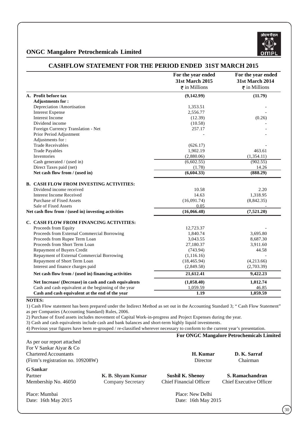

|                                                       | For the year ended<br>31st March 2015<br>$\bar{\tau}$ in Millions | For the year ended<br><b>31st March 2014</b><br>$\overline{\xi}$ in Millions |
|-------------------------------------------------------|-------------------------------------------------------------------|------------------------------------------------------------------------------|
| A. Profit before tax                                  | (9,142.99)                                                        | (11.79)                                                                      |
| <b>Adjustments for:</b>                               |                                                                   |                                                                              |
| Depreciation /Amortisation                            | 1,353.51                                                          |                                                                              |
| <b>Interest Expense</b>                               | 2,556.77                                                          |                                                                              |
| <b>Interest Income</b>                                | (12.39)                                                           | (0.26)                                                                       |
| Dividend income                                       | (10.58)                                                           |                                                                              |
| Foreign Currency Translation - Net                    | 257.17                                                            |                                                                              |
| Prior Period Adjustment                               |                                                                   |                                                                              |
| Adjustments for:                                      |                                                                   |                                                                              |
| <b>Trade Receivables</b>                              | (626.17)                                                          |                                                                              |
| <b>Trade Payables</b>                                 | 1,902.19                                                          | 463.61                                                                       |
| Inventories                                           | (2,880.06)                                                        | (1, 354.11)                                                                  |
| Cash generated / (used in)                            | (6,602.55)                                                        | (902.55)                                                                     |
| Direct Taxes paid (net)                               | (1.78)                                                            | 14.26                                                                        |
| Net cash flow from / (used in)                        | (6,604.33)                                                        | (888.29)                                                                     |
| <b>B. CASH FLOW FROM INVESTING ACTIVITIES:</b>        |                                                                   |                                                                              |
| Dividend income received                              | 10.58                                                             | 2.20                                                                         |
| <b>Interest Income Received</b>                       | 14.63                                                             | 1,318.95                                                                     |
| <b>Purchase of Fixed Assets</b>                       | (16,091.74)                                                       | (8,842.35)                                                                   |
| Sale of Fixed Assets                                  | 0.05                                                              |                                                                              |
| Net cash flow from / (used in) investing activities   | (16,066.48)                                                       | (7,521.20)                                                                   |
| C. CASH FLOW FROM FINANCING ACTIVITIES:               |                                                                   |                                                                              |
| Proceeds from Equity                                  | 12,723.37                                                         |                                                                              |
| Proceeds from External Commercial Borrowing           | 1,840.74                                                          | 3,695.80                                                                     |
| Proceeds from Rupee Term Loan                         | 3,043.55                                                          | 8,687.30                                                                     |
| Proceeds from Short Term Loan                         | 27,180.37                                                         | 3,911.60                                                                     |
| Repayment of Buyers Credit                            | (743.94)                                                          | 44.58                                                                        |
| Repayment of External Commercial Borrowing            | (1,116.16)                                                        |                                                                              |
| Repayment of Short Term Loan                          | (18, 465.94)                                                      | (4,213.66)                                                                   |
| Interest and finance charges paid                     | (2,849.58)                                                        | (2,703.39)                                                                   |
| Net cash flow from / (used in) financing activities   | 21,612.41                                                         | 9,422.23                                                                     |
| Net Increase/ (Decrease) in cash and cash equivalents | (1,058.40)                                                        | 1,012.74                                                                     |
| Cash and cash equivalent at the beginning of the year | 1,059.59                                                          | 46.85                                                                        |
| Cash and cash equivalent at the end of the year       | 1.19                                                              | 1,059.59                                                                     |

**NOTES:**

1) Cash Flow statement has been prepared under the Indirect Method as set out in the Accounting Standard 3; " Cash Flow Statement" as per Companies (Accounting Standard) Rules, 2006.

2) Purchase of fixed assets includes movement of Capital Work-in-progress and Project Expenses during the year.

3) Cash and cash equivalents include cash and bank balances and short-term highly liquid investments.

4) Previous year figures have been re-grouped / re-classified wherever necessary to conform to the current year's presentation.

|                                   |                   |                                | <b>For ONGC Mangalore Petrochemicals Limited</b> |
|-----------------------------------|-------------------|--------------------------------|--------------------------------------------------|
| As per our report attached        |                   |                                |                                                  |
| For V Sankar Aiyar & Co           |                   |                                |                                                  |
| <b>Chartered Accountants</b>      |                   | H. Kumar                       | D. K. Sarraf                                     |
| (Firm's registration no. 109208W) |                   | Director                       | Chairman                                         |
| <b>G</b> Sankar                   |                   |                                |                                                  |
| Partner                           | K. B. Shyam Kumar | <b>Sushil K. Shenov</b>        | S. Ramachandran                                  |
| Membership No. 46050              | Company Secretary | <b>Chief Financial Officer</b> | Chief Executive Officer                          |
| Place: Mumbai                     |                   | Place: New Delhi               |                                                  |
| Date: 16th May 2015               |                   | Date: $16th$ May 2015          |                                                  |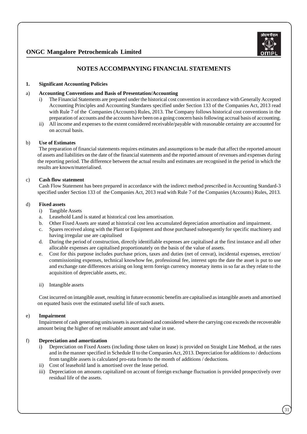

# **NOTES ACCOMPANYING FINANCIAL STATEMENTS**

# **1. Significant Accounting Policies**

# a) **Accounting Conventions and Basis of Presentation/Accounting**

- i) The Financial Statements are prepared under the historical cost convention in accordance with Generally Accepted Accounting Principles and Accounting Standares specified under Section 133 of the Companies Act, 2013 read with Rule 7 of the Companies (Accounts) Rules, 2013. The Company follows historical cost conventions in the preparation of accounts and the accounts have been on a going concern basis following accrual basis of accounting.
- ii) All income and expenses to the extent considered receivable/payable with reasonable certainty are accounted for on accrual basis.

### b) **Use of Estimates**

The preparation of financial statements requires estimates and assumptions to be made that affect the reported amount of assets and liabilities on the date of the financial statements and the reported amount of revenues and expenses during the reporting period. The difference between the actual results and estimates are recognised in the period in which the results are known/materialised.

### c) **Cash flow statement**

Cash Flow Statement has been prepared in accordance with the indirect method prescribed in Accounting Standard-3 specified under Section 133 of the Companies Act, 2013 read with Rule 7 of the Companies (Accounts) Rules, 2013.

### d) **Fixed assets**

- i) Tangible Assets
- a. Leasehold Land is stated at historical cost less amortisation.
- b. Other Fixed Assets are stated at historical cost less accumulated depreciation amortisation and impairment.
- c. Spares received along with the Plant or Equipment and those purchased subsequently for specific machinery and having irregular use are capitalised
- d. During the period of construction, directly identifiable expenses are capitalised at the first instance and all other allocable expenses are capitalised proportionately on the basis of the value of assets.
- e. Cost for this purpose includes purchase prices, taxes and duties (net of cenvat), incidental expenses, erection/ commissioning expenses, technical knowhow fee, professional fee, interest upto the date the asset is put to use and exchange rate differences arising on long term foreign currency monetary items in so far as they relate to the acquisition of depreciable assets, etc.
- ii) Intangible assets

Cost incurred on intangible asset, resulting in future economic benefits are capitalised as intangible assets and amortised on equated basis over the estimated useful life of such assets.

### e) **Impairment**

Impairment of cash generating units/assets is ascertained and considered where the carrying cost exceeds the recoverable amount being the higher of net realisable amount and value in use.

### f) **Depreciation and amortization**

- i) Depreciation on Fixed Assets (including those taken on lease) is provided on Straight Line Method, at the rates and in the manner specified in Schedule II to the Companies Act, 2013. Depreciation for additions to / deductions from tangible assets is calculated pro-rata from/to the month of additions / deductions.
- ii) Cost of leasehold land is amortised over the lease period.
- iii) Depreciation on amounts capitalized on account of foreign exchange fluctuation is provided prospectively over residual life of the assets.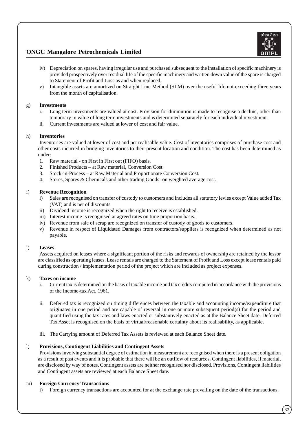

- iv) Depreciation on spares, having irregular use and purchased subsequent to the installation of specific machinery is provided prospectively over residual life of the specific machinery and written down value of the spare is charged to Statement of Profit and Loss as and when replaced.
- v) Intangible assets are amortized on Straight Line Method (SLM) over the useful life not exceeding three years from the month of capitalisation.

# g) **Investments**

- i. Long term investments are valued at cost. Provision for diminution is made to recognise a decline, other than temporary in value of long term investments and is determined separately for each individual investment.
- ii. Current investments are valued at lower of cost and fair value.

# h) **Inventories**

Inventories are valued at lower of cost and net realisable value. Cost of inventories comprises of purchase cost and other costs incurred in bringing inventories to their present location and condition. The cost has been determined as under:

- 1. Raw material on First in First out (FIFO) basis.
- 2. Finished Products at Raw material, Conversion Cost.
- 3. Stock-in-Process at Raw Material and Proportionate Conversion Cost.
- 4. Stores, Spares & Chemicals and other trading Goods- on weighted average cost.

# i) **Revenue Recognition**

- i) Sales are recognised on transfer of custody to customers and includes all statutory levies except Value added Tax (VAT) and is net of discounts.
- ii) Dividend income is recognized when the right to receive is established.
- iii) Interest income is recognised at agreed rates on time proportion basis.
- iv) Revenue from sale of scrap are recognized on transfer of custody of goods to customers.
- v) Revenue in respect of Liquidated Damages from contractors/suppliers is recognized when determined as not payable.

# j) **Leases**

Assets acquired on leases where a significant portion of the risks and rewards of ownership are retained by the lessor are classified as operating leases. Lease rentals are charged to the Statement of Profit and Loss except lease rentals paid during construction / implementation period of the project which are included as project expenses.

# k) **Taxes on income**

- i. Current tax is determined on the basis of taxable income and tax credits computed in accordance with the provisions of the Income-tax Act, 1961.
- ii. Deferred tax is recognized on timing differences between the taxable and accounting income/expenditure that originates in one period and are capable of reversal in one or more subsequent period(s) for the period and quantified using the tax rates and laws enacted or substantively enacted as at the Balance Sheet date. Deferred Tax Asset is recognised on the basis of virtual/reasonable certainty about its realisability, as applicable.
- iii. The Carrying amount of Deferred Tax Assets is reviewed at each Balance Sheet date.

# l) **Provisions, Contingent Liabilities and Contingent Assets**

Provisions involving substantial degree of estimation in measurement are recognised when there is a present obligation as a result of past events and it is probable that there will be an outflow of resources. Contingent liabilities, if material, are disclosed by way of notes. Contingent assets are neither recognised nor disclosed. Provisions, Contingent liabilities and Contingent assets are reviewed at each Balance Sheet date.

# m) **Foreign Currency Transactions**

i) Foreign currency transactions are accounted for at the exchange rate prevailing on the date of the transactions.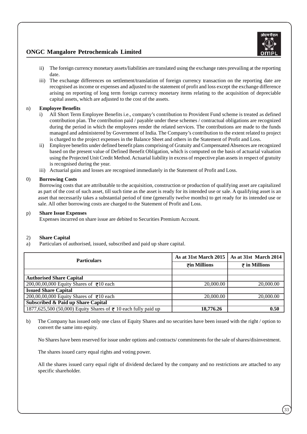

- ii) The foreign currency monetary assets/liabilities are translated using the exchange rates prevailing at the reporting date.
- iii) The exchange differences on settlement/translation of foreign currency transaction on the reporting date are recognised as income or expenses and adjusted to the statement of profit and loss except the exchange difference arising on reporting of long term foreign currency monetary items relating to the acquisition of depreciable capital assets, which are adjusted to the cost of the assets.

# n) **Employee Benefits**

- i) All Short Term Employee Benefits i.e., company's contribution to Provident Fund scheme is treated as defined contribution plan. The contribution paid / payable under these schemes / contractual obligations are recognized during the period in which the employees render the related services. The contributions are made to the funds managed and administered by Government of India. The Company's contribution to the extent related to project is charged to the project expenses in the Balance Sheet and others in the Statement of Profit and Loss.
- ii) Employee benefits under defined benefit plans comprising of Gratuity and Compensated Absences are recognized based on the present value of Defined Benefit Obligation, which is computed on the basis of actuarial valuation using the Projected Unit Credit Method. Actuarial liability in excess of respective plan assets in respect of gratuity is recognised during the year.
- iii) Actuarial gains and losses are recognised immediately in the Statement of Profit and Loss.

# 0) **Borrowing Costs**

Borrowing costs that are attributable to the acquisition, construction or production of qualifying asset are capitalized as part of the cost of such asset, till such time as the asset is ready for its intended use or sale. A qualifying asset is an asset that necessarily takes a substantial period of time (generally twelve months) to get ready for its intended use or sale. All other borrowing costs are charged to the Statement of Profit and Loss.

### p) **Share Issue Expenses**

Expenses incurred on share issue are debited to Securities Premium Account.

# 2) **Share Capital**

a) Particulars of authorised, issued, subscribed and paid up share capital.

| <b>Particulars</b>                                                        | As at 31st March 2015         | As at 31st March 2014<br>$\bar{\tau}$ in Millions |  |
|---------------------------------------------------------------------------|-------------------------------|---------------------------------------------------|--|
|                                                                           | $\overline{\tau}$ in Millions |                                                   |  |
|                                                                           |                               |                                                   |  |
| <b>Authorised Share Capital</b>                                           |                               |                                                   |  |
| 200,00,00,000 Equity Shares of ₹10 each                                   | 20,000.00                     | 20,000.00                                         |  |
| <b>Issued Share Capital</b>                                               |                               |                                                   |  |
| 200,00,00,000 Equity Shares of ₹10 each                                   | 20,000.00                     | 20,000.00                                         |  |
| <b>Subscribed &amp; Paid up Share Capital</b>                             |                               |                                                   |  |
| 1877,625,500 (50,000) Equity Shares of $\bar{\tau}$ 10 each fully paid up | 18,776.26                     | 0.50                                              |  |

b) The Company has issued only one class of Equity Shares and no securities have been issued with the right / option to convert the same into equity.

No Shares have been reserved for issue under options and contracts/ commitments for the sale of shares/disinvestment.

The shares issued carry equal rights and voting power.

All the shares issued carry equal right of dividend declared by the company and no restrictions are attached to any specific shareholder.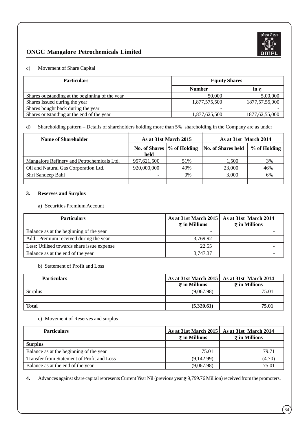

# c) Movement of Share Capital

| <b>Particulars</b>                              | <b>Equity Shares</b> |                   |
|-------------------------------------------------|----------------------|-------------------|
|                                                 | <b>Number</b>        | in ₹              |
| Shares outstanding at the beginning of the year | 50,000               | 5,00,000          |
| Shares Issued during the year                   | 1,877,575,500        | 1877, 57, 55, 000 |
| Shares bought back during the year              |                      |                   |
| Shares outstanding at the end of the year       | 1,877,625,500        | 1877, 62, 55, 000 |

# d) Shareholding pattern – Details of shareholders holding more than 5% shareholding in the Company are as under

| <b>Name of Shareholder</b>                 | As at 31st March 2015 |     | As at 31st March 2014                           |              |
|--------------------------------------------|-----------------------|-----|-------------------------------------------------|--------------|
|                                            | held                  |     | No. of Shares  % of Holding  No. of Shares held | % of Holding |
| Mangalore Refinery and Petrochemicals Ltd. | 957,621,500           | 51% | 1,500                                           | 3%           |
| Oil and Natural Gas Corporation Ltd.       | 920,000,000           | 49% | 23,000                                          | 46%          |
| Shri Sandeep Bahl                          |                       | 0%  | 3,000                                           | 6%           |
|                                            |                       |     |                                                 |              |

# **3. Reserves and Surplus**

# a) Securities Premium Account

| <b>Particulars</b>                         |                              | As at 31st March 2015   As at 31st March 2014 |
|--------------------------------------------|------------------------------|-----------------------------------------------|
|                                            | $\bar{\epsilon}$ in Millions | $\bar{\tau}$ in Millions                      |
| Balance as at the beginning of the year    | -                            |                                               |
| Add: Premium received during the year      | 3.769.92                     |                                               |
| Less: Utilised towards share issue expense | 22.55                        |                                               |
| Balance as at the end of the year          | 3.747.37                     |                                               |

# b) Statement of Profit and Loss

| <b>Particulars</b> |                          | As at 31st March 2015   As at 31st March 2014 |
|--------------------|--------------------------|-----------------------------------------------|
|                    | $\bar{\tau}$ in Millions | $\bar{\tau}$ in Millions                      |
| Surplus            | (9,067.98)               | 75.01                                         |
|                    |                          |                                               |
| <b>Total</b>       | (5,320.61)               | 75.01                                         |

# c) Movement of Reserves and surplus

| <b>Particulars</b>                         |                          | As at 31st March 2015   As at 31st March 2014 |
|--------------------------------------------|--------------------------|-----------------------------------------------|
|                                            | $\bar{\tau}$ in Millions | $\bar{\tau}$ in Millions                      |
| <b>Surplus</b>                             |                          |                                               |
| Balance as at the beginning of the year    | 75.01                    | 79.71                                         |
| Transfer from Statement of Profit and Loss | (9,142.99)               | (4.70)                                        |
| Balance as at the end of the year          | (9,067.98)               | 75.01                                         |

**4.** Advances against share capital represents Current Year Nil (previous year ₹ 9,799.76 Million) received from the promoters.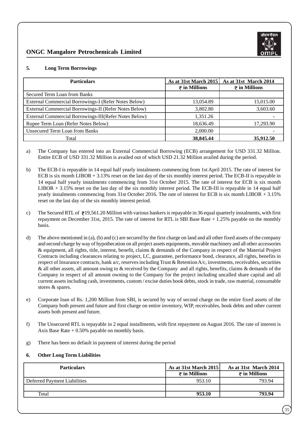

# **5. Long Term Borrowings**

| <b>Particulars</b>                                    |                          | As at 31st March 2015   As at 31st March 2014 |
|-------------------------------------------------------|--------------------------|-----------------------------------------------|
|                                                       | $\bar{\tau}$ in Millions | $\bar{\tau}$ in Millions                      |
| Secured Term Loan from Banks                          |                          |                                               |
| External Commercial Borrowings-I (Refer Notes Below)  | 13,054.89                | 15,015.00                                     |
| External Commercial Borrowings-II (Refer Notes Below) | 3,802.80                 | 3,603.60                                      |
| External Commercial Borrowings-III(Refer Notes Below) | 1,351.26                 |                                               |
| Rupee Term Loan (Refer Notes Below)                   | 18,636.49                | 17,293.90                                     |
| <b>Unsecured Term Loan from Banks</b>                 | 2,000.00                 |                                               |
| Total                                                 | 38,845.44                | 35,912.50                                     |

a) The Company has entered into an External Commercial Borrowing (ECB) arrangement for USD 331.32 Million. Entire ECB of USD 331.32 Million is availed out of which USD 21.32 Million availed during the period.

- b) The ECB-I is repayable in 14 equal half yearly instalments commencing from 1st April 2015. The rate of interest for ECB is six month LIBOR + 3.13% reset on the last day of the six monthly interest period. The ECB-II is repayable in 14 equal half yearly instalments commencing from 31st October 2015. The rate of interest for ECB is six month LIBOR  $+3.15\%$  reset on the last day of the six monthly interest period. The ECB-III is repayable in 14 equal half yearly instalments commencing from 31st October 2016. The rate of interest for ECB is six month LIBOR + 3.15% reset on the last day of the six monthly interest period.
- c) The Secured RTL of  $\bar{\tau}$  19,561.20 Million with various bankers is repayable in 36 equal quarterly instalments, with first repayment on December 31st, 2015. The rate of interest for RTL is SBI Base Rate + 1.25% payable on the monthly basis.
- d) The above mentioned in (a), (b) and (c) are secured by the first charge on land and all other fixed assets of the company and second charge by way of hypothecation on all project assets equipments, movable machinery and all other accessories & equipment, all rights, title, interest, benefit, claims & demands of the Company in respect of the Material Project Contracts including clearances relating to project, LC, guarantee, performance bond, clearance, all rights, benefits in respect of Insurance contracts, bank a/c, reserves including Trust & Retention A/c, investments, receivables, securities & all other assets, all amount owing to & received by the Company and all rights, benefits, claims & demands of the Company in respect of all amount owning to the Company for the project including uncalled share capital and all current assets including cash, investments, custom / excise duties book debts, stock in trade, raw material, consumable stores & spares.
- e) Corporate loan of Rs. 1,200 Million from SBI, is secured by way of second charge on the entire fixed assets of the Company both present and future and first charge on entire inventory, WIP, receivables, book debts and other current assets both present and future.
- f) The Unsecured RTL is repayable in 2 equal installments, with first repayment on August 2016. The rate of interest is Axis Base Rate  $+ 0.50\%$  payable on monthly basis.
- g) There has been no default in payment of interest during the period

# **6. Other Long Term Liabilities**

| <b>Particulars</b>           | As at 31st March 2015    | As at 31st March 2014    |
|------------------------------|--------------------------|--------------------------|
|                              | $\bar{\tau}$ in Millions | $\bar{\tau}$ in Millions |
| Deferred Payment Liabilities | 953.10                   | 793.94                   |
|                              |                          |                          |
| Total                        | 953.10                   | 793.94                   |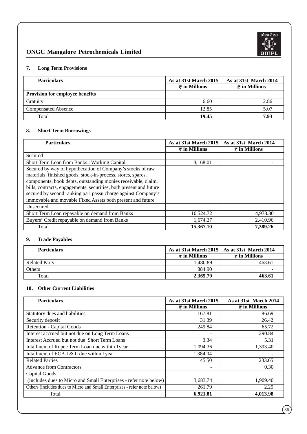

# **7. Long Term Provisions**

| <b>Particulars</b>                     | As at 31st March 2015 | As at 31st March 2014    |
|----------------------------------------|-----------------------|--------------------------|
|                                        | $\bar{z}$ in Millions | $\bar{\tau}$ in Millions |
| <b>Provision for employee benefits</b> |                       |                          |
| Gratuity                               | 6.60                  | 2.86                     |
| <b>Compensated Absence</b>             | 12.85                 | 5.07                     |
| Total                                  | 19.45                 | 7.93                     |

# **8. Short Term Borrowings**

| <b>Particulars</b>                                                 | As at 31st March 2015        | As at 31st March 2014    |
|--------------------------------------------------------------------|------------------------------|--------------------------|
|                                                                    | $\bar{\epsilon}$ in Millions | $\bar{\tau}$ in Millions |
| Secured                                                            |                              |                          |
| Short Term Loan from Banks: Working Capital                        | 3,168.01                     |                          |
| Secured by way of hypothecation of Company's stocks of raw         |                              |                          |
| materials, finished goods, stock-in-process, stores, spares,       |                              |                          |
| components, book debts, outstanding monies receivable, claim,      |                              |                          |
| bills, contracts, engagements, securities, both present and future |                              |                          |
| secured by second ranking pari passu charge against Company's      |                              |                          |
| immovable and movable Fixed Assets both present and future         |                              |                          |
| Unsecured                                                          |                              |                          |
| Short Term Loan repayable on demand from Banks                     | 10,524.72                    | 4,978.30                 |
| Buyers' Credit repayable on demand from Banks                      | 1,674.37                     | 2,410.96                 |
| Total                                                              | 15,367.10                    | 7,389.26                 |

# **9. Trade Payables**

| <b>Particulars</b>   |                       | As at 31st March $2015$   As at 31st March $2014$ |
|----------------------|-----------------------|---------------------------------------------------|
|                      | $\bar{z}$ in Millions | $\bar{\tau}$ in Millions                          |
| <b>Related Party</b> | 1.480.89              | 463.61                                            |
| Others               | 884.90                | -                                                 |
| Total                | 2,365.79              | 463.61                                            |

# **10. Other Current Liabilities**

| <b>Particulars</b>                                                       | As at 31st March 2015    | As at 31st March 2014    |
|--------------------------------------------------------------------------|--------------------------|--------------------------|
|                                                                          | $\bar{\tau}$ in Millions | $\bar{\tau}$ in Millions |
| Statutory dues and liabilities                                           | 167.81                   | 86.69                    |
| Security deposit                                                         | 31.39                    | 26.42                    |
| <b>Retention - Capital Goods</b>                                         | 249.84                   | 65.72                    |
| Interest accrued but not due on Long Term Loans                          |                          | 290.84                   |
| Interest Accrued but not due Short Term Loans                            | 3.34                     | 5.31                     |
| Intallment of Rupee Term Loan due within 1year                           | 1,094.36                 | 1,393.40                 |
| Intallment of ECB-I $&$ II due within 1 year                             | 1,384.04                 |                          |
| <b>Related Parties</b>                                                   | 45.50                    | 233.65                   |
| <b>Advance from Contractors</b>                                          |                          | 0.30                     |
| Capital Goods                                                            |                          |                          |
| (includes dues to Micro and Small Enterprises - refer note below)        | 3,683.74                 | 1,909.40                 |
| Others (includes dues to Micro and Small Enterprises - refer note below) | 261.79                   | 2.25                     |
| Total                                                                    | 6,921.81                 | 4,013.98                 |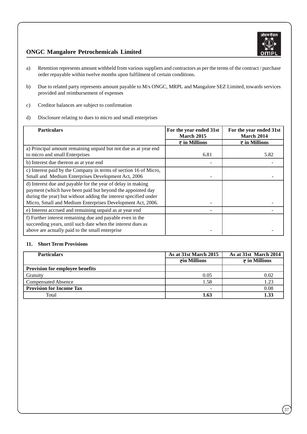

- a) Retention represents amount withheld from various suppliers and contractors as per the terms of the contract / purchase order repayable within twelve months upon fulfilment of certain conditions.
- b) Due to related party represents amount payable to M/s ONGC, MRPL and Mangalore SEZ Limited, towards services provided and reimbursement of expenses
- c) Creditor balances are subject to confirmation
- d) Disclosure relating to dues to micro and small enterprises

| <b>Particulars</b>                                                                                                                                                                                                                                          | For the year ended 31st<br><b>March 2015</b> | For the year ended 31st<br>March 2014 |
|-------------------------------------------------------------------------------------------------------------------------------------------------------------------------------------------------------------------------------------------------------------|----------------------------------------------|---------------------------------------|
|                                                                                                                                                                                                                                                             | $\bar{\tau}$ in Millions                     | $\bar{\tau}$ in Millions              |
| a) Principal amount remaining unpaid but not due as at year end<br>to micro and small Enterprises                                                                                                                                                           | 6.81                                         | 5.82                                  |
| b) Interest due thereon as at year end                                                                                                                                                                                                                      |                                              |                                       |
| c) Interest paid by the Company in terms of section 16 of Micro,<br>Small and Medium Enterprises Development Act, 2006                                                                                                                                      |                                              |                                       |
| d) Interest due and payable for the year of delay in making<br>payment (which have been paid but beyond the appointed day<br>during the year) but without adding the interest specified under<br>Micro, Small and Medium Enterprises Development Act, 2006. |                                              |                                       |
| e) Interest accrued and remaining unpaid as at year end                                                                                                                                                                                                     |                                              |                                       |
| f) Further interest remaining due and payable even in the<br>succeeding years, until such date when the interest dues as<br>above are actually paid to the small enterprise                                                                                 |                                              |                                       |

# **11. Short Term Provisions**

| <b>Particulars</b>                     | As at 31st March 2015    | As at 31st March 2014    |
|----------------------------------------|--------------------------|--------------------------|
|                                        | $\bar{\tau}$ in Millions | $\bar{\tau}$ in Millions |
| <b>Provision for employee benefits</b> |                          |                          |
| Gratuity                               | 0.05                     | 0.02                     |
| <b>Compensated Absence</b>             | 1.58                     | 1.23                     |
| <b>Provision for Income Tax</b>        |                          | 0.08                     |
| Total                                  | 1.63                     | 1.33                     |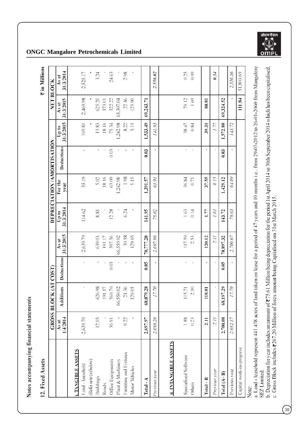| i                  |        |
|--------------------|--------|
| 1.7.0.0.0.0        |        |
| とうこうていさく くくくく こくそく | Ó<br>۵ |
|                    |        |

# 12. Fixed Assets

| As at<br>31/3/2015<br>1,533.49<br>1,572.80<br>18.16<br>1,242.98<br>141.95<br>143.72<br>5.15<br>38.47<br>13.83<br>75.34<br>8.22<br>$0.84\,$<br>1.77<br>169.81<br>39.31<br>Up to<br>Deductions<br>$\blacksquare$<br>$\blacksquare$<br>0.03<br>0.03<br>0.03<br>55.19<br>18.16<br>0.15<br>63.09<br>1,242.98<br>1.98<br>37.55<br>1,429.12<br>64.09<br>5.02<br>5.15<br>36.84<br>1,391.57<br>63.93<br>$\overline{0.71}$<br>For the<br>year<br>31/3/2014<br>114.62<br>141.95<br>1.63<br>143.72<br>79.63<br>12.28<br>6.24<br>78.02<br>0.14<br>1.77<br>1.61<br>8.81<br>$U_{\rm p}$ to<br>31/3/2015<br>2,639.79<br>597.56<br>30.58<br>129.05<br>70,777.20<br>117.59<br>120.12<br>2,700.07<br>66,550.02<br>2,697.96<br>2.53<br>70,897.32<br>191.17<br>2.II<br>639.03<br>As at<br>Deductions<br>$\mathbf{I}$<br>$\mathbf{t}$<br>$\blacksquare$<br>,<br>$\blacksquare$<br>$\blacksquare$<br>0.05<br>0.05<br>0.05<br>$\mathbf{I}$<br>٠<br>Ţ<br>$\mathbf I$<br>28<br>68,197.29<br>$\approx$<br>560.70<br>66,550.02<br>21.36<br>$\mathcal{L}$<br>2.30<br>626.98<br>129.05<br>191.17<br>Additions<br>$\overline{a}$<br>115.71<br>17.<br>17.<br>68,079.<br>118.<br>1/4/2014<br>2,680.26<br>2,700.08<br>2,639.79<br>$1.88\,$<br>12.05<br>9.22<br>2,697.97<br>0.23<br>2.11<br>2,682.37<br>2.11<br>36.91<br>As at<br><b>ii. INTANGIBLE ASSETS</b><br>i. TANGIBLE ASSETS<br>Furniture and Fixtures<br>Specialised Software<br>Office Equipments<br>Plant & Machinery<br>(Refer note (a) below)<br>Land - leasehold<br>Motor Vehicles<br>Previous year<br>Previous year<br>Previous year<br>Total $(A+B)$<br>Buildings<br>Total - B<br>$Total - A$<br>Others<br>Roads |             | GROSS BLOCK | (AT COST) |  | <b>DEPRECIATION/AMORTISATION</b> |  |           | NET BLOCK          |
|-----------------------------------------------------------------------------------------------------------------------------------------------------------------------------------------------------------------------------------------------------------------------------------------------------------------------------------------------------------------------------------------------------------------------------------------------------------------------------------------------------------------------------------------------------------------------------------------------------------------------------------------------------------------------------------------------------------------------------------------------------------------------------------------------------------------------------------------------------------------------------------------------------------------------------------------------------------------------------------------------------------------------------------------------------------------------------------------------------------------------------------------------------------------------------------------------------------------------------------------------------------------------------------------------------------------------------------------------------------------------------------------------------------------------------------------------------------------------------------------------------------------------------------------------------------------------------------------------------------------------------------------------|-------------|-------------|-----------|--|----------------------------------|--|-----------|--------------------|
|                                                                                                                                                                                                                                                                                                                                                                                                                                                                                                                                                                                                                                                                                                                                                                                                                                                                                                                                                                                                                                                                                                                                                                                                                                                                                                                                                                                                                                                                                                                                                                                                                                               |             |             |           |  |                                  |  | 31/3/2015 | 31/3/2014<br>As at |
|                                                                                                                                                                                                                                                                                                                                                                                                                                                                                                                                                                                                                                                                                                                                                                                                                                                                                                                                                                                                                                                                                                                                                                                                                                                                                                                                                                                                                                                                                                                                                                                                                                               |             |             |           |  |                                  |  |           |                    |
|                                                                                                                                                                                                                                                                                                                                                                                                                                                                                                                                                                                                                                                                                                                                                                                                                                                                                                                                                                                                                                                                                                                                                                                                                                                                                                                                                                                                                                                                                                                                                                                                                                               |             |             |           |  |                                  |  | 2,469.98  | 2,525.17           |
|                                                                                                                                                                                                                                                                                                                                                                                                                                                                                                                                                                                                                                                                                                                                                                                                                                                                                                                                                                                                                                                                                                                                                                                                                                                                                                                                                                                                                                                                                                                                                                                                                                               |             |             |           |  |                                  |  |           |                    |
|                                                                                                                                                                                                                                                                                                                                                                                                                                                                                                                                                                                                                                                                                                                                                                                                                                                                                                                                                                                                                                                                                                                                                                                                                                                                                                                                                                                                                                                                                                                                                                                                                                               |             |             |           |  |                                  |  | 625.20    | 3.24               |
|                                                                                                                                                                                                                                                                                                                                                                                                                                                                                                                                                                                                                                                                                                                                                                                                                                                                                                                                                                                                                                                                                                                                                                                                                                                                                                                                                                                                                                                                                                                                                                                                                                               |             |             |           |  |                                  |  | 173.01    |                    |
|                                                                                                                                                                                                                                                                                                                                                                                                                                                                                                                                                                                                                                                                                                                                                                                                                                                                                                                                                                                                                                                                                                                                                                                                                                                                                                                                                                                                                                                                                                                                                                                                                                               |             |             |           |  |                                  |  | 522.22    | 24.63              |
|                                                                                                                                                                                                                                                                                                                                                                                                                                                                                                                                                                                                                                                                                                                                                                                                                                                                                                                                                                                                                                                                                                                                                                                                                                                                                                                                                                                                                                                                                                                                                                                                                                               |             |             |           |  |                                  |  | 65,307.04 |                    |
|                                                                                                                                                                                                                                                                                                                                                                                                                                                                                                                                                                                                                                                                                                                                                                                                                                                                                                                                                                                                                                                                                                                                                                                                                                                                                                                                                                                                                                                                                                                                                                                                                                               |             |             |           |  |                                  |  | 22.36     | 2.98               |
|                                                                                                                                                                                                                                                                                                                                                                                                                                                                                                                                                                                                                                                                                                                                                                                                                                                                                                                                                                                                                                                                                                                                                                                                                                                                                                                                                                                                                                                                                                                                                                                                                                               |             |             |           |  |                                  |  | 123.90    |                    |
|                                                                                                                                                                                                                                                                                                                                                                                                                                                                                                                                                                                                                                                                                                                                                                                                                                                                                                                                                                                                                                                                                                                                                                                                                                                                                                                                                                                                                                                                                                                                                                                                                                               |             |             |           |  |                                  |  | 69,243.71 |                    |
|                                                                                                                                                                                                                                                                                                                                                                                                                                                                                                                                                                                                                                                                                                                                                                                                                                                                                                                                                                                                                                                                                                                                                                                                                                                                                                                                                                                                                                                                                                                                                                                                                                               |             |             |           |  |                                  |  |           | 2,556.02           |
|                                                                                                                                                                                                                                                                                                                                                                                                                                                                                                                                                                                                                                                                                                                                                                                                                                                                                                                                                                                                                                                                                                                                                                                                                                                                                                                                                                                                                                                                                                                                                                                                                                               |             |             |           |  |                                  |  |           |                    |
|                                                                                                                                                                                                                                                                                                                                                                                                                                                                                                                                                                                                                                                                                                                                                                                                                                                                                                                                                                                                                                                                                                                                                                                                                                                                                                                                                                                                                                                                                                                                                                                                                                               |             |             |           |  |                                  |  |           |                    |
|                                                                                                                                                                                                                                                                                                                                                                                                                                                                                                                                                                                                                                                                                                                                                                                                                                                                                                                                                                                                                                                                                                                                                                                                                                                                                                                                                                                                                                                                                                                                                                                                                                               |             |             |           |  |                                  |  | 79.12     | 0.25               |
|                                                                                                                                                                                                                                                                                                                                                                                                                                                                                                                                                                                                                                                                                                                                                                                                                                                                                                                                                                                                                                                                                                                                                                                                                                                                                                                                                                                                                                                                                                                                                                                                                                               |             |             |           |  |                                  |  | 1.69      | 0.09               |
|                                                                                                                                                                                                                                                                                                                                                                                                                                                                                                                                                                                                                                                                                                                                                                                                                                                                                                                                                                                                                                                                                                                                                                                                                                                                                                                                                                                                                                                                                                                                                                                                                                               |             |             |           |  |                                  |  | 80.81     |                    |
|                                                                                                                                                                                                                                                                                                                                                                                                                                                                                                                                                                                                                                                                                                                                                                                                                                                                                                                                                                                                                                                                                                                                                                                                                                                                                                                                                                                                                                                                                                                                                                                                                                               |             |             |           |  |                                  |  |           | 0.34               |
|                                                                                                                                                                                                                                                                                                                                                                                                                                                                                                                                                                                                                                                                                                                                                                                                                                                                                                                                                                                                                                                                                                                                                                                                                                                                                                                                                                                                                                                                                                                                                                                                                                               |             |             |           |  |                                  |  | 69,324.52 |                    |
|                                                                                                                                                                                                                                                                                                                                                                                                                                                                                                                                                                                                                                                                                                                                                                                                                                                                                                                                                                                                                                                                                                                                                                                                                                                                                                                                                                                                                                                                                                                                                                                                                                               |             |             |           |  |                                  |  |           | 2,556.36           |
| Capital work-in-progress                                                                                                                                                                                                                                                                                                                                                                                                                                                                                                                                                                                                                                                                                                                                                                                                                                                                                                                                                                                                                                                                                                                                                                                                                                                                                                                                                                                                                                                                                                                                                                                                                      |             |             |           |  |                                  |  | 111.84    | 51,803.69          |
|                                                                                                                                                                                                                                                                                                                                                                                                                                                                                                                                                                                                                                                                                                                                                                                                                                                                                                                                                                                                                                                                                                                                                                                                                                                                                                                                                                                                                                                                                                                                                                                                                                               | SEZ Limited |             |           |  |                                  |  |           |                    |

**ONGC Mangalore Petrochemicals Limited**



b. Depreciation for year includes an amount of ₹75.61 Million being depreciation for the period 1st April 2014 to 30th September 2014 which has been capitalised.<br>c. Gross Block includes ₹267.20 Million of forex amount bein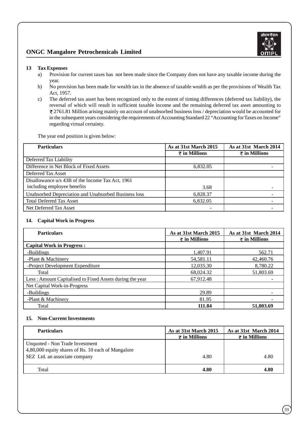

# **13 Tax Expenses**

- a) Provision for current taxes has not been made since the Company does not have any taxable income during the year.
- b) No provision has been made for wealth tax in the absence of taxable wealth as per the provisions of Wealth Tax Act, 1957.
- c) The deferred tax asset has been recognized only to the extent of timing differences (deferred tax liability), the reversal of which will result in sufficient taxable income and the remaining deferred tax asset amounting to 2761.81 Million arising mainly on account of unabsorbed business loss / depreciation would be accounted for in the subsequent years considering the requirements of Accounting Standard 22 "Accounting for Taxes on Income" regarding virtual certainty.

The year end position is given below:

| <b>Particulars</b>                                   | As at 31st March 2015        | As at 31st March 2014        |
|------------------------------------------------------|------------------------------|------------------------------|
|                                                      | $\bar{\epsilon}$ in Millions | $\bar{\epsilon}$ in Millions |
| Deferred Tax Liability                               |                              |                              |
| Difference in Net Block of Fixed Assets              | 6,832.05                     |                              |
| Deferred Tax Asset                                   |                              |                              |
| Disallowance u/s 43B of the Income Tax Act, 1961     |                              |                              |
| including employee benefits                          | 3.68                         |                              |
| Unabsorbed Depreciation and Unabsorbed Business loss | 6,828.37                     |                              |
| <b>Total Deferred Tax Asset</b>                      | 6,832.05                     |                              |
| Net Deferred Tax Asset                               |                              |                              |

# **14. Capital Work in Progress**

| <b>Particulars</b>                                       | As at 31st March 2015    | As at 31st March 2014        |
|----------------------------------------------------------|--------------------------|------------------------------|
|                                                          | $\bar{\tau}$ in Millions | $\bar{\epsilon}$ in Millions |
| <b>Capital Work in Progress:</b>                         |                          |                              |
| -Buildings                                               | 1.407.91                 | 562.71                       |
| -Plant & Machinery                                       | 54,581.11                | 42,460.76                    |
| -Project Development Expenditure                         | 12,035.30                | 8,780.22                     |
| Total                                                    | 68,024.32                | 51,803.69                    |
| Less: Amount Capitalised to Fixed Assets during the year | 67,912.48                |                              |
| Net Capital Work-in-Progress                             |                          |                              |
| -Buildings                                               | 29.89                    |                              |
| -Plant & Machinery                                       | 81.95                    |                              |
| Total                                                    | 111.84                   | 51,803.69                    |

# **15. Non-Current Investments**

| <b>Particulars</b>                                                                    | As at 31st March 2015        | As at 31st March 2014        |
|---------------------------------------------------------------------------------------|------------------------------|------------------------------|
|                                                                                       | $\bar{\epsilon}$ in Millions | $\bar{\epsilon}$ in Millions |
| Unquoted - Non Trade Investment<br>4,80,000 equity shares of Rs. 10 each of Mangalore |                              |                              |
| SEZ Ltd. an associate company                                                         | 4.80                         | 4.80                         |
| Total                                                                                 | 4.80                         | 4.80                         |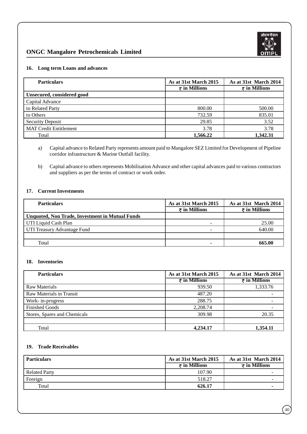

# **16. Long term Loans and advances**

| <b>Particulars</b>            | As at 31st March 2015    | As at 31st March 2014    |
|-------------------------------|--------------------------|--------------------------|
|                               | $\bar{\tau}$ in Millions | $\bar{\tau}$ in Millions |
| Unsecured, considered good    |                          |                          |
| Capital Advance               |                          |                          |
| to Related Party              | 800.00                   | 500.00                   |
| to Others                     | 732.59                   | 835.01                   |
| <b>Security Deposit</b>       | 29.85                    | 3.52                     |
| <b>MAT Credit Entitlement</b> | 3.78                     | 3.78                     |
| Total                         | 1,566.22                 | 1,342.31                 |

a) Capital advance to Related Party represents amount paid to Mangalore SEZ Limited for Development of Pipeline corridor infrastructure & Marine Outfall facility.

b) Capital advance to others represents Mobilisation Advance and other capital advances paid to various contractors and suppliers as per the terms of contract or work order.

# **17. Current Investments**

| <b>Particulars</b>                                     | As at 31st March 2015    | As at 31st March 2014        |
|--------------------------------------------------------|--------------------------|------------------------------|
|                                                        | $\bar{\tau}$ in Millions | $\bar{\epsilon}$ in Millions |
| <b>Unquoted, Non Trade, Investment in Mutual Funds</b> |                          |                              |
| UTI Liquid Cash Plan                                   |                          | 25.00                        |
| UTI Treasury Advantage Fund                            |                          | 640.00                       |
|                                                        |                          |                              |
| Total                                                  |                          | 665.00                       |

# **18. Inventories**

| <b>Particulars</b>           | As at 31st March 2015        | As at 31st March 2014        |
|------------------------------|------------------------------|------------------------------|
|                              | $\bar{\epsilon}$ in Millions | $\bar{\epsilon}$ in Millions |
| Raw Materials                | 939.50                       | 1,333.76                     |
| Raw Materials in Transit     | 487.20                       |                              |
| Work-in-progress             | 288.75                       |                              |
| <b>Finished Goods</b>        | 2.208.74                     |                              |
| Stores, Spares and Chemicals | 309.98                       | 20.35                        |
|                              |                              |                              |
| Total                        | 4,234.17                     | 1,354.11                     |

# **19. Trade Receivables**

| <b>Particulars</b>   | As at 31st March 2015    | As at 31st March 2014    |
|----------------------|--------------------------|--------------------------|
|                      | $\bar{\tau}$ in Millions | $\bar{\tau}$ in Millions |
| <b>Related Party</b> | 107.90                   |                          |
| Foreign              | 518.27                   |                          |
| Total                | 626.17                   |                          |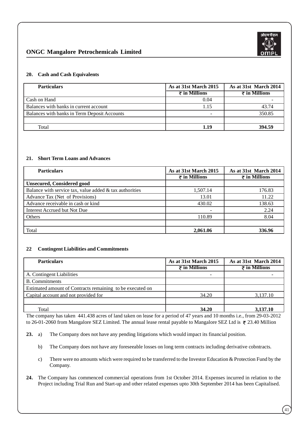# **20. Cash and Cash Equivalents**

| <b>Particulars</b>                           | As at 31st March 2015        | As at 31st March 2014        |
|----------------------------------------------|------------------------------|------------------------------|
|                                              | $\overline{\xi}$ in Millions | $\overline{\xi}$ in Millions |
| Cash on Hand                                 | 0.04                         |                              |
| Balances with banks in current account       | 1.15                         | 43.74                        |
| Balances with banks in Term Deposit Accounts |                              | 350.85                       |
|                                              |                              |                              |
| Total                                        | 1.19                         | 394.59                       |

# **21. Short Term Loans and Advances**

| <b>Particulars</b>                                        | As at 31st March 2015    | As at 31st March 2014    |
|-----------------------------------------------------------|--------------------------|--------------------------|
|                                                           | $\bar{\tau}$ in Millions | $\bar{\tau}$ in Millions |
| <b>Unsecured, Considered good</b>                         |                          |                          |
| Balance with service tax, value added $&$ tax authorities | 1.507.14                 | 176.83                   |
| Advance Tax (Net of Provisions)                           | 13.01                    | 11.22                    |
| Advance receivable in cash or kind                        | 430.02                   | 138.63                   |
| Interest Accrued but Not Due                              |                          | 2.24                     |
| Others                                                    | 110.89                   | 8.04                     |
|                                                           |                          |                          |
| Total                                                     | 2,061.06                 | 336.96                   |

# **22 Contingent Liabilities and Commitments**

| <b>Particulars</b>                                        | As at 31st March 2015    | As at 31st March 2014    |
|-----------------------------------------------------------|--------------------------|--------------------------|
|                                                           | $\bar{\tau}$ in Millions | $\bar{\tau}$ in Millions |
| A. Contingent Liabilities                                 |                          |                          |
| <b>B.</b> Commitments                                     |                          |                          |
| Estimated amount of Contracts remaining to be executed on |                          |                          |
| Capital account and not provided for                      | 34.20                    | 3,137.10                 |
|                                                           |                          |                          |
| Total                                                     | 34.20                    | 3,137.10                 |

The company has taken 441.438 acres of land taken on lease for a period of 47 years and 10 months i.e., from 29-03-2012 to 26-01-2060 from Mangalore SEZ Limited. The annual lease rental payable to Mangalore SEZ Ltd is  $\bar{\tau}$  23.40 Million

**23.** a) The Company does not have any pending litigations which would impact its financial position.

- b) The Company does not have any foreseeable losses on long term contracts including derivative cobntracts.
- c) There were no amounts which were required to be transferred to the Investor Education & Protection Fund by the Company.
- **24.** The Company has commenced commercial operations from 1st October 2014. Expenses incurred in relation to the Project including Trial Run and Start-up and other related expenses upto 30th September 2014 has been Capitalised.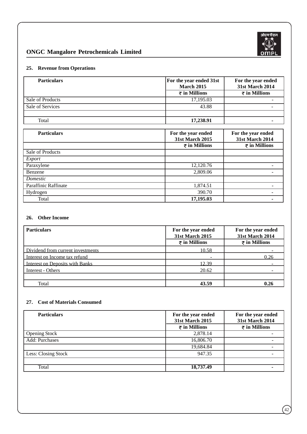

# **25. Revenue from Operations**

| <b>Particulars</b>   | For the year ended 31st<br><b>March 2015</b> | For the year ended<br><b>31st March 2014</b> |
|----------------------|----------------------------------------------|----------------------------------------------|
|                      | ₹ in Millions                                | ₹ in Millions                                |
| Sale of Products     | 17,195.03                                    |                                              |
| Sale of Services     | 43.88                                        |                                              |
| Total                | 17,238.91                                    |                                              |
| <b>Particulars</b>   | For the year ended<br>31st March 2015        | For the year ended<br><b>31st March 2014</b> |
|                      | $\bar{\tau}$ in Millions                     | $\bar{\tau}$ in Millions                     |
| Sale of Products     |                                              |                                              |
| Export               |                                              |                                              |
| Paraxylene           | 12,120.76                                    |                                              |
| Benzene              | 2,809.06                                     |                                              |
| Domestic             |                                              |                                              |
| Paraffinic Raffinate | 1,874.51                                     |                                              |
| Hydrogen             | 390.70                                       |                                              |
| Total                | 17,195.03                                    |                                              |

# **26. Other Income**

| <b>Particulars</b>                     | For the year ended<br>31st March 2015 | For the year ended<br><b>31st March 2014</b> |
|----------------------------------------|---------------------------------------|----------------------------------------------|
|                                        | $\bar{\epsilon}$ in Millions          | ₹ in Millions                                |
| Dividend from current investments      | 10.58                                 |                                              |
| Interest on Income tax refund          |                                       | 0.26                                         |
| <b>Interest on Deposits with Banks</b> | 12.39                                 |                                              |
| Interest - Others                      | 20.62                                 |                                              |
|                                        |                                       |                                              |
| Total                                  | 43.59                                 | 0.26                                         |

# **27. Cost of Materials Consumed**

| <b>Particulars</b>   | For the year ended<br>31st March 2015 | For the year ended<br>31st March 2014 |
|----------------------|---------------------------------------|---------------------------------------|
|                      | $\bar{\tau}$ in Millions              | $\bar{\tau}$ in Millions              |
| <b>Opening Stock</b> | 2,878.14                              |                                       |
| Add: Purchases       | 16,806.70                             |                                       |
|                      | 19,684.84                             |                                       |
| Less: Closing Stock  | 947.35                                |                                       |
|                      |                                       |                                       |
| Total                | 18,737.49                             |                                       |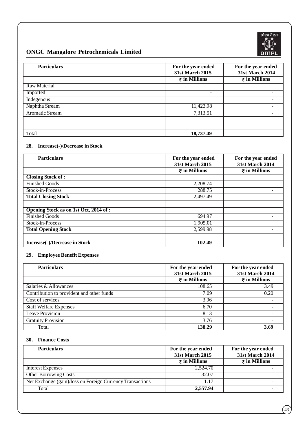

| <b>Particulars</b>     | For the year ended<br>31st March 2015 | For the year ended<br>31st March 2014 |
|------------------------|---------------------------------------|---------------------------------------|
|                        | $\overline{\xi}$ in Millions          | $\overline{\xi}$ in Millions          |
| <b>Raw Material</b>    |                                       |                                       |
| Imported               |                                       |                                       |
| Indegenous             |                                       |                                       |
| Naphtha Stream         | 11,423.98                             |                                       |
| <b>Aromatic Stream</b> | 7,313.51                              |                                       |
|                        |                                       |                                       |
|                        |                                       |                                       |
| Total                  | 18,737.49                             |                                       |

# **28. Increase(-)/Decrease in Stock**

| <b>Particulars</b>                     | For the year ended<br>31st March 2015 | For the year ended<br><b>31st March 2014</b> |
|----------------------------------------|---------------------------------------|----------------------------------------------|
|                                        | ₹ in Millions                         | ₹ in Millions                                |
| <b>Closing Stock of:</b>               |                                       |                                              |
| <b>Finished Goods</b>                  | 2,208.74                              |                                              |
| Stock-in-Process                       | 288.75                                |                                              |
| <b>Total Closing Stock</b>             | 2,497.49                              |                                              |
|                                        |                                       |                                              |
| Opening Stock as on 1st Oct, 2014 of : |                                       |                                              |
| <b>Finished Goods</b>                  | 694.97                                |                                              |
| Stock-in-Process                       | 1,905.01                              |                                              |
| <b>Total Opening Stock</b>             | 2,599.98                              |                                              |
|                                        |                                       |                                              |
| Increase(-)/Decrease in Stock          | 102.49                                |                                              |

# **29. Employee Benefit Expenses**

| <b>Particulars</b>                        | For the year ended<br>31st March 2015 | For the year ended<br><b>31st March 2014</b> |
|-------------------------------------------|---------------------------------------|----------------------------------------------|
|                                           | $\bar{\tau}$ in Millions              | $\bar{\tau}$ in Millions                     |
| Salaries & Allowances                     | 108.65                                | 3.49                                         |
| Contribution to provident and other funds | 7.09                                  | 0.20                                         |
| Cost of services                          | 3.96                                  |                                              |
| <b>Staff Welfare Expenses</b>             | 6.70                                  |                                              |
| Leave Provision                           | 8.13                                  |                                              |
| <b>Gratuity Provision</b>                 | 3.76                                  |                                              |
| Total                                     | 138.29                                | 3.69                                         |

# **30. Finance Costs**

| <b>Particulars</b>                                        | For the year ended<br>31st March 2015 | For the year ended<br>31st March 2014 |
|-----------------------------------------------------------|---------------------------------------|---------------------------------------|
|                                                           | $\bar{\tau}$ in Millions              | $\bar{\epsilon}$ in Millions          |
| <b>Interest Expenses</b>                                  | 2,524.70                              |                                       |
| <b>Other Borrowing Costs</b>                              | 32.07                                 |                                       |
| Net Exchange (gain)/loss on Foreign Currency Transactions | 1.17                                  |                                       |
| Total                                                     | 2,557.94                              |                                       |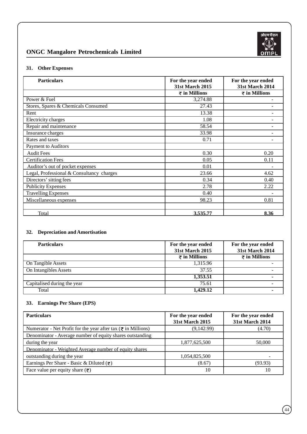

# **31. Other Expenses**

| <b>Particulars</b>                        | For the year ended<br>31st March 2015 | For the year ended<br>31st March 2014 |
|-------------------------------------------|---------------------------------------|---------------------------------------|
|                                           | $\bar{\tau}$ in Millions              | $\bar{\tau}$ in Millions              |
| Power & Fuel                              | 3,274.88                              |                                       |
| Stores, Spares & Chemicals Consumed       | 27.43                                 |                                       |
| Rent                                      | 13.38                                 |                                       |
| Electricity charges                       | 1.08                                  |                                       |
| Repair and maintenance                    | 58.54                                 |                                       |
| Insurance charges                         | 33.98                                 |                                       |
| Rates and taxes                           | 0.71                                  |                                       |
| <b>Payment to Auditors</b>                |                                       |                                       |
| <b>Audit Fees</b>                         | 0.30                                  | 0.20                                  |
| <b>Certification Fees</b>                 | 0.05                                  | 0.11                                  |
| Auditor's out of pocket expenses          | 0.01                                  |                                       |
| Legal, Professional & Consultancy charges | 23.66                                 | 4.62                                  |
| Directors' sitting fees                   | 0.34                                  | 0.40                                  |
| <b>Publicity Expenses</b>                 | 2.78                                  | 2.22                                  |
| <b>Travelling Expenses</b>                | 0.40                                  |                                       |
| Miscellaneous expenses                    | 98.23                                 | 0.81                                  |
| Total                                     | 3.535.77                              | 8.36                                  |

# **32. Depreciation and Amortisation**

| <b>Particulars</b>          | For the year ended<br>31st March 2015 | For the year ended<br>31st March 2014 |
|-----------------------------|---------------------------------------|---------------------------------------|
|                             | ₹ in Millions                         | ₹ in Millions                         |
| On Tangible Assets          | 1,315.96                              |                                       |
| On Intangibles Assets       | 37.55                                 |                                       |
|                             | 1,353.51                              |                                       |
| Capitalised during the year | 75.61                                 |                                       |
| Total                       | 1,429.12                              |                                       |

# **33. Earnings Per Share (EPS)**

| <b>Particulars</b>                                                        | For the year ended<br>31st March 2015 | For the year ended<br>31st March 2014 |
|---------------------------------------------------------------------------|---------------------------------------|---------------------------------------|
| Numerator - Net Profit for the year after tax ( $\bar{\tau}$ in Millions) | (9,142.99)                            | (4.70)                                |
| Denominator - Average number of equity shares outstanding                 |                                       |                                       |
| during the year                                                           | 1,877,625,500                         | 50,000                                |
| Denominator - Weighted Average number of equity shares                    |                                       |                                       |
| outstanding during the year                                               | 1,054,825,500                         |                                       |
| Earnings Per Share - Basic & Diluted $(\bar{\tau})$                       | (8.67)                                | (93.93)                               |
| Face value per equity share $(\bar{\tau})$                                | 10                                    | 10                                    |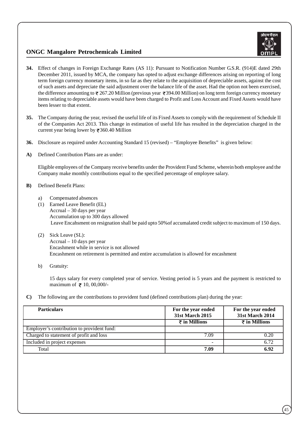

- **34.** Effect of changes in Foreign Exchange Rates (AS 11): Pursuant to Notification Number G.S.R. (914)E dated 29th December 2011, issued by MCA, the company has opted to adjust exchange differences arising on reporting of long term foreign currency monetary items, in so far as they relate to the acquisition of depreciable assets, against the cost of such assets and depreciate the said adjustment over the balance life of the asset. Had the option not been exercised, the difference amounting to  $\bar{\tau}$  267.20 Million (previous year  $\bar{\tau}$ 394.00 Million) on long term foreign currency monetary items relating to depreciable assets would have been charged to Profit and Loss Account and Fixed Assets would have been lesser to that extent.
- **35.** The Company during the year, revised the useful life of its Fixed Assets to comply with the requirement of Schedule II of the Companies Act 2013. This change in estimation of useful life has resulted in the depreciation charged in the current year being lower by  $\overline{\xi}$  360.40 Million
- **36.** Disclosure as required under Accounting Standard 15 (revised) "Employee Benefits" is given below:
- **A)** Defined Contribution Plans are as under:

Eligible employees of the Company receive benefits under the Provident Fund Scheme, wherein both employee and the Company make monthly contributions equal to the specified percentage of employee salary.

- **B)** Defined Benefit Plans:
	- a) Compensated absences
	- (1) Earned Leave Benefit (EL) Accrual – 30 days per year Accumulation up to 300 days allowed Leave Encahsment on resignation shall be paid upto 50%of accumalated credit subject to maximum of 150 days.
	- (2) Sick Leave (SL): Accrual – 10 days per year Encashment while in service is not allowed Encashment on retirement is permitted and entire accumulation is allowed for encashment
	- b) Gratuity:

15 days salary for every completed year of service. Vesting period is 5 years and the payment is restricted to maximum of  $\bar{\tau}$  10, 00,000/-

**C)** The following are the contributions to provident fund (defined contributions plan) during the year:

| <b>Particulars</b>                         | For the year ended<br>31st March 2015 | For the year ended<br><b>31st March 2014</b> |
|--------------------------------------------|---------------------------------------|----------------------------------------------|
|                                            | $\bar{\epsilon}$ in Millions          | $\bar{\epsilon}$ in Millions                 |
| Employer's contribution to provident fund: |                                       |                                              |
| Charged to statement of profit and loss    | 7.09                                  | 0.20                                         |
| Included in project expenses               | -                                     | 6.72                                         |
| Total                                      | 7.09                                  | 6.92                                         |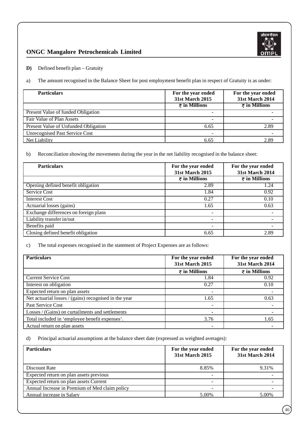

# **D)** Defined benefit plan – Gratuity

a) The amount recognised in the Balance Sheet for post employment benefit plan in respect of Gratuity is as under:

| <b>Particulars</b>                    | For the year ended<br>31st March 2015 | For the year ended<br><b>31st March 2014</b> |
|---------------------------------------|---------------------------------------|----------------------------------------------|
|                                       | $\bar{\tau}$ in Millions              | $\bar{\tau}$ in Millions                     |
| Present Value of funded Obligation    | -                                     |                                              |
| Fair Value of Plan Assets             | -                                     |                                              |
| Present Value of Unfunded Obligation  | 6.65                                  | 2.89                                         |
| <b>Unrecognised Past Service Cost</b> |                                       |                                              |
| Net Liability                         | 6.65                                  | 2.89                                         |

b) Reconciliation showing the movements during the year in the net liability recognised in the balance sheet:

| <b>Particulars</b>                    | For the year ended<br>31st March 2015 | For the year ended<br><b>31st March 2014</b> |
|---------------------------------------|---------------------------------------|----------------------------------------------|
|                                       | $\bar{\tau}$ in Millions              | ₹ in Millions                                |
| Opening defined benefit obligation    | 2.89                                  | 1.24                                         |
| Service Cost                          | 1.84                                  | 0.92                                         |
| <b>Interest Cost</b>                  | 0.27                                  | 0.10                                         |
| Actuarial losses (gains)              | 1.65                                  | 0.63                                         |
| Exchange differences on foreign plans | $\overline{\phantom{0}}$              |                                              |
| Liability transfer in/out             |                                       |                                              |
| Benefits paid                         | $\overline{\phantom{0}}$              |                                              |
| Closing defined benefit obligation    | 6.65                                  | 2.89                                         |

c) The total expenses recognised in the statement of Project Expenses are as follows:

| <b>Particulars</b>                                    | For the year ended<br><b>31st March 2015</b> | For the year ended<br><b>31st March 2014</b> |
|-------------------------------------------------------|----------------------------------------------|----------------------------------------------|
|                                                       | $\bar{\epsilon}$ in Millions                 | $\bar{\epsilon}$ in Millions                 |
| <b>Current Service Cost</b>                           | 1.84                                         | 0.92                                         |
| Interest on obligation                                | 0.27                                         | 0.10                                         |
| Expected return on plan assets                        | $\overline{\phantom{0}}$                     |                                              |
| Net actuarial losses / (gains) recognised in the year | 1.65                                         | 0.63                                         |
| Past Service Cost                                     |                                              |                                              |
| Losses / (Gains) on curtailments and settlements      |                                              |                                              |
| Total included in 'employee benefit expenses'.        | 3.76                                         | 1.65                                         |
| Actual return on plan assets                          |                                              |                                              |

d) Principal actuarial assumptions at the balance sheet date (expressed as weighted averages):

| <b>Particulars</b>                             | For the year ended<br><b>31st March 2015</b> | For the year ended<br><b>31st March 2014</b> |
|------------------------------------------------|----------------------------------------------|----------------------------------------------|
| Discount Rate                                  | 8.85%                                        | 9.31%                                        |
| Expected return on plan assets previous        |                                              |                                              |
| Expected return on plan assets Current         | ۰                                            |                                              |
| Annual Increase in Premium of Med claim policy |                                              |                                              |
| Annual increase in Salary                      | 5.00%                                        | 5.00%                                        |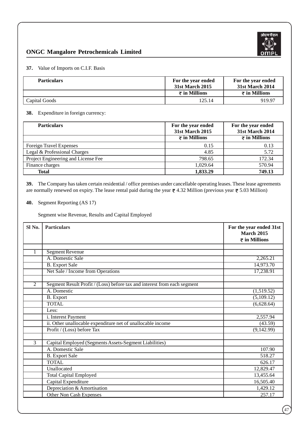



# **37.** Value of Imports on C.I.F. Basis

| <b>Particulars</b> | For the year ended<br>31st March 2015 | For the year ended<br>31st March 2014 |
|--------------------|---------------------------------------|---------------------------------------|
|                    | $\bar{z}$ in Millions                 | $\bar{z}$ in Millions                 |
| Capital Goods      | 125.14                                | 919.97                                |

# **38.** Expenditure in foreign currency:

| <b>Particulars</b>                  | For the year ended<br>31st March 2015 | For the year ended<br>31st March 2014 |
|-------------------------------------|---------------------------------------|---------------------------------------|
|                                     | $\bar{\tau}$ in Millions              | $\bar{\tau}$ in Millions              |
| Foreign Travel Expenses             | 0.15                                  | 0.13                                  |
| Legal & Professional Charges        | 4.85                                  | 5.72                                  |
| Project Engineering and License Fee | 798.65                                | 172.34                                |
| Finance charges                     | 1.029.64                              | 570.94                                |
| Total                               | 1,833.29                              | 749.13                                |

**39.** The Company has taken certain residential / office premises under cancellable operating leases. These lease agreements are normally renewed on expiry. The lease rental paid during the year  $\bar{\tau}$  4.32 Million (previous year  $\bar{\tau}$  5.03 Million)

# **40.** Segment Reporting (AS 17)

Segment wise Revenue, Results and Capital Employed

| Sl No.         | <b>Particulars</b>                                                       | For the year ended 31st<br><b>March 2015</b><br>₹ in Millions |
|----------------|--------------------------------------------------------------------------|---------------------------------------------------------------|
|                |                                                                          |                                                               |
| 1              | <b>Segment Revenue</b>                                                   |                                                               |
|                | A. Domestic Sale                                                         | 2,265.21                                                      |
|                | <b>B.</b> Export Sale                                                    | 14,973.70                                                     |
|                | Net Sale / Income from Operations                                        | 17,238.91                                                     |
| $\overline{2}$ | Segment Result Profit / (Loss) before tax and interest from each segment |                                                               |
|                | A. Domestic                                                              | (1,519.52)                                                    |
|                | <b>B.</b> Export                                                         | (5,109.12)                                                    |
|                | <b>TOTAL</b>                                                             | (6,628.64)                                                    |
|                | Less:                                                                    |                                                               |
|                | i. Interest Payment                                                      | 2,557.94                                                      |
|                | ii. Other unallocable expenditure net of unallocable income              | (43.59)                                                       |
|                | Profit / (Loss) before Tax                                               | (9,142.99)                                                    |
| 3              | Capital Employed (Segments Assets-Segment Liabilities)                   |                                                               |
|                | A. Domestic Sale                                                         | 107.90                                                        |
|                | <b>B.</b> Export Sale                                                    | 518.27                                                        |
|                | <b>TOTAL</b>                                                             | 626.17                                                        |
|                | Unallocated                                                              | 12,829.47                                                     |
|                | <b>Total Capital Employed</b>                                            | 13,455.64                                                     |
|                | Capital Expenditure                                                      | 16,505.40                                                     |
|                | Depreciation & Amortisation                                              | 1,429.12                                                      |
|                | <b>Other Non Cash Expenses</b>                                           | 257.17                                                        |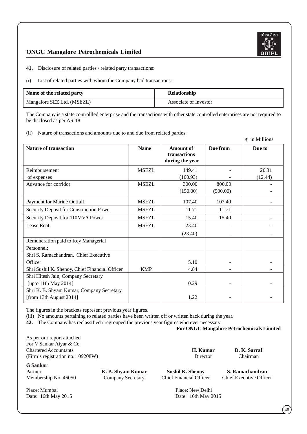

**41.** Disclosure of related parties / related party transactions:

(i) List of related parties with whom the Company had transactions:

| Name of the related party  | <b>Relationship</b>   |
|----------------------------|-----------------------|
| Mangalore SEZ Ltd. (MSEZL) | Associate of Investor |

The Company is a state controllled enterprise and the transactions with other state controlled enterprises are not required to be disclosed as per AS-18

(ii) Nature of transactions and amounts due to and due from related parties:

|                                                |              |                                                     |          | $\bar{\epsilon}$ in Millions |
|------------------------------------------------|--------------|-----------------------------------------------------|----------|------------------------------|
| <b>Nature of transaction</b>                   | <b>Name</b>  | <b>Amount of</b><br>transactions<br>during the year | Due from | Due to                       |
| Reimbursement                                  | <b>MSEZL</b> | 149.41                                              |          | 20.31                        |
| of expenses                                    |              | (100.93)                                            |          | (12.44)                      |
| Advance for corridor                           | <b>MSEZL</b> | 300.00                                              | 800.00   |                              |
|                                                |              | (150.00)                                            | (500.00) |                              |
| Payment for Marine Outfall                     | <b>MSEZL</b> | 107.40                                              | 107.40   |                              |
| Security Deposit for Construction Power        | <b>MSEZL</b> | 11.71                                               | 11.71    |                              |
| Security Deposit for 110MVA Power              | <b>MSEZL</b> | 15.40                                               | 15.40    |                              |
| <b>Lease Rent</b>                              | <b>MSEZL</b> | 23.40                                               |          |                              |
|                                                |              | (23.40)                                             |          |                              |
| Remuneration paid to Key Managerial            |              |                                                     |          |                              |
| Personnel;                                     |              |                                                     |          |                              |
| Shri S. Ramachandran, Chief Executive          |              |                                                     |          |                              |
| Officer                                        |              | 5.10                                                |          |                              |
| Shri Sushil K. Shenoy, Chief Financial Officer | <b>KMP</b>   | 4.84                                                |          |                              |
| Shri Hitesh Jain, Company Secretary            |              |                                                     |          |                              |
| [upto 11th May 2014]                           |              | 0.29                                                |          |                              |
| Shri K. B. Shyam Kumar, Company Secretary      |              |                                                     |          |                              |
| [from 13th August 2014]                        |              | 1.22                                                |          |                              |

The figures in the brackets represent previous year figures.

(iii) No amounts pertaining to related parties have been written off or written back during the year.

**42.** The Company has reclassified / regrouped the previous year figures wherever necessary

**For ONGC Mangalore Petrochemicals Limited**

As per our report attached For V Sankar Aiyar & Co Chartered Accountants **H. Kumar D. K. Sarraf** (Firm's registration no. 109208W) Director Chairman

**G Sankar** Partner **K. B. Shyam Kumar Sushil K. Shenoy S. Ramachandran** Membership No. 46050 Company Secretary Chief Financial Officer Chief Executive Officer

Place: Mumbai Place: New Delhi

Date: 16th May 2015 Date: 16th May 2015

 $48$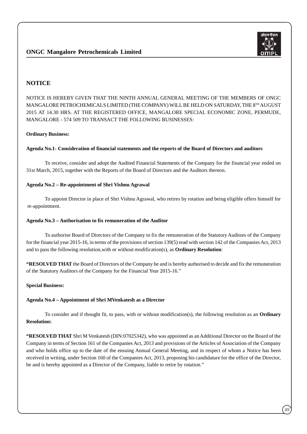

# **NOTICE**

NOTICE IS HEREBY GIVEN THAT THE NINTH ANNUAL GENERAL MEETING OF THE MEMBERS OF ONGC MANGALORE PETROCHEMICALS LIMITED (THE COMPANY) WILL BE HELD ON SATURDAY, THE 8TH AUGUST 2015 AT 14.30 HRS. AT THE REGISTERED OFFICE, MANGALORE SPECIAL ECONOMIC ZONE, PERMUDE, MANGALORE - 574 509 TO TRANSACT THE FOLLOWING BUSINESSES:

# **Ordinary Business:**

# **Agenda No.1- Consideration of financial statements and the reports of the Board of Directors and auditors**

To receive, consider and adopt the Audited Financial Statements of the Company for the financial year ended on 31st March, 2015, together with the Reports of the Board of Directors and the Auditors thereon.

# **Agenda No.2 – Re-appointment of Shri Vishnu Agrawal**

To appoint Director in place of Shri Vishnu Agrawal, who retires by rotation and being eligible offers himself for re-appointment.

# **Agenda No.3 – Authorisation to fix remuneration of the Auditor**

To authorise Board of Directors of the Company to fix the remuneration of the Statutory Auditors of the Company for the financial year 2015-16, in terms of the provisions of section 139(5) read with section 142 of the Companies Act, 2013 and to pass the following resolution,with or without modification(s), as **Ordinary Resolution**:

**"RESOLVED THAT** the Board of Directors of the Company be and is hereby authorised to decide and fix the remuneration of the Statutory Auditors of the Company for the Financial Year 2015-16."

# **Special Business:**

# **Agenda No.4 – Appointment of Shri MVenkatesh as a Director**

To consider and if thought fit, to pass, with or without modification(s), the following resolution as an **Ordinary Resolution:**

**"RESOLVED THAT** Shri M Venkatesh (DIN:07025342), who was appointed as an Additional Director on the Board of the Company in terms of Section 161 of the Companies Act, 2013 and provisions of the Articles of Association of the Company and who holds office up to the date of the ensuing Annual General Meeting, and in respect of whom a Notice has been received in writing, under Section 160 of the Companies Act, 2013, proposing his candidature for the office of the Director, be and is hereby appointed as a Director of the Company, liable to retire by rotation."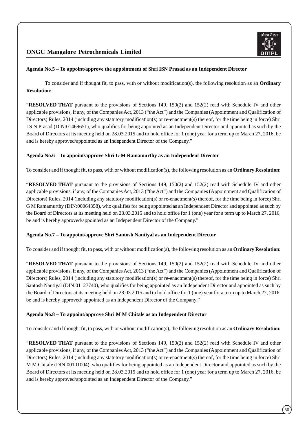

# **Agenda No.5 – To appoint/approve the appointment of Shri ISN Prasad as an Independent Director**

To consider and if thought fit, to pass, with or without modification(s), the following resolution as an **Ordinary Resolution:**

"**RESOLVED THAT** pursuant to the provisions of Sections 149, 150(2) and 152(2) read with Schedule IV and other applicable provisions, if any, of the Companies Act, 2013 ("the Act") and the Companies (Appointment and Qualification of Directors) Rules, 2014 (including any statutory modification(s) or re-enactment(s) thereof, for the time being in force) Shri I S N Prasad (DIN:01469651), who qualifies for being appointed as an Independent Director and appointed as such by the Board of Directors at its meeting held on 28.03.2015 and to hold office for 1 (one) year for a term up to March 27, 2016, be and is hereby approved/appointed as an Independent Director of the Company."

# **Agenda No.6 – To appoint/approve Shri G M Ramamurthy as an Independent Director**

To consider and if thought fit, to pass, with or without modification(s), the following resolution as an **Ordinary Resolution:**

"**RESOLVED THAT** pursuant to the provisions of Sections 149, 150(2) and 152(2) read with Schedule IV and other applicable provisions, if any, of the Companies Act, 2013 ("the Act") and the Companies (Appointment and Qualification of Directors) Rules, 2014 (including any statutory modification(s) or re-enactment(s) thereof, for the time being in force) Shri G M Ramamurthy (DIN:00064358), who qualifies for being appointed as an Independent Director and appointed as such by the Board of Directors at its meeting held on 28.03.2015 and to hold office for 1 (one) year for a term up to March 27, 2016, be and is hereby approved/appointed as an Independent Director of the Company."

# **Agenda No.7 – To appoint/approve Shri Santosh Nautiyal as an Independent Director**

To consider and if thought fit, to pass, with or without modification(s), the following resolution as an **Ordinary Resolution:**

"**RESOLVED THAT** pursuant to the provisions of Sections 149, 150(2) and 152(2) read with Schedule IV and other applicable provisions, if any, of the Companies Act, 2013 ("the Act") and the Companies (Appointment and Qualification of Directors) Rules, 2014 (including any statutory modification(s) or re-enactment(s) thereof, for the time being in force) Shri Santosh Nautiyal (DIN:01127740), who qualifies for being appointed as an Independent Director and appointed as such by the Board of Directors at its meeting held on 28.03.2015 and to hold office for 1 (one) year for a term up to March 27, 2016, be and is hereby approved/ appointed as an Independent Director of the Company."

# **Agenda No.8 – To appoint/approve Shri M M Chitale as an Independent Director**

To consider and if thought fit, to pass, with or without modification(s), the following resolution as an **Ordinary Resolution:**

"**RESOLVED THAT** pursuant to the provisions of Sections 149, 150(2) and 152(2) read with Schedule IV and other applicable provisions, if any, of the Companies Act, 2013 ("the Act") and the Companies (Appointment and Qualification of Directors) Rules, 2014 (including any statutory modification(s) or re-enactment(s) thereof, for the time being in force) Shri M M Chitale (DIN:00101004), who qualifies for being appointed as an Independent Director and appointed as such by the Board of Directors at its meeting held on 28.03.2015 and to hold office for 1 (one) year for a term up to March 27, 2016, be and is hereby approved/appointed as an Independent Director of the Company."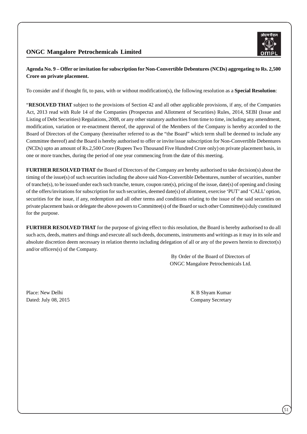

# **Agenda No. 9 – Offer or invitation for subscription for Non-Convertible Debentures (NCDs) aggregating to Rs. 2,500 Crore on private placement.**

To consider and if thought fit, to pass, with or without modification(s), the following resolution as a **Special Resolution**:

"**RESOLVED THAT** subject to the provisions of Section 42 and all other applicable provisions, if any, of the Companies Act, 2013 read with Rule 14 of the Companies (Prospectus and Allotment of Securities) Rules, 2014, SEBI (Issue and Listing of Debt Securities) Regulations, 2008, or any other statutory authorities from time to time, including any amendment, modification, variation or re-enactment thereof, the approval of the Members of the Company is hereby accorded to the Board of Directors of the Company (hereinafter referred to as the "the Board" which term shall be deemed to include any Committee thereof) and the Board is hereby authorised to offer or invite/issue subscription for Non-Convertible Debentures (NCDs) upto an amount of Rs.2,500 Crore (Rupees Two Thousand Five Hundred Crore only) on private placement basis, in one or more tranches, during the period of one year commencing from the date of this meeting.

**FURTHER RESOLVED THAT** the Board of Directors of the Company are hereby authorised to take decision(s) about the timing of the issue(s) of such securities including the above said Non-Convertible Debentures, number of securities, number of tranche(s), to be issued under each such tranche, tenure, coupon rate(s), pricing of the issue, date(s) of opening and closing of the offers/invitations for subscription for such securities, deemed date(s) of allotment, exercise 'PUT' and 'CALL' option, securities for the issue, if any, redemption and all other terms and conditions relating to the issue of the said securities on private placement basis or delegate the above powers to Committee(s) of the Board or such other Committee(s) duly constituted for the purpose.

**FURTHER RESOLVED THAT** for the purpose of giving effect to this resolution, the Board is hereby authorised to do all such acts, deeds, matters and things and execute all such deeds, documents, instruments and writings as it may in its sole and absolute discretion deem necessary in relation thereto including delegation of all or any of the powers herein to director(s) and/or officers(s) of the Company.

> By Order of the Board of Directors of ONGC Mangalore Petrochemicals Ltd.

Place: New Delhi K B Shyam Kumar Dated: July 08, 2015 Company Secretary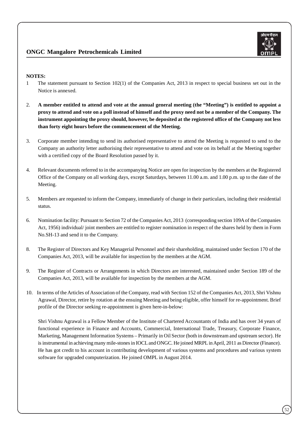

# **NOTES:**

- 1 The statement pursuant to Section 102(1) of the Companies Act, 2013 in respect to special business set out in the Notice is annexed.
- 2. **A member entitled to attend and vote at the annual general meeting (the "Meeting") is entitled to appoint a proxy to attend and vote on a poll instead of himself and the proxy need not be a member of the Company. The instrument appointing the proxy should, however, be deposited at the registered office of the Company not less than forty eight hours before the commencement of the Meeting.**
- 3. Corporate member intending to send its authorised representative to attend the Meeting is requested to send to the Company an authority letter authorising their representative to attend and vote on its behalf at the Meeting together with a certified copy of the Board Resolution passed by it.
- 4. Relevant documents referred to in the accompanying Notice are open for inspection by the members at the Registered Office of the Company on all working days, except Saturdays, between 11.00 a.m. and 1.00 p.m. up to the date of the Meeting.
- 5. Members are requested to inform the Company, immediately of change in their particulars, including their residential status.
- 6. Nomination facility: Pursuant to Section 72 of the Companies Act, 2013 (corresponding section 109A of the Companies Act, 1956) individual/ joint members are entitled to register nomination in respect of the shares held by them in Form No.SH-13 and send it to the Company.
- 8. The Register of Directors and Key Managerial Personnel and their shareholding, maintained under Section 170 of the Companies Act, 2013, will be available for inspection by the members at the AGM.
- 9. The Register of Contracts or Arrangements in which Directors are interested, maintained under Section 189 of the Companies Act, 2013, will be available for inspection by the members at the AGM.
- 10. In terms of the Articles of Association of the Company, read with Section 152 of the Companies Act, 2013, Shri Vishnu Agrawal, Director, retire by rotation at the ensuing Meeting and being eligible, offer himself for re-appointment. Brief profile of the Director seeking re-appointment is given here-in-below:

Shri Vishnu Agrawal is a Fellow Member of the Institute of Chartered Accountants of India and has over 34 years of functional experience in Finance and Accounts, Commercial, International Trade, Treasury, Corporate Finance, Marketing, Management Information Systems – Primarily in Oil Sector (both in downstream and upstream sector). He is instrumental in achieving many mile-stones in IOCL and ONGC. He joined MRPL in April, 2011 as Director (Finance). He has got credit to his account in contributing development of various systems and procedures and various system software for upgraded computerization. He joined OMPL in August 2014.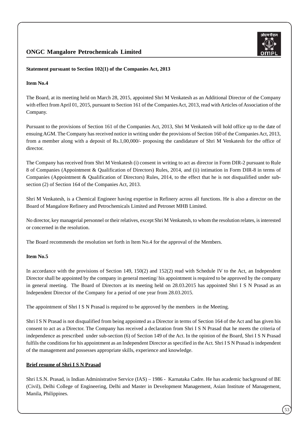

# **Statement pursuant to Section 102(1) of the Companies Act, 2013**

# **Item No.4**

The Board, at its meeting held on March 28, 2015, appointed Shri M Venkatesh as an Additional Director of the Company with effect from April 01, 2015, pursuant to Section 161 of the Companies Act, 2013, read with Articles of Association of the Company.

Pursuant to the provisions of Section 161 of the Companies Act, 2013, Shri M Venkatesh will hold office up to the date of ensuing AGM. The Company has received notice in writing under the provisions of Section 160 of the Companies Act, 2013, from a member along with a deposit of Rs.1,00,000/- proposing the candidature of Shri M Venkatesh for the office of director.

The Company has received from Shri M Venkatesh (i) consent in writing to act as director in Form DIR-2 pursuant to Rule 8 of Companies (Appointment & Qualification of Directors) Rules, 2014, and (ii) intimation in Form DIR-8 in terms of Companies (Appointment & Qualification of Directors) Rules, 2014, to the effect that he is not disqualified under subsection (2) of Section 164 of the Companies Act, 2013.

Shri M Venkatesh, is a Chemical Engineer having expertise in Refinery across all functions. He is also a director on the Board of Mangalore Refinery and Petrochemicals Limited and Petronet MHB Limited.

No director, key managerial personnel or their relatives, except Shri M Venkatesh, to whom the resolution relates, is interested or concerned in the resolution.

The Board recommends the resolution set forth in Item No.4 for the approval of the Members.

# **Item No.5**

In accordance with the provisions of Section 149, 150(2) and 152(2) read with Schedule IV to the Act, an Independent Director shall be appointed by the company in general meeting/ his appointment is required to be approved by the company in general meeting. The Board of Directors at its meeting held on 28.03.2015 has appointed Shri I S N Prasad as an Independent Director of the Company for a period of one year from 28.03.2015.

The appointment of Shri I S N Prasad is required to be approved by the members in the Meeting.

Shri I S N Prasad is not disqualified from being appointed as a Director in terms of Section 164 of the Act and has given his consent to act as a Director. The Company has received a declaration from Shri I S N Prasad that he meets the criteria of independence as prescribed under sub-section (6) of Section 149 of the Act. In the opinion of the Board, Shri I S N Prasad fulfils the conditions for his appointment as an Independent Director as specified in the Act. Shri ISN Prasad is independent of the management and possesses appropriate skills, experience and knowledge.

# **Brief resume of Shri I S N Prasad**

Shri I.S.N. Prasad, is Indian Administrative Service (IAS) – 1986 - Karnataka Cadre. He has academic background of BE (Civil), Delhi College of Engineering, Delhi and Master in Development Management, Asian Institute of Management, Manila, Philippines.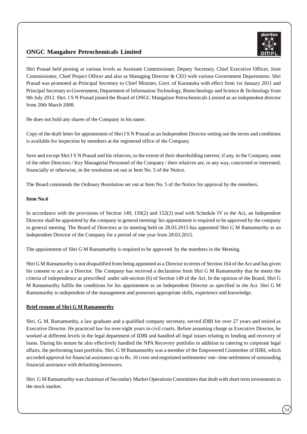

Shri Prasad held posting at various levels as Assistant Commissioner, Deputy Secretary, Chief Executive Officer, Joint Commissioner, Chief Project Officer and also as Managing Director & CEO with various Government Departments. Shri Prasad was promoted as Principal Secretary to Chief Minister, Govt. of Karnataka with effect from 1st January 2011 and Principal Secretary to Government, Department of Information Technology, Biotechnology and Science & Technology from 9th July 2012. Shri. I S N Prasad joined the Board of ONGC Mangalore Petrochemicals Limited as an independent director from 20th March 2008.

He does not hold any shares of the Company in his name.

Copy of the draft letter for appointment of Shri I S N Prasad as an Independent Director setting out the terms and conditions is available for inspection by members at the registered office of the Company.

Save and except Shri I S N Prasad and his relatives, to the extent of their shareholding interest, if any, in the Company, none of the other Directors / Key Managerial Personnel of the Company / their relatives are, in any way, concerned or interested, financially or otherwise, in the resolution set out at Item No. 5 of the Notice.

The Board commends the Ordinary Resolution set out at Item No. 5 of the Notice for approval by the members.

# **Item No.6**

In accordance with the provisions of Section 149, 150(2) and 152(2) read with Schedule IV to the Act, an Independent Director shall be appointed by the company in general meeting/ his appointment is required to be approved by the company in general meeting. The Board of Directors at its meeting held on 28.03.2015 has appointed Shri G M Ramamurthy as an Independent Director of the Company for a period of one year from 28.03.2015.

The appointment of Shri G M Ramamurthy is required to be approved by the members in the Meeting.

Shri G M Ramamurthy is not disqualified from being appointed as a Director in terms of Section 164 of the Act and has given his consent to act as a Director. The Company has received a declaration from Shri G M Ramamurthy that he meets the criteria of independence as prescribed under sub-section (6) of Section 149 of the Act. In the opinion of the Board, Shri G M Ramamurthy fulfils the conditions for his appointment as an Independent Director as specified in the Act. Shri G M Ramamurthy is independent of the management and possesses appropriate skills, experience and knowledge.

# **Brief resume of Shri G M Ramamurthy**

Shri. G. M. Ramamurthy, a law graduate and a qualified company secretary, served IDBI for over 27 years and retired as Executive Director. He practiced law for over eight years in civil courts. Before assuming charge as Executive Director, he worked at different levels in the legal department of IDBI and handled all legal issues relating to lending and recovery of loans. During his tenure he also effectively handled the NPA Recovery portfolio in addition to catering to corporate legal affairs, the performing loan portfolio. Shri. G M Ramamurthy was a member of the Empowered Committee of IDBI, which accorded approval for financial assistance up to Rs. 10 crore and negotiated settlements/ one- time settlement of outstanding financial assistance with defaulting borrowers.

Shri. G M Ramamurthy was chairman of Secondary Market Operations Committees that dealt with short term investments in the stock market.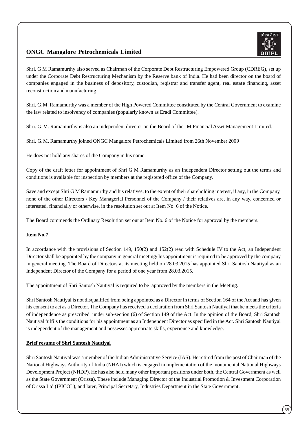

Shri. G M Ramamurthy also served as Chairman of the Corporate Debt Restructuring Empowered Group (CDREG), set up under the Corporate Debt Restructuring Mechanism by the Reserve bank of India. He had been director on the board of companies engaged in the business of depository, custodian, registrar and transfer agent, real estate financing, asset reconstruction and manufacturing.

Shri. G. M. Ramamurthy was a member of the High Powered Committee constituted by the Central Government to examine the law related to insolvency of companies (popularly known as Eradi Committee).

Shri. G. M. Ramamurthy is also an independent director on the Board of the JM Financial Asset Management Limited.

Shri. G. M. Ramamurthy joined ONGC Mangalore Petrochemicals Limited from 26th November 2009

He does not hold any shares of the Company in his name.

Copy of the draft letter for appointment of Shri G M Ramamurthy as an Independent Director setting out the terms and conditions is available for inspection by members at the registered office of the Company.

Save and except Shri G M Ramamurthy and his relatives, to the extent of their shareholding interest, if any, in the Company, none of the other Directors / Key Managerial Personnel of the Company / their relatives are, in any way, concerned or interested, financially or otherwise, in the resolution set out at Item No. 6 of the Notice.

The Board commends the Ordinary Resolution set out at Item No. 6 of the Notice for approval by the members.

# **Item No.7**

In accordance with the provisions of Section 149, 150(2) and 152(2) read with Schedule IV to the Act, an Independent Director shall be appointed by the company in general meeting/ his appointment is required to be approved by the company in general meeting. The Board of Directors at its meeting held on 28.03.2015 has appointed Shri Santosh Nautiyal as an Independent Director of the Company for a period of one year from 28.03.2015.

The appointment of Shri Santosh Nautiyal is required to be approved by the members in the Meeting.

Shri Santosh Nautiyal is not disqualified from being appointed as a Director in terms of Section 164 of the Act and has given his consent to act as a Director. The Company has received a declaration from Shri Santosh Nautiyal that he meets the criteria of independence as prescribed under sub-section (6) of Section 149 of the Act. In the opinion of the Board, Shri Santosh Nautiyal fulfils the conditions for his appointment as an Independent Director as specified in the Act. Shri Santosh Nautiyal is independent of the management and possesses appropriate skills, experience and knowledge.

# **Brief resume of Shri Santosh Nautiyal**

Shri Santosh Nautiyal was a member of the Indian Administrative Service (IAS). He retired from the post of Chairman of the National Highways Authority of India (NHAI) which is engaged in implementation of the monumental National Highways Development Project (NHDP). He has also held many other important positions under both, the Central Government as well as the State Government (Orissa). These include Managing Director of the Industrial Promotion & Investment Corporation of Orissa Ltd (IPICOL), and later, Principal Secretary, Industries Department in the State Government.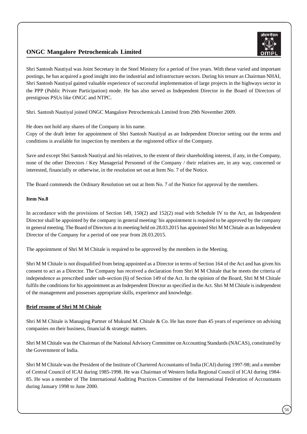

Shri Santosh Nautiyal was Joint Secretary in the Steel Ministry for a period of five years. With these varied and important postings, he has acquired a good insight into the industrial and infrastructure sectors. During his tenure as Chairman NHAI, Shri Santosh Nautiyal gained valuable experience of successful implementation of large projects in the highways sector in the PPP (Public Private Participation) mode. He has also served as Independent Director in the Board of Directors of prestigious PSUs like ONGC and NTPC.

Shri. Santosh Nautiyal joined ONGC Mangalore Petrochemicals Limited from 29th November 2009.

He does not hold any shares of the Company in his name.

Copy of the draft letter for appointment of Shri Santosh Nautiyal as an Independent Director setting out the terms and conditions is available for inspection by members at the registered office of the Company.

Save and except Shri Santosh Nautiyal and his relatives, to the extent of their shareholding interest, if any, in the Company, none of the other Directors / Key Managerial Personnel of the Company / their relatives are, in any way, concerned or interested, financially or otherwise, in the resolution set out at Item No. 7 of the Notice.

The Board commends the Ordinary Resolution set out at Item No. 7 of the Notice for approval by the members.

# **Item No.8**

In accordance with the provisions of Section 149, 150(2) and 152(2) read with Schedule IV to the Act, an Independent Director shall be appointed by the company in general meeting/ his appointment is required to be approved by the company in general meeting. The Board of Directors at its meeting held on 28.03.2015 has appointed Shri M M Chitale as an Independent Director of the Company for a period of one year from 28.03.2015.

The appointment of Shri M M Chitale is required to be approved by the members in the Meeting.

Shri M M Chitale is not disqualified from being appointed as a Director in terms of Section 164 of the Act and has given his consent to act as a Director. The Company has received a declaration from Shri M M Chitale that he meets the criteria of independence as prescribed under sub-section (6) of Section 149 of the Act. In the opinion of the Board, Shri M M Chitale fulfils the conditions for his appointment as an Independent Director as specified in the Act. Shri M M Chitale is independent of the management and possesses appropriate skills, experience and knowledge.

# **Brief resume of Shri M M Chitale**

Shri M M Chitale is Managing Partner of Mukund M. Chitale & Co. He has more than 45 years of experience on advising companies on their business, financial & strategic matters.

Shri M M Chitale was the Chairman of the National Advisory Committee on Accounting Standards (NACAS), constituted by the Government of India.

Shri M M Chitale was the President of the Institute of Chartered Accountants of India (ICAI) during 1997-98; and a member of Central Council of ICAI during 1985-1998. He was Chairman of Western India Regional Council of ICAI during 1984- 85. He was a member of The International Auditing Practices Committee of the International Federation of Accountants during January 1998 to June 2000.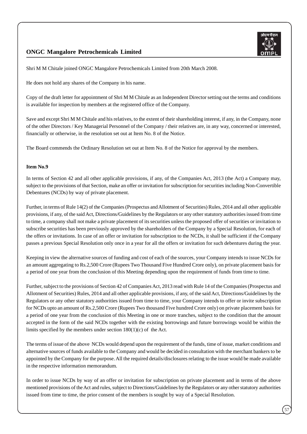

Shri M M Chitale joined ONGC Mangalore Petrochemicals Limited from 20th March 2008.

He does not hold any shares of the Company in his name.

Copy of the draft letter for appointment of Shri M M Chitale as an Independent Director setting out the terms and conditions is available for inspection by members at the registered office of the Company.

Save and except Shri M M Chitale and his relatives, to the extent of their shareholding interest, if any, in the Company, none of the other Directors / Key Managerial Personnel of the Company / their relatives are, in any way, concerned or interested, financially or otherwise, in the resolution set out at Item No. 8 of the Notice.

The Board commends the Ordinary Resolution set out at Item No. 8 of the Notice for approval by the members.

# **Item No.9**

In terms of Section 42 and all other applicable provisions, if any, of the Companies Act, 2013 (the Act) a Company may, subject to the provisions of that Section, make an offer or invitation for subscription for securities including Non-Convertible Debentures (NCDs) by way of private placement.

Further, in terms of Rule 14(2) of the Companies (Prospectus and Allotment of Securities) Rules, 2014 and all other applicable provisions, if any, of the said Act, Directions/Guidelines by the Regulators or any other statutory authorities issued from time to time, a company shall not make a private placement of its securities unless the proposed offer of securities or invitation to subscribe securities has been previously approved by the shareholders of the Company by a Special Resolution, for each of the offers or invitations. In case of an offer or invitation for subscription to the NCDs, it shall be sufficient if the Company passes a previous Special Resolution only once in a year for all the offers or invitation for such debentures during the year.

Keeping in view the alternative sources of funding and cost of each of the sources, your Company intends to issue NCDs for an amount aggregating to Rs.2,500 Crore (Rupees Two Thousand Five Hundred Crore only), on private placement basis for a period of one year from the conclusion of this Meeting depending upon the requirement of funds from time to time.

Further, subject to the provisions of Section 42 of Companies Act, 2013 read with Rule 14 of the Companies (Prospectus and Allotment of Securities) Rules, 2014 and all other applicable provisions, if any, of the said Act, Directions/Guidelines by the Regulators or any other statutory authorities issued from time to time, your Company intends to offer or invite subscription for NCDs upto an amount of Rs.2,500 Crore (Rupees Two thousand Five hundred Crore only) on private placement basis for a period of one year from the conclusion of this Meeting in one or more tranches, subject to the condition that the amount accepted in the form of the said NCDs together with the existing borrowings and future borrowings would be within the limits specified by the members under section 180(1)(c) of the Act.

The terms of issue of the above NCDs would depend upon the requirement of the funds, time of issue, market conditions and alternative sources of funds available to the Company and would be decided in consultation with the merchant bankers to be appointed by the Company for the purpose. All the required details/disclosures relating to the issue would be made available in the respective information memorandum.

In order to issue NCDs by way of an offer or invitation for subscription on private placement and in terms of the above mentioned provisions of the Act and rules, subject to Directions/Guidelines by the Regulators or any other statutory authorities issued from time to time, the prior consent of the members is sought by way of a Special Resolution.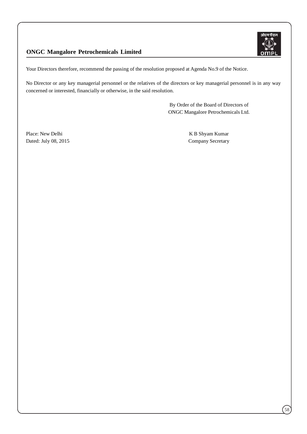

Your Directors therefore, recommend the passing of the resolution proposed at Agenda No.9 of the Notice.

No Director or any key managerial personnel or the relatives of the directors or key managerial personnel is in any way concerned or interested, financially or otherwise, in the said resolution.

> By Order of the Board of Directors of ONGC Mangalore Petrochemicals Ltd.

Place: New Delhi K B Shyam Kumar Dated: July 08, 2015 Company Secretary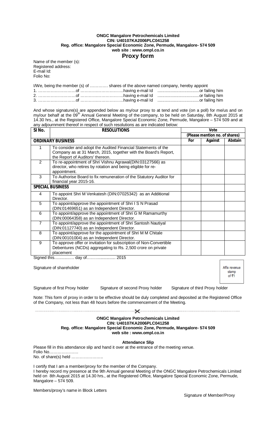# **ONGC Mangalore Petrochemicals Limited CIN: U40107KA2006PLC041258 Reg. office: Mangalore Special Economic Zone, Permude, Mangalore- 574 509 web site : [www.ompl.co.in](http://www.ompl.co.in)**

# **Proxy form**

Name of the member (s): Registered address: E-mail Id: Folio No:

| I/We, being the member (s) of  shares of the above named company, hereby appoint |  |
|----------------------------------------------------------------------------------|--|
|                                                                                  |  |
|                                                                                  |  |
|                                                                                  |  |

And whose signature(s) are appended below as my/our proxy to at tend and vote (on a poll) for me/us and on my/our behalf at the 09<sup>th</sup> Annual General Meeting of the company, to be held on Saturday, 8th August 2015 at 14.30 hrs., at the Registered Office, Mangalore Special Economic Zone, Permude, Mangalore – 574 509 and at any adjournment thereof in respect of such resolutions as are indicated below:

| SI No.                   | <b>RESOLUTIONS</b>                                                                                                                                                   | <b>Vote</b><br>(Please mention no. of shares) |         |         |
|--------------------------|----------------------------------------------------------------------------------------------------------------------------------------------------------------------|-----------------------------------------------|---------|---------|
|                          |                                                                                                                                                                      |                                               |         |         |
| <b>ORDINARY BUSINESS</b> |                                                                                                                                                                      | For                                           | Against | Abstain |
|                          | To consider and adopt the Audited Financial Statements of the<br>Company as at 31 March, 2015, together with the Board's Report,<br>the Report of Auditors' thereon. |                                               |         |         |
| $\mathcal{P}$            | To re-appointment of Shri Vishnu Agrawal(DIN:03127566) as<br>director, who retires by rotation and being eligible for re-<br>appointment.                            |                                               |         |         |
| 3                        | To Authorise Board to fix remuneration of the Statutory Auditor for<br>financial year 2015-16.                                                                       |                                               |         |         |
|                          | <b>SPECIAL BUSINESS</b>                                                                                                                                              |                                               |         |         |
| 4                        | To appoint Shri M Venkatesh (DIN:07025342) as an Additional<br>Director.                                                                                             |                                               |         |         |
| 5                        | To appoint/approve the appointment of Shri I S N Prasad<br>(DIN:01469651) as an Independent Director.                                                                |                                               |         |         |
| 6                        | To appoint/approve the appointment of Shri G M Ramamurthy<br>(DIN:00064358) as an Independent Director.                                                              |                                               |         |         |
| $\overline{7}$           | To appoint/approve the appointment of Shri Santosh Nautiyal<br>(DIN:01127740) as an Independent Director.                                                            |                                               |         |         |
| 8                        | To appoint/approve for the appointment of Shri M M Chitale<br>(DIN:00101004) as an Independent Director.                                                             |                                               |         |         |
| 9<br>Cianod thio         | To approve offer or invitation for subscription of Non-Convertible<br>Debentures (NCDs) aggregating to Rs. 2,500 crore on private<br>placement<br>001F<br>$\lambda$  |                                               |         |         |

Signed this…..........… day of……….............. 2015

Signature of shareholder

Affix revenue stamp  $of \bar{z}1$ 

Signature of first Proxy holder Signature of second Proxy holder Signature of third Proxy holder

Note: This form of proxy in order to be effective should be duly completed and deposited at the Registered Office of the Company, not less than 48 hours before the commencement of the Meeting.

D€

### **ONGC Mangalore Petrochemicals Limited CIN: U40107KA2006PLC041258 Reg. office: Mangalore Special Economic Zone, Permude, Mangalore- 574 509 web site : [www.ompl.co.in](http://www.ompl.co.in)**

**Attendance Slip**

Please fill in this attendance slip and hand it over at the entrance of the meeting venue. Folio No………………… No. of share(s) held …………………..

I certify that I am a member/proxy for the member of the Company.

I hereby record my presence at the 9th Annual general Meeting of the ONGC Mangalore Petrochemicals Limited held on 8th August 2015 at 14.30 hrs., at the Registered Office, Mangalore Special Economic Zone, Permude, Mangalore  $-574$  509.

Members/proxy's name in Block Letters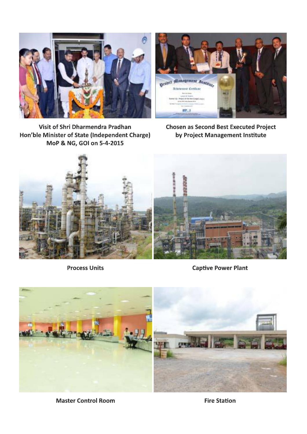

Visit of Shri Dharmendra Pradhan Hon'ble Minister of State (Independent Charge) MoP & NG, GOI on 5-4-2015



**Chosen as Second Best Executed Project** by Project Management Institute



**Process Units** 

**Captive Power Plant** 



**Master Control Room** 

**Fire Station**